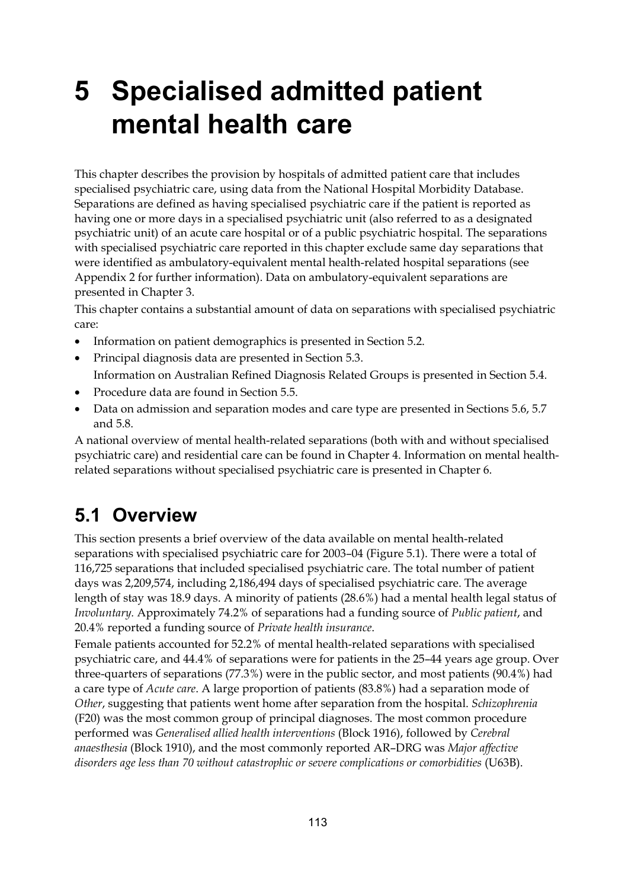# **5 Specialised admitted patient mental health care**

This chapter describes the provision by hospitals of admitted patient care that includes specialised psychiatric care, using data from the National Hospital Morbidity Database. Separations are defined as having specialised psychiatric care if the patient is reported as having one or more days in a specialised psychiatric unit (also referred to as a designated psychiatric unit) of an acute care hospital or of a public psychiatric hospital. The separations with specialised psychiatric care reported in this chapter exclude same day separations that were identified as ambulatory-equivalent mental health-related hospital separations (see Appendix 2 for further information). Data on ambulatory-equivalent separations are presented in Chapter 3.

This chapter contains a substantial amount of data on separations with specialised psychiatric care:

- Information on patient demographics is presented in Section 5.2.
- Principal diagnosis data are presented in Section 5.3.

Information on Australian Refined Diagnosis Related Groups is presented in Section 5.4.

- Procedure data are found in Section 5.5.
- Data on admission and separation modes and care type are presented in Sections 5.6, 5.7 and 5.8.

A national overview of mental health-related separations (both with and without specialised psychiatric care) and residential care can be found in Chapter 4. Information on mental healthrelated separations without specialised psychiatric care is presented in Chapter 6.

## **5.1 Overview**

This section presents a brief overview of the data available on mental health-related separations with specialised psychiatric care for 2003–04 (Figure 5.1). There were a total of 116,725 separations that included specialised psychiatric care. The total number of patient days was 2,209,574, including 2,186,494 days of specialised psychiatric care. The average length of stay was 18.9 days. A minority of patients (28.6%) had a mental health legal status of *Involuntary.* Approximately 74.2% of separations had a funding source of *Public patient*, and 20.4% reported a funding source of *Private health insurance*.

Female patients accounted for 52.2% of mental health-related separations with specialised psychiatric care, and 44.4% of separations were for patients in the 25–44 years age group. Over three-quarters of separations (77.3%) were in the public sector, and most patients (90.4%) had a care type of *Acute care*. A large proportion of patients (83.8%) had a separation mode of *Other*, suggesting that patients went home after separation from the hospital. *Schizophrenia* (F20) was the most common group of principal diagnoses. The most common procedure performed was *Generalised allied health interventions* (Block 1916), followed by *Cerebral anaesthesia* (Block 1910), and the most commonly reported AR–DRG was *Major affective disorders age less than 70 without catastrophic or severe complications or comorbidities* (U63B).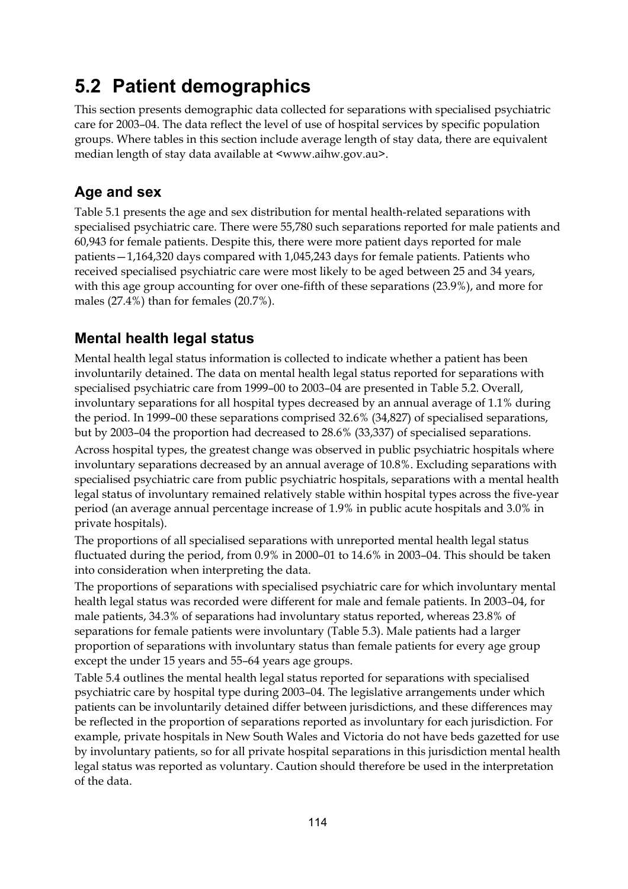## **5.2 Patient demographics**

This section presents demographic data collected for separations with specialised psychiatric care for 2003–04. The data reflect the level of use of hospital services by specific population groups. Where tables in this section include average length of stay data, there are equivalent median length of stay data available at <www.aihw.gov.au>.

## **Age and sex**

Table 5.1 presents the age and sex distribution for mental health-related separations with specialised psychiatric care. There were 55,780 such separations reported for male patients and 60,943 for female patients. Despite this, there were more patient days reported for male patients—1,164,320 days compared with 1,045,243 days for female patients. Patients who received specialised psychiatric care were most likely to be aged between 25 and 34 years, with this age group accounting for over one-fifth of these separations (23.9%), and more for males (27.4%) than for females (20.7%).

## **Mental health legal status**

Mental health legal status information is collected to indicate whether a patient has been involuntarily detained. The data on mental health legal status reported for separations with specialised psychiatric care from 1999–00 to 2003–04 are presented in Table 5.2. Overall, involuntary separations for all hospital types decreased by an annual average of 1.1% during the period. In 1999–00 these separations comprised 32.6% (34,827) of specialised separations, but by 2003–04 the proportion had decreased to 28.6% (33,337) of specialised separations. Across hospital types, the greatest change was observed in public psychiatric hospitals where involuntary separations decreased by an annual average of 10.8%. Excluding separations with specialised psychiatric care from public psychiatric hospitals, separations with a mental health legal status of involuntary remained relatively stable within hospital types across the five-year period (an average annual percentage increase of 1.9% in public acute hospitals and 3.0% in private hospitals).

The proportions of all specialised separations with unreported mental health legal status fluctuated during the period, from 0.9% in 2000–01 to 14.6% in 2003–04. This should be taken into consideration when interpreting the data.

The proportions of separations with specialised psychiatric care for which involuntary mental health legal status was recorded were different for male and female patients. In 2003–04, for male patients, 34.3% of separations had involuntary status reported, whereas 23.8% of separations for female patients were involuntary (Table 5.3). Male patients had a larger proportion of separations with involuntary status than female patients for every age group except the under 15 years and 55–64 years age groups.

Table 5.4 outlines the mental health legal status reported for separations with specialised psychiatric care by hospital type during 2003–04. The legislative arrangements under which patients can be involuntarily detained differ between jurisdictions, and these differences may be reflected in the proportion of separations reported as involuntary for each jurisdiction. For example, private hospitals in New South Wales and Victoria do not have beds gazetted for use by involuntary patients, so for all private hospital separations in this jurisdiction mental health legal status was reported as voluntary. Caution should therefore be used in the interpretation of the data.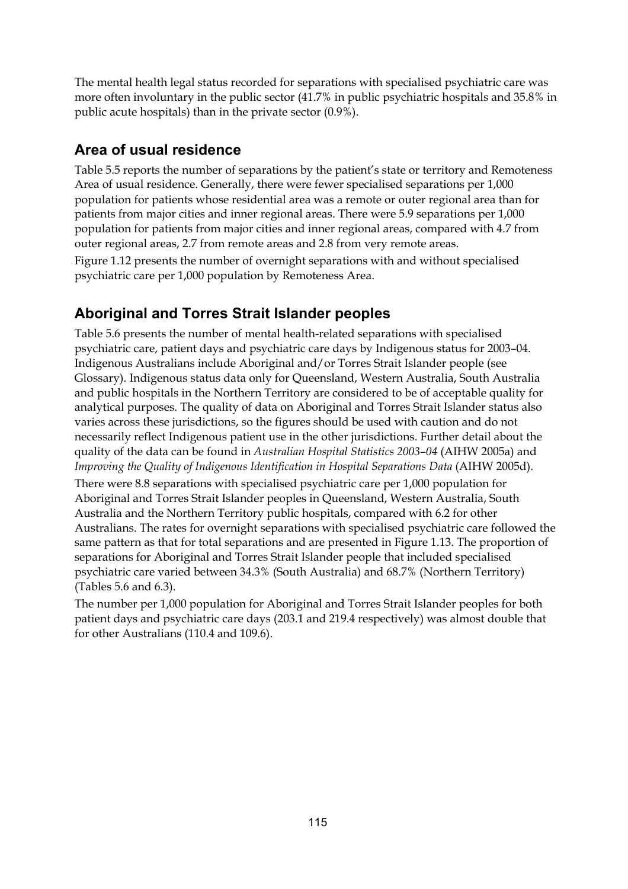The mental health legal status recorded for separations with specialised psychiatric care was more often involuntary in the public sector (41.7% in public psychiatric hospitals and 35.8% in public acute hospitals) than in the private sector (0.9%).

### **Area of usual residence**

Table 5.5 reports the number of separations by the patient's state or territory and Remoteness Area of usual residence. Generally, there were fewer specialised separations per 1,000 population for patients whose residential area was a remote or outer regional area than for patients from major cities and inner regional areas. There were 5.9 separations per 1,000 population for patients from major cities and inner regional areas, compared with 4.7 from outer regional areas, 2.7 from remote areas and 2.8 from very remote areas. Figure 1.12 presents the number of overnight separations with and without specialised psychiatric care per 1,000 population by Remoteness Area.

## **Aboriginal and Torres Strait Islander peoples**

Table 5.6 presents the number of mental health-related separations with specialised psychiatric care, patient days and psychiatric care days by Indigenous status for 2003–04. Indigenous Australians include Aboriginal and/or Torres Strait Islander people (see Glossary). Indigenous status data only for Queensland, Western Australia, South Australia and public hospitals in the Northern Territory are considered to be of acceptable quality for analytical purposes. The quality of data on Aboriginal and Torres Strait Islander status also varies across these jurisdictions, so the figures should be used with caution and do not necessarily reflect Indigenous patient use in the other jurisdictions. Further detail about the quality of the data can be found in *Australian Hospital Statistics 2003–04* (AIHW 2005a) and *Improving the Quality of Indigenous Identification in Hospital Separations Data* (AIHW 2005d).

There were 8.8 separations with specialised psychiatric care per 1,000 population for Aboriginal and Torres Strait Islander peoples in Queensland, Western Australia, South Australia and the Northern Territory public hospitals, compared with 6.2 for other Australians. The rates for overnight separations with specialised psychiatric care followed the same pattern as that for total separations and are presented in Figure 1.13. The proportion of separations for Aboriginal and Torres Strait Islander people that included specialised psychiatric care varied between 34.3% (South Australia) and 68.7% (Northern Territory) (Tables 5.6 and 6.3).

The number per 1,000 population for Aboriginal and Torres Strait Islander peoples for both patient days and psychiatric care days (203.1 and 219.4 respectively) was almost double that for other Australians (110.4 and 109.6).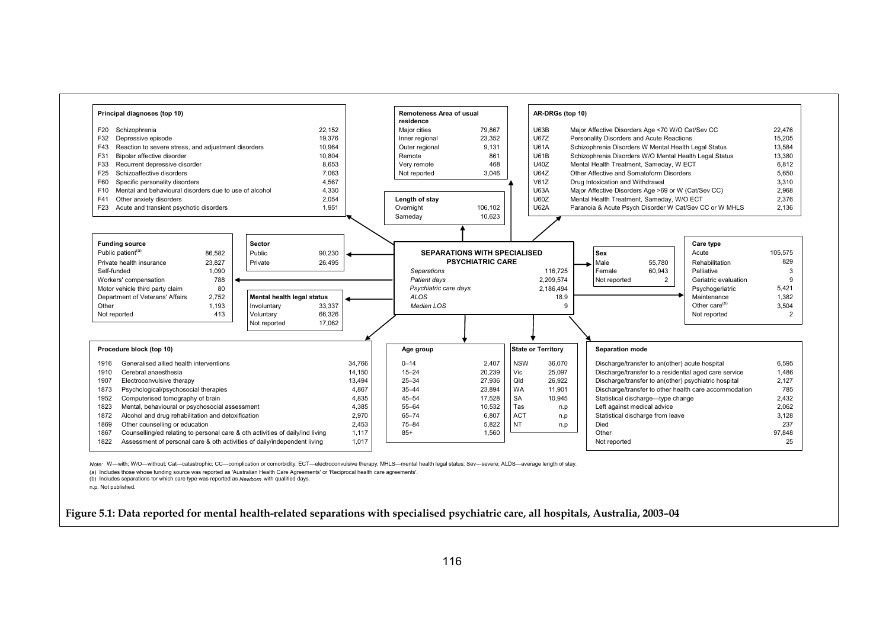

 *Note:* W—with; W/O—without; Cat—catastrophic; CC—complication or comorbidity; ECT—electroconvulsive therapy; MHLS—mental health legal status; Sev—severe; ALDS—average length of stay.

(a) Includes those whose funding source was reported as 'Australian Health Care Agreements' or 'Reciprocal health care agreements'.

(b) Includes separations for which care type was reported as *Newborn* with qualified days.

n.p. Not published.

**Figure 5.1: Data reported for mental health-related separations with specialised psychiatric care, all hospitals, Australia, 2003–04**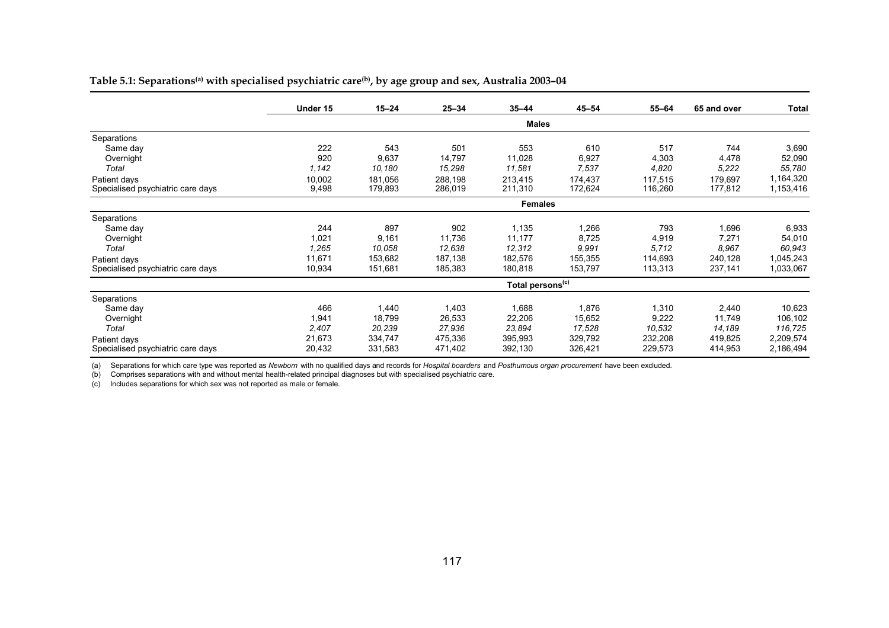|                                   | Under 15 | $15 - 24$ | $25 - 34$ | $35 - 44$                    | $45 - 54$ | $55 - 64$ | 65 and over | Total     |
|-----------------------------------|----------|-----------|-----------|------------------------------|-----------|-----------|-------------|-----------|
|                                   |          |           |           | <b>Males</b>                 |           |           |             |           |
| Separations                       |          |           |           |                              |           |           |             |           |
| Same day                          | 222      | 543       | 501       | 553                          | 610       | 517       | 744         | 3,690     |
| Overnight                         | 920      | 9,637     | 14,797    | 11,028                       | 6,927     | 4,303     | 4,478       | 52,090    |
| Total                             | 1,142    | 10,180    | 15,298    | 11,581                       | 7,537     | 4,820     | 5,222       | 55,780    |
| Patient days                      | 10,002   | 181,056   | 288,198   | 213,415                      | 174,437   | 117,515   | 179,697     | 1,164,320 |
| Specialised psychiatric care days | 9,498    | 179,893   | 286,019   | 211,310                      | 172,624   | 116,260   | 177,812     | 1,153,416 |
|                                   |          |           |           | <b>Females</b>               |           |           |             |           |
| Separations                       |          |           |           |                              |           |           |             |           |
| Same day                          | 244      | 897       | 902       | 1,135                        | 1,266     | 793       | 1,696       | 6,933     |
| Overnight                         | 1,021    | 9,161     | 11,736    | 11,177                       | 8,725     | 4,919     | 7,271       | 54,010    |
| Total                             | 1,265    | 10,058    | 12,638    | 12,312                       | 9.991     | 5,712     | 8.967       | 60,943    |
| Patient days                      | 11,671   | 153,682   | 187,138   | 182,576                      | 155,355   | 114,693   | 240,128     | 1,045,243 |
| Specialised psychiatric care days | 10,934   | 151,681   | 185,383   | 180,818                      | 153,797   | 113,313   | 237,141     | 1,033,067 |
|                                   |          |           |           | Total persons <sup>(c)</sup> |           |           |             |           |
| Separations                       |          |           |           |                              |           |           |             |           |
| Same day                          | 466      | 1,440     | 1,403     | 1,688                        | 1,876     | 1,310     | 2,440       | 10,623    |
| Overnight                         | 1,941    | 18,799    | 26,533    | 22,206                       | 15,652    | 9,222     | 11,749      | 106,102   |
| Total                             | 2,407    | 20,239    | 27,936    | 23,894                       | 17,528    | 10,532    | 14,189      | 116,725   |
| Patient days                      | 21,673   | 334,747   | 475,336   | 395,993                      | 329,792   | 232,208   | 419,825     | 2,209,574 |
| Specialised psychiatric care days | 20,432   | 331,583   | 471,402   | 392,130                      | 326,421   | 229,573   | 414,953     | 2,186,494 |

#### Table 5.1: Separations<sup>(a)</sup> with specialised psychiatric care<sup>(b)</sup>, by age group and sex, Australia 2003-04

(a) Separations for which care type was reported as *Newborn* with no qualified days and records for *Hospital boarders* and *Posthumous organ procurement* have been excluded.

(b) Comprises separations with and without mental health-related principal diagnoses but with specialised psychiatric care.

(c) Includes separations for which sex was not reported as male or female.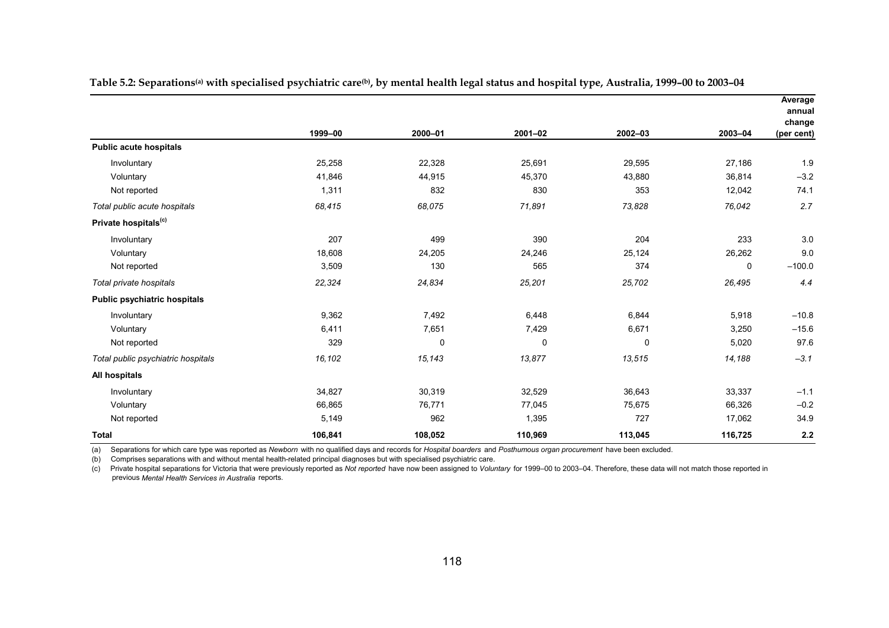|                                     |         |         |             |         |             | Average<br>annual |
|-------------------------------------|---------|---------|-------------|---------|-------------|-------------------|
|                                     |         |         |             |         |             | change            |
|                                     | 1999-00 | 2000-01 | $2001 - 02$ | 2002-03 | 2003-04     | (per cent)        |
| <b>Public acute hospitals</b>       |         |         |             |         |             |                   |
| Involuntary                         | 25,258  | 22,328  | 25,691      | 29,595  | 27,186      | 1.9               |
| Voluntary                           | 41,846  | 44,915  | 45,370      | 43,880  | 36,814      | $-3.2$            |
| Not reported                        | 1,311   | 832     | 830         | 353     | 12,042      | 74.1              |
| Total public acute hospitals        | 68,415  | 68,075  | 71,891      | 73,828  | 76,042      | 2.7               |
| Private hospitals <sup>(c)</sup>    |         |         |             |         |             |                   |
| Involuntary                         | 207     | 499     | 390         | 204     | 233         | 3.0               |
| Voluntary                           | 18,608  | 24,205  | 24,246      | 25,124  | 26,262      | 9.0               |
| Not reported                        | 3,509   | 130     | 565         | 374     | $\mathbf 0$ | $-100.0$          |
| Total private hospitals             | 22,324  | 24,834  | 25,201      | 25,702  | 26,495      | 4.4               |
| <b>Public psychiatric hospitals</b> |         |         |             |         |             |                   |
| Involuntary                         | 9,362   | 7,492   | 6,448       | 6,844   | 5,918       | $-10.8$           |
| Voluntary                           | 6,411   | 7,651   | 7,429       | 6,671   | 3,250       | $-15.6$           |
| Not reported                        | 329     | 0       | 0           | 0       | 5,020       | 97.6              |
| Total public psychiatric hospitals  | 16,102  | 15,143  | 13,877      | 13,515  | 14,188      | $-3.1$            |
| All hospitals                       |         |         |             |         |             |                   |
| Involuntary                         | 34,827  | 30,319  | 32,529      | 36,643  | 33,337      | $-1.1$            |
| Voluntary                           | 66,865  | 76,771  | 77,045      | 75,675  | 66,326      | $-0.2$            |
| Not reported                        | 5,149   | 962     | 1,395       | 727     | 17,062      | 34.9              |
| <b>Total</b>                        | 106,841 | 108,052 | 110,969     | 113,045 | 116,725     | 2.2               |

Table 5.2: Separations<sup>(a)</sup> with specialised psychiatric care<sup>(b)</sup>, by mental health legal status and hospital type, Australia, 1999-00 to 2003-04

(a) Separations for which care type was reported as *Newborn* with no qualified days and records for *Hospital boarders* and *Posthumous organ procurement* have been excluded.

(b) Comprises separations with and without mental health-related principal diagnoses but with specialised psychiatric care.

 previous *Mental Health Services in Australia* reports. (c) Private hospital separations for Victoria that were previously reported as *Not reported* have now been assigned to *Voluntary* for 1999–00 to 2003–04. Therefore, these data will not match those reported in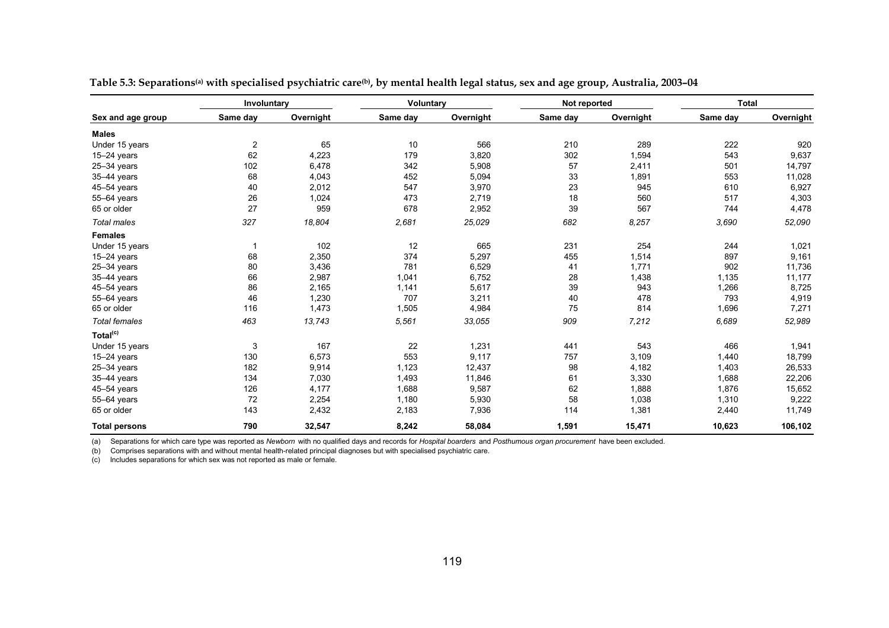|                      | Involuntary    |           | <b>Voluntary</b> |           | Not reported |           | <b>Total</b> |           |
|----------------------|----------------|-----------|------------------|-----------|--------------|-----------|--------------|-----------|
| Sex and age group    | Same day       | Overnight | Same day         | Overnight | Same day     | Overnight | Same day     | Overnight |
| <b>Males</b>         |                |           |                  |           |              |           |              |           |
| Under 15 years       | $\overline{2}$ | 65        | 10               | 566       | 210          | 289       | 222          | 920       |
| $15-24$ years        | 62             | 4,223     | 179              | 3,820     | 302          | 1,594     | 543          | 9,637     |
| $25 - 34$ years      | 102            | 6,478     | 342              | 5,908     | 57           | 2,411     | 501          | 14,797    |
| 35-44 years          | 68             | 4,043     | 452              | 5,094     | 33           | 1,891     | 553          | 11,028    |
| 45-54 years          | 40             | 2,012     | 547              | 3,970     | 23           | 945       | 610          | 6,927     |
| 55-64 years          | 26             | 1,024     | 473              | 2,719     | $18\,$       | 560       | 517          | 4,303     |
| 65 or older          | 27             | 959       | 678              | 2,952     | 39           | 567       | 744          | 4,478     |
| <b>Total males</b>   | 327            | 18,804    | 2,681            | 25,029    | 682          | 8,257     | 3.690        | 52,090    |
| <b>Females</b>       |                |           |                  |           |              |           |              |           |
| Under 15 years       |                | 102       | 12               | 665       | 231          | 254       | 244          | 1,021     |
| $15-24$ years        | 68             | 2,350     | 374              | 5,297     | 455          | 1,514     | 897          | 9,161     |
| $25 - 34$ years      | 80             | 3,436     | 781              | 6,529     | 41           | 1,771     | 902          | 11,736    |
| 35-44 years          | 66             | 2,987     | 1,041            | 6,752     | 28           | 1,438     | 1,135        | 11,177    |
| $45 - 54$ years      | 86             | 2,165     | 1,141            | 5,617     | 39           | 943       | 1,266        | 8,725     |
| 55-64 years          | 46             | 1,230     | 707              | 3,211     | 40           | 478       | 793          | 4,919     |
| 65 or older          | 116            | 1,473     | 1,505            | 4,984     | 75           | 814       | 1,696        | 7,271     |
| <b>Total females</b> | 463            | 13,743    | 5,561            | 33,055    | 909          | 7,212     | 6,689        | 52,989    |
| Total <sup>(c)</sup> |                |           |                  |           |              |           |              |           |
| Under 15 years       | 3              | 167       | 22               | 1,231     | 441          | 543       | 466          | 1,941     |
| $15-24$ years        | 130            | 6,573     | 553              | 9,117     | 757          | 3,109     | 1,440        | 18,799    |
| $25 - 34$ years      | 182            | 9,914     | 1,123            | 12,437    | 98           | 4,182     | 1,403        | 26,533    |
| 35-44 years          | 134            | 7,030     | 1,493            | 11,846    | 61           | 3,330     | 1,688        | 22,206    |
| $45 - 54$ years      | 126            | 4,177     | 1,688            | 9,587     | 62           | 1,888     | 1,876        | 15,652    |
| 55-64 years          | 72             | 2,254     | 1,180            | 5,930     | 58           | 1,038     | 1,310        | 9,222     |
| 65 or older          | 143            | 2,432     | 2,183            | 7,936     | 114          | 1,381     | 2,440        | 11,749    |
| <b>Total persons</b> | 790            | 32,547    | 8,242            | 58,084    | 1,591        | 15,471    | 10,623       | 106,102   |

Table 5.3: Separations<sup>(a)</sup> with specialised psychiatric care<sup>(b)</sup>, by mental health legal status, sex and age group, Australia, 2003-04

(a) Separations for which care type was reported as *Newborn* with no qualified days and records for *Hospital boarders* and *Posthumous organ procurement* have been excluded.

(b) Comprises separations with and without mental health-related principal diagnoses but with specialised psychiatric care.

(c) Includes separations for which sex was not reported as male or female.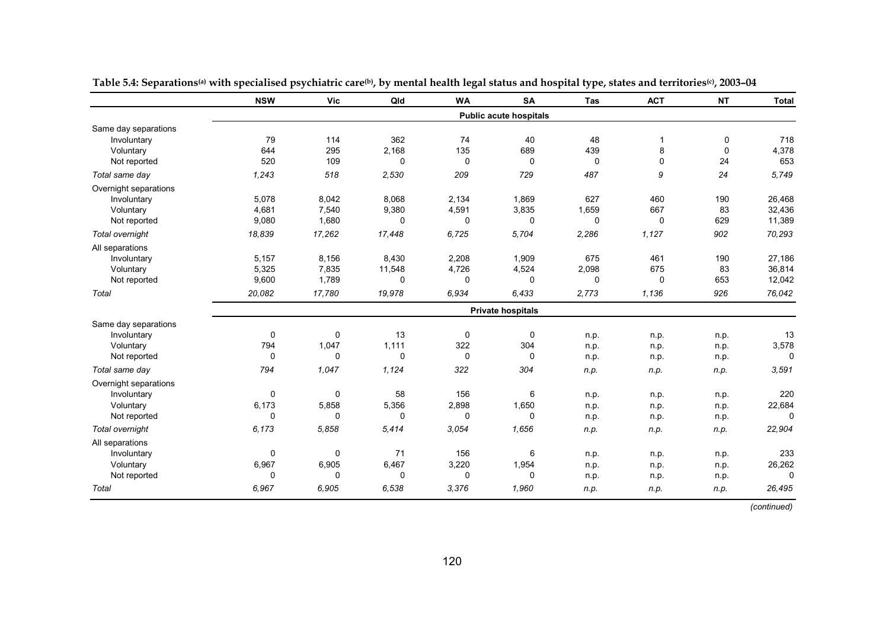|                       | <b>NSW</b>   | <b>Vic</b> | Qld         | <b>WA</b>    | <b>SA</b>                     | <b>Tas</b>  | <b>ACT</b>   | <b>NT</b> | <b>Total</b> |
|-----------------------|--------------|------------|-------------|--------------|-------------------------------|-------------|--------------|-----------|--------------|
|                       |              |            |             |              | <b>Public acute hospitals</b> |             |              |           |              |
| Same day separations  |              |            |             |              |                               |             |              |           |              |
| Involuntary           | 79           | 114        | 362         | 74           | 40                            | 48          | $\mathbf{1}$ | 0         | 718          |
| Voluntary             | 644          | 295        | 2,168       | 135          | 689                           | 439         | 8            | $\Omega$  | 4,378        |
| Not reported          | 520          | 109        | 0           | $\mathbf 0$  | 0                             | $\mathbf 0$ | 0            | 24        | 653          |
| Total same day        | 1,243        | 518        | 2,530       | 209          | 729                           | 487         | 9            | 24        | 5,749        |
| Overnight separations |              |            |             |              |                               |             |              |           |              |
| Involuntary           | 5,078        | 8,042      | 8,068       | 2,134        | 1,869                         | 627         | 460          | 190       | 26,468       |
| Voluntary             | 4,681        | 7,540      | 9,380       | 4,591        | 3,835                         | 1,659       | 667          | 83        | 32,436       |
| Not reported          | 9,080        | 1,680      | 0           | 0            | 0                             | $\mathbf 0$ | 0            | 629       | 11,389       |
| Total overnight       | 18,839       | 17,262     | 17,448      | 6,725        | 5,704                         | 2,286       | 1,127        | 902       | 70,293       |
| All separations       |              |            |             |              |                               |             |              |           |              |
| Involuntary           | 5,157        | 8,156      | 8,430       | 2,208        | 1,909                         | 675         | 461          | 190       | 27,186       |
| Voluntary             | 5,325        | 7,835      | 11,548      | 4,726        | 4,524                         | 2,098       | 675          | 83        | 36,814       |
| Not reported          | 9,600        | 1,789      | 0           | $\mathbf 0$  | 0                             | $\mathbf 0$ | 0            | 653       | 12,042       |
| Total                 | 20,082       | 17,780     | 19,978      | 6.934        | 6.433                         | 2,773       | 1,136        | 926       | 76,042       |
|                       |              |            |             |              | <b>Private hospitals</b>      |             |              |           |              |
| Same day separations  |              |            |             |              |                               |             |              |           |              |
| Involuntary           | $\mathbf 0$  | 0          | 13          | $\mathbf 0$  | $\mathbf 0$                   | n.p.        | n.p.         | n.p.      | 13           |
| Voluntary             | 794          | 1,047      | 1,111       | 322          | 304                           | n.p.        | n.p.         | n.p.      | 3,578        |
| Not reported          | $\mathbf 0$  | 0          | $\mathbf 0$ | $\mathbf 0$  | 0                             | n.p.        | n.p.         | n.p.      | 0            |
| Total same day        | 794          | 1,047      | 1,124       | 322          | 304                           | n.p.        | n.p.         | n.p.      | 3,591        |
| Overnight separations |              |            |             |              |                               |             |              |           |              |
| Involuntary           | $\mathbf 0$  | 0          | 58          | 156          | 6                             | n.p.        | n.p.         | n.p.      | 220          |
| Voluntary             | 6,173        | 5,858      | 5,356       | 2,898        | 1,650                         | n.p.        | n.p.         | n.p.      | 22,684       |
| Not reported          | $\Omega$     | 0          | $\Omega$    | $\mathbf{0}$ | $\Omega$                      | n.p.        | n.p.         | n.p.      | $\Omega$     |
| Total overnight       | 6,173        | 5,858      | 5,414       | 3.054        | 1,656                         | n.p.        | n.p.         | n.p.      | 22,904       |
| All separations       |              |            |             |              |                               |             |              |           |              |
| Involuntary           | 0            | 0          | 71          | 156          | 6                             | n.p.        | n.p.         | n.p.      | 233          |
| Voluntary             | 6,967        | 6,905      | 6,467       | 3,220        | 1,954                         | n.p.        | n.p.         | n.p.      | 26,262       |
| Not reported          | $\mathbf{0}$ | 0          | $\mathbf 0$ | $\mathbf 0$  | 0                             | n.p.        | n.p.         | n.p.      | $\Omega$     |
| Total                 | 6,967        | 6,905      | 6.538       | 3.376        | 1,960                         | n.p.        | n.p.         | n.p.      | 26,495       |

Table 5.4: Separations<sup>(a)</sup> with specialised psychiatric care<sup>(b)</sup>, by mental health legal status and hospital type, states and territories<sup>(c)</sup>, 2003-04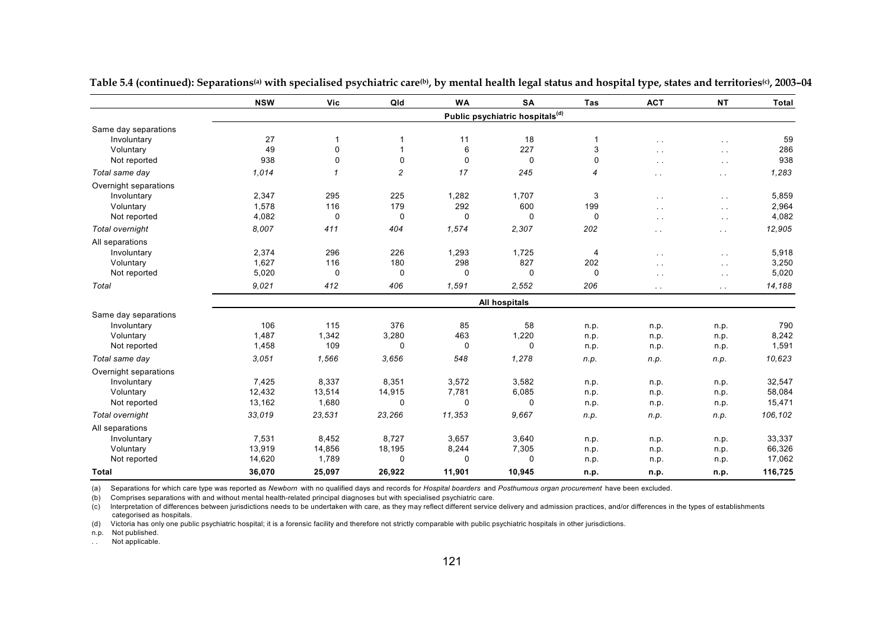|                       | <b>NSW</b> | Vic          | Qld            | <b>WA</b>   | <b>SA</b>                                   | Tas            | <b>ACT</b>           | <b>NT</b>     | Total   |
|-----------------------|------------|--------------|----------------|-------------|---------------------------------------------|----------------|----------------------|---------------|---------|
|                       |            |              |                |             | Public psychiatric hospitals <sup>(d)</sup> |                |                      |               |         |
| Same day separations  |            |              |                |             |                                             |                |                      |               |         |
| Involuntary           | 27         | 1            | 1              | 11          | 18                                          |                | $\ddot{\phantom{1}}$ | $\sim$ $\sim$ | 59      |
| Voluntary             | 49         | 0            |                | 6           | 227                                         | 3              |                      | $\sim$        | 286     |
| Not reported          | 938        | $\mathbf 0$  | $\mathbf 0$    | $\mathbf 0$ | 0                                           | 0              | $\ddot{\phantom{0}}$ | $\sim$ $\sim$ | 938     |
| Total same day        | 1,014      | $\mathbf{1}$ | $\overline{c}$ | 17          | 245                                         | $\overline{4}$ | $\ddotsc$            | $\sim$ $\sim$ | 1,283   |
| Overnight separations |            |              |                |             |                                             |                |                      |               |         |
| Involuntary           | 2,347      | 295          | 225            | 1,282       | 1,707                                       | 3              | $\ddotsc$            | $\sim$        | 5,859   |
| Voluntary             | 1,578      | 116          | 179            | 292         | 600                                         | 199            | $\cdot$ .            | $\sim$ $\sim$ | 2,964   |
| Not reported          | 4,082      | 0            | 0              | $\mathbf 0$ | $\mathbf 0$                                 | $\mathbf 0$    | $\ddot{\phantom{0}}$ | $\sim$ $\sim$ | 4,082   |
| Total overnight       | 8.007      | 411          | 404            | 1,574       | 2,307                                       | 202            | $\sim$               | $\sim$ $\sim$ | 12,905  |
| All separations       |            |              |                |             |                                             |                |                      |               |         |
| Involuntary           | 2,374      | 296          | 226            | 1,293       | 1,725                                       | 4              | $\ddotsc$            | $\sim$ $\sim$ | 5,918   |
| Voluntary             | 1,627      | 116          | 180            | 298         | 827                                         | 202            |                      | $\sim$        | 3,250   |
| Not reported          | 5,020      | 0            | 0              | $\mathbf 0$ | $\mathbf 0$                                 | $\mathbf 0$    | $\ddot{\phantom{0}}$ | $\sim$ $\sim$ | 5,020   |
| Total                 | 9.021      | 412          | 406            | 1.591       | 2,552                                       | 206            | $\sim$ $\sim$        | $\sim$ $\sim$ | 14,188  |
|                       |            |              |                |             | All hospitals                               |                |                      |               |         |
| Same day separations  |            |              |                |             |                                             |                |                      |               |         |
| Involuntary           | 106        | 115          | 376            | 85          | 58                                          | n.p.           | n.p.                 | n.p.          | 790     |
| Voluntary             | 1,487      | 1,342        | 3,280          | 463         | 1,220                                       | n.p.           | n.p.                 | n.p.          | 8,242   |
| Not reported          | 1,458      | 109          | 0              | $\mathbf 0$ | $\mathbf 0$                                 | n.p.           | n.p.                 | n.p.          | 1,591   |
| Total same day        | 3,051      | 1,566        | 3.656          | 548         | 1,278                                       | n.p.           | n.p.                 | n.p.          | 10,623  |
| Overnight separations |            |              |                |             |                                             |                |                      |               |         |
| Involuntary           | 7,425      | 8,337        | 8,351          | 3,572       | 3,582                                       | n.p.           | n.p.                 | n.p.          | 32,547  |
| Voluntary             | 12,432     | 13,514       | 14,915         | 7,781       | 6,085                                       | n.p.           | n.p.                 | n.p.          | 58,084  |
| Not reported          | 13,162     | 1,680        | 0              | 0           | 0                                           | n.p.           | n.p.                 | n.p.          | 15,471  |
| Total overnight       | 33,019     | 23,531       | 23,266         | 11,353      | 9,667                                       | n.p.           | n.p.                 | n.p.          | 106,102 |
| All separations       |            |              |                |             |                                             |                |                      |               |         |
| Involuntary           | 7,531      | 8,452        | 8,727          | 3,657       | 3,640                                       | n.p.           | n.p.                 | n.p.          | 33,337  |
| Voluntary             | 13,919     | 14,856       | 18,195         | 8,244       | 7,305                                       | n.p.           | n.p.                 | n.p.          | 66,326  |
| Not reported          | 14,620     | 1,789        | $\mathbf 0$    | $\mathbf 0$ | $\mathbf 0$                                 | n.p.           | n.p.                 | n.p.          | 17,062  |
| <b>Total</b>          | 36,070     | 25,097       | 26,922         | 11,901      | 10,945                                      | n.p.           | n.p.                 | n.p.          | 116,725 |

**Table 5.4 (continued): Separations(a) with specialised psychiatric care(b), by mental health legal status and hospital type, states and territories(c), 2003–04** 

(a) Separations for which care type was reported as *Newborn* with no qualified days and records for *Hospital boarders* and *Posthumous organ procurement* have been excluded.

(b) Comprises separations with and without mental health-related principal diagnoses but with specialised psychiatric care.

(c) Interpretation of differences between jurisdictions needs to be undertaken with care, as they may reflect different service delivery and admission practices, and/or differences in the types of establishments categorised as hospitals.

(d) Victoria has only one public psychiatric hospital; it is a forensic facility and therefore not strictly comparable with public psychiatric hospitals in other jurisdictions.

n.p. Not published.

. . Not applicable.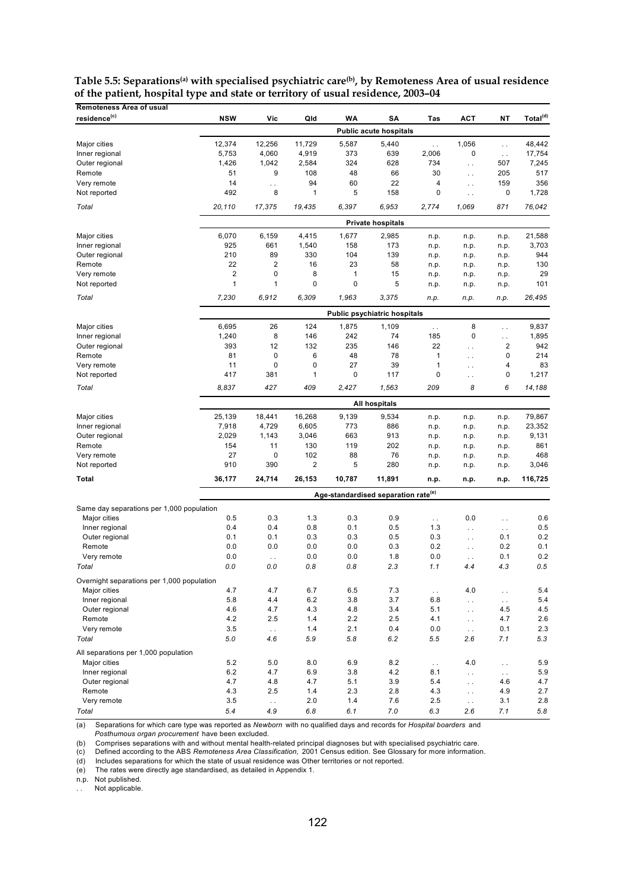| <b>Remoteness Area of usual</b>            |                         |                         |                |        |                                                 |                        |                        |                        |                      |
|--------------------------------------------|-------------------------|-------------------------|----------------|--------|-------------------------------------------------|------------------------|------------------------|------------------------|----------------------|
| residence <sup>(c)</sup>                   | <b>NSW</b>              | Vic                     | Qld            | WΑ     | SΑ                                              | Tas                    | <b>ACT</b>             | NΤ                     | Total <sup>(d)</sup> |
|                                            |                         |                         |                |        | <b>Public acute hospitals</b>                   |                        |                        |                        |                      |
| Major cities                               | 12,374                  | 12,256                  | 11,729         | 5,587  | 5,440                                           | $\ddot{\phantom{1}}$ . | 1,056                  | L.                     | 48,442               |
| Inner regional                             | 5,753                   | 4,060                   | 4,919          | 373    | 639                                             | 2,006                  | $\mathbf 0$            | $\ddot{\phantom{a}}$   | 17,754               |
| Outer regional                             | 1,426                   | 1,042                   | 2,584          | 324    | 628                                             | 734                    | $\ddotsc$              | 507                    | 7,245                |
| Remote                                     | 51                      | 9                       | 108            | 48     | 66                                              | 30                     | $\ddotsc$              | 205                    | 517                  |
| Very remote                                | 14                      | $\ddotsc$               | 94             | 60     | 22                                              | 4                      | $\ddotsc$              | 159                    | 356                  |
| Not reported                               | 492                     | 8                       | $\mathbf{1}$   | 5      | 158                                             | 0                      | $\ddotsc$              | 0                      | 1,728                |
|                                            |                         |                         |                |        |                                                 |                        |                        |                        |                      |
| Total                                      | 20,110                  | 17,375                  | 19,435         | 6.397  | 6,953                                           | 2,774                  | 1,069                  | 871                    | 76,042               |
|                                            |                         |                         |                |        | <b>Private hospitals</b>                        |                        |                        |                        |                      |
| Major cities                               | 6,070                   | 6,159                   | 4,415          | 1,677  | 2,985                                           | n.p.                   | n.p.                   | n.p.                   | 21,588               |
| Inner regional                             | 925                     | 661                     | 1,540          | 158    | 173                                             | n.p.                   | n.p.                   | n.p.                   | 3,703                |
| Outer regional                             | 210                     | 89                      | 330            | 104    | 139                                             | n.p.                   | n.p.                   | n.p.                   | 944                  |
| Remote                                     | 22                      | $\overline{\mathbf{c}}$ | 16             | 23     | 58                                              | n.p.                   | n.p.                   | n.p.                   | 130                  |
| Very remote                                | $\overline{\mathbf{c}}$ | 0                       | 8              | 1      | 15                                              | n.p.                   | n.p.                   | n.p.                   | 29                   |
| Not reported                               | $\mathbf{1}$            | 1                       | $\mathbf 0$    | 0      | 5                                               | n.p.                   | n.p.                   | n.p.                   | 101                  |
| Total                                      | 7,230                   | 6,912                   | 6,309          | 1,963  | 3,375                                           | n.p.                   | n.p.                   | n.p.                   | 26,495               |
|                                            |                         |                         |                |        | <b>Public psychiatric hospitals</b>             |                        |                        |                        |                      |
| Major cities                               | 6,695                   | 26                      | 124            | 1,875  | 1,109                                           | $\ddot{\phantom{1}}$ . | 8                      | $\ddot{\phantom{0}}$   | 9,837                |
| Inner regional                             | 1,240                   | 8                       | 146            | 242    | 74                                              | 185                    | 0                      | $\ddotsc$              | 1,895                |
| Outer regional                             | 393                     | 12                      | 132            | 235    | 146                                             | 22                     | $\ddot{\phantom{a}}$   | $\overline{2}$         | 942                  |
| Remote                                     | 81                      | 0                       | 6              | 48     | 78                                              | 1                      | $\ddotsc$              | 0                      | 214                  |
| Very remote                                | 11                      | 0                       | 0              | 27     | 39                                              | 1                      | $\ddot{\phantom{0}}$   | 4                      | 83                   |
| Not reported                               | 417                     | 381                     | $\mathbf{1}$   | 0      | 117                                             | 0                      | $\ddotsc$              | 0                      | 1,217                |
| Total                                      | 8,837                   | 427                     | 409            | 2,427  | 1,563                                           | 209                    | 8                      | 6                      | 14,188               |
|                                            |                         |                         |                |        | All hospitals                                   |                        |                        |                        |                      |
| Major cities                               | 25,139                  | 18,441                  | 16,268         | 9,139  | 9,534                                           |                        |                        |                        | 79,867               |
| Inner regional                             | 7,918                   | 4,729                   | 6,605          | 773    | 886                                             | n.p.                   | n.p.                   | n.p.                   | 23,352               |
| Outer regional                             | 2,029                   | 1,143                   | 3,046          | 663    | 913                                             | n.p.<br>n.p.           | n.p.<br>n.p.           | n.p.<br>n.p.           | 9,131                |
| Remote                                     | 154                     | 11                      | 130            | 119    | 202                                             | n.p.                   | n.p.                   | n.p.                   | 861                  |
| Very remote                                | 27                      | 0                       | 102            | 88     | 76                                              | n.p.                   | n.p.                   | n.p.                   | 468                  |
| Not reported                               | 910                     | 390                     | $\overline{2}$ | 5      | 280                                             | n.p.                   | n.p.                   | n.p.                   | 3,046                |
| Total                                      | 36,177                  | 24,714                  | 26,153         | 10,787 | 11,891                                          | n.p.                   | n.p.                   | n.p.                   | 116,725              |
|                                            |                         |                         |                |        |                                                 |                        |                        |                        |                      |
|                                            |                         |                         |                |        | Age-standardised separation rate <sup>(e)</sup> |                        |                        |                        |                      |
| Same day separations per 1,000 population  |                         |                         |                |        |                                                 |                        |                        |                        |                      |
| Major cities                               | 0.5                     | 0.3                     | 1.3            | 0.3    | 0.9                                             | $\ddot{\phantom{1}}$ . | 0.0                    | $\ddot{\phantom{0}}$   | 0.6                  |
| Inner regional                             | 0.4                     | 0.4                     | 0.8            | 0.1    | 0.5                                             | 1.3                    | $\ddot{\phantom{1}}$ . | $\ddot{\phantom{0}}$   | 0.5                  |
| Outer regional                             | 0.1                     | 0.1                     | 0.3            | 0.3    | 0.5                                             | 0.3                    | $\ddotsc$              | 0.1                    | 0.2                  |
| Remote                                     | 0.0                     | 0.0                     | 0.0            | 0.0    | 0.3                                             | 0.2                    | $\ddotsc$              | 0.2                    | 0.1                  |
| Very remote                                | 0.0                     | $\mathbb{Z}^{\times}$   | 0.0            | 0.0    | 1.8                                             | 0.0                    | $\ddot{\phantom{a}}$ . | 0.1                    | 0.2                  |
| Total                                      | 0.0                     | 0.0                     | 0.8            | 0.8    | 2.3                                             | 1.1                    | 4.4                    | 4.3                    | 0.5                  |
| Overnight separations per 1,000 population |                         |                         |                |        |                                                 |                        |                        |                        |                      |
| Major cities                               | 4.7                     | 4.7                     | 6.7            | 6.5    | 7.3                                             | $\sim$ .               | 4.0                    | $\ddot{\phantom{1}}$ . | 5.4                  |
| Inner regional                             | 5.8                     | 4.4                     | $6.2\,$        | 3.8    | 3.7                                             | 6.8                    | $\ddot{\phantom{1}}$ . | $\ddot{\phantom{1}}$ . | 5.4                  |
| Outer regional                             | 4.6                     | 4.7                     | 4.3            | 4.8    | 3.4                                             | 5.1                    | $\ddot{\phantom{1}}$ . | 4.5                    | 4.5                  |
| Remote                                     | 4.2                     | 2.5                     | 1.4            | 2.2    | 2.5                                             | 4.1                    | $\ddot{\phantom{1}}$ . | 4.7                    | 2.6                  |
| Very remote                                | 3.5                     | $\bar{\nu}$ .           | 1.4            | 2.1    | 0.4                                             | 0.0                    | $\ddot{\phantom{1}}$ . | 0.1                    | 2.3                  |
| Total                                      | 5.0                     | 4.6                     | 5.9            | 5.8    | 6.2                                             | 5.5                    | 2.6                    | 7.1                    | 5.3                  |
| All separations per 1,000 population       |                         |                         |                |        |                                                 |                        |                        |                        |                      |
| Major cities                               | 5.2                     | 5.0                     | 8.0            | 6.9    | 8.2                                             | $\sim$ $\sim$          | 4.0                    | $\ddot{\phantom{a}}$   | 5.9                  |
| Inner regional                             | 6.2                     | 4.7                     | 6.9            | 3.8    | 4.2                                             | 8.1                    | $\ddot{\phantom{1}}$ . | $\ddot{\phantom{1}}$ . | 5.9                  |
| Outer regional                             | 4.7                     | 4.8                     | 4.7            | 5.1    | 3.9                                             | 5.4                    | $\ddot{\phantom{1}}$ . | 4.6                    | 4.7                  |
| Remote                                     | 4.3                     | 2.5                     | 1.4            | 2.3    | 2.8                                             | 4.3                    | $\ddot{\phantom{1}}$ . | 4.9                    | 2.7                  |
| Very remote                                | 3.5                     | $\ddot{\phantom{1}}$ .  | 2.0            | 1.4    | 7.6                                             | 2.5                    | $\sim$ $\sim$          | 3.1                    | 2.8                  |
| Total                                      | 5.4                     | 4.9                     | 6.8            | 6.1    | 7.0                                             | 6.3                    | 2.6                    | 7.1                    | 5.8                  |

Table 5.5: Separations<sup>(a)</sup> with specialised psychiatric care<sup>(b)</sup>, by Remoteness Area of usual residence **of the patient, hospital type and state or territory of usual residence, 2003–04**

(a) Separations for which care type was reported as *Newborn* with no qualified days and records for *Hospital boarders* and

*Posthumous organ procurement* have been excluded.

(b) Comprises separations with and without mental health-related principal diagnoses but with specialised psychiatric care.<br>(c) Defined according to the ABS *Remoteness Area Classification,* 2001 Census edition. See Glossa

(d) Includes separations for which the state of usual residence was Other territories or not reported.

(e) The rates were directly age standardised, as detailed in Appendix 1.

n.p. Not published.

.. Not applicable.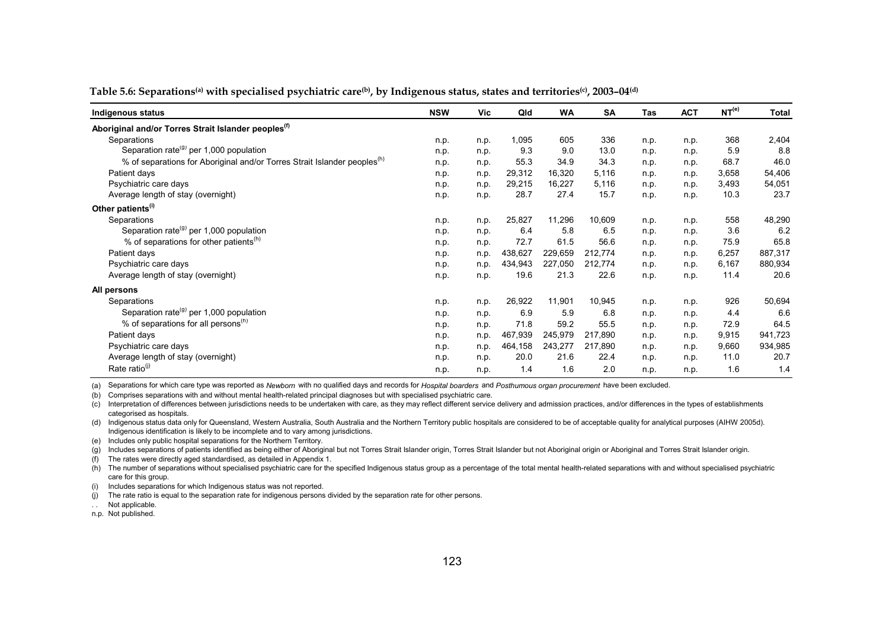| Indigenous status                                                                    | <b>NSW</b> | Vic  | Qld     | <b>WA</b> | <b>SA</b> | Tas  | <b>ACT</b> | NT <sup>(e)</sup> | <b>Total</b> |
|--------------------------------------------------------------------------------------|------------|------|---------|-----------|-----------|------|------------|-------------------|--------------|
| Aboriginal and/or Torres Strait Islander peoples <sup>(1)</sup>                      |            |      |         |           |           |      |            |                   |              |
| Separations                                                                          | n.p.       | n.p. | 1,095   | 605       | 336       | n.p. | n.p.       | 368               | 2,404        |
| Separation rate <sup>(g)</sup> per 1,000 population                                  | n.p.       | n.p. | 9.3     | 9.0       | 13.0      | n.p. | n.p.       | 5.9               | 8.8          |
| % of separations for Aboriginal and/or Torres Strait Islander peoples <sup>(n)</sup> | n.p.       | n.p. | 55.3    | 34.9      | 34.3      | n.p. | n.p.       | 68.7              | 46.0         |
| Patient days                                                                         | n.p.       | n.p. | 29,312  | 16,320    | 5,116     | n.p. | n.p.       | 3,658             | 54,406       |
| Psychiatric care days                                                                | n.p.       | n.p. | 29,215  | 16,227    | 5,116     | n.p. | n.p.       | 3,493             | 54,051       |
| Average length of stay (overnight)                                                   | n.p.       | n.p. | 28.7    | 27.4      | 15.7      | n.p. | n.p.       | 10.3              | 23.7         |
| Other patients <sup>(i)</sup>                                                        |            |      |         |           |           |      |            |                   |              |
| Separations                                                                          | n.p.       | n.p. | 25,827  | 11,296    | 10,609    | n.p. | n.p.       | 558               | 48,290       |
| Separation rate <sup>(g)</sup> per 1,000 population                                  | n.p.       | n.p. | 6.4     | 5.8       | 6.5       | n.p. | n.p.       | 3.6               | 6.2          |
| % of separations for other patients <sup>(h)</sup>                                   | n.p.       | n.p. | 72.7    | 61.5      | 56.6      | n.p. | n.p.       | 75.9              | 65.8         |
| Patient days                                                                         | n.p.       | n.p. | 438,627 | 229,659   | 212,774   | n.p. | n.p.       | 6,257             | 887,317      |
| Psychiatric care days                                                                | n.p.       | n.p. | 434,943 | 227,050   | 212,774   | n.p. | n.p.       | 6,167             | 880,934      |
| Average length of stay (overnight)                                                   | n.p.       | n.p. | 19.6    | 21.3      | 22.6      | n.p. | n.p.       | 11.4              | 20.6         |
| All persons                                                                          |            |      |         |           |           |      |            |                   |              |
| Separations                                                                          | n.p.       | n.p. | 26,922  | 11,901    | 10,945    | n.p. | n.p.       | 926               | 50,694       |
| Separation rate <sup>(g)</sup> per 1,000 population                                  | n.p.       | n.p. | 6.9     | 5.9       | 6.8       | n.p. | n.p.       | 4.4               | 6.6          |
| % of separations for all persons <sup>(h)</sup>                                      | n.p.       | n.p. | 71.8    | 59.2      | 55.5      | n.p. | n.p.       | 72.9              | 64.5         |
| Patient days                                                                         | n.p.       | n.p. | 467,939 | 245,979   | 217,890   | n.p. | n.p.       | 9,915             | 941,723      |
| Psychiatric care days                                                                | n.p.       | n.p. | 464,158 | 243,277   | 217,890   | n.p. | n.p.       | 9,660             | 934,985      |
| Average length of stay (overnight)                                                   | n.p.       | n.p. | 20.0    | 21.6      | 22.4      | n.p. | n.p.       | 11.0              | 20.7         |
| Rate ratio <sup>(j)</sup>                                                            | n.p.       | n.p. | 1.4     | 1.6       | 2.0       | n.p. | n.p.       | 1.6               | 1.4          |

#### Table 5.6: Separations<sup>(a)</sup> with specialised psychiatric care<sup>(b)</sup>, by Indigenous status, states and territories<sup>(c)</sup>, 2003–04<sup>(d)</sup>

(a) Separations for which care type was reported as *Newborn* with no qualified days and records for *Hospital boarders* and *Posthumous organ procurement* have been excluded.

(b) Comprises separations with and without mental health-related principal diagnoses but with specialised psychiatric care.

(c) Interpretation of differences between jurisdictions needs to be undertaken with care, as they may reflect different service delivery and admission practices, and/or differences in the types of establishments categorised as hospitals.

(d) Indigenous status data only for Queensland, Western Australia, South Australia and the Northern Territory public hospitals are considered to be of acceptable quality for analytical purposes (AIHW 2005d). Indigenous identification is likely to be incomplete and to vary among jurisdictions.

(e) Includes only public hospital separations for the Northern Territory.

(g) Includes separations of patients identified as being either of Aboriginal but not Torres Strait Islander origin, Torres Strait Islander but not Aboriginal origin or Aboriginal and Torres Strait Islander origin.

(f) The rates were directly aged standardised, as detailed in Appendix 1.

(h) The number of separations without specialised psychiatric care for the specified Indigenous status group as a percentage of the total mental health-related separations with and without specialised psychiatric care for this group.

(i) Includes separations for which Indigenous status was not reported.

(j) The rate ratio is equal to the separation rate for indigenous persons divided by the separation rate for other persons.

. . Not applicable.

n.p. Not published.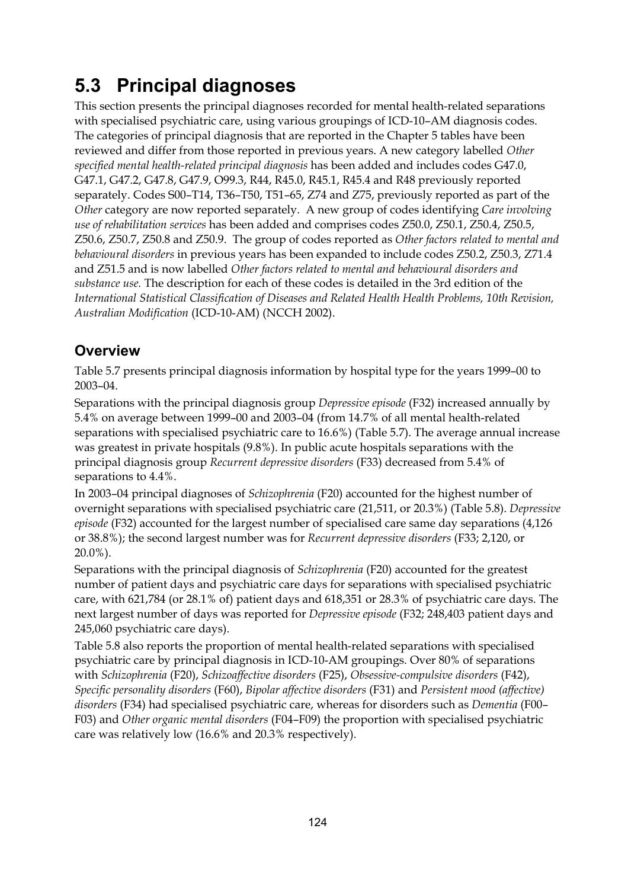## **5.3 Principal diagnoses**

This section presents the principal diagnoses recorded for mental health-related separations with specialised psychiatric care, using various groupings of ICD-10–AM diagnosis codes. The categories of principal diagnosis that are reported in the Chapter 5 tables have been reviewed and differ from those reported in previous years. A new category labelled *Other specified mental health-related principal diagnosis* has been added and includes codes G47.0, G47.1, G47.2, G47.8, G47.9, O99.3, R44, R45.0, R45.1, R45.4 and R48 previously reported separately. Codes S00–T14, T36–T50, T51–65, Z74 and Z75, previously reported as part of the *Other* category are now reported separately. A new group of codes identifying *Care involving use of rehabilitation services* has been added and comprises codes Z50.0, Z50.1, Z50.4, Z50.5, Z50.6, Z50.7, Z50.8 and Z50.9. The group of codes reported as *Other factors related to mental and behavioural disorders* in previous years has been expanded to include codes Z50.2, Z50.3, Z71.4 and Z51.5 and is now labelled *Other factors related to mental and behavioural disorders and substance use.* The description for each of these codes is detailed in the 3rd edition of the *International Statistical Classification of Diseases and Related Health Health Problems, 10th Revision, Australian Modification* (ICD-10-AM) (NCCH 2002).

## **Overview**

Table 5.7 presents principal diagnosis information by hospital type for the years 1999–00 to 2003–04.

Separations with the principal diagnosis group *Depressive episode* (F32) increased annually by 5.4% on average between 1999–00 and 2003–04 (from 14.7% of all mental health-related separations with specialised psychiatric care to 16.6%) (Table 5.7). The average annual increase was greatest in private hospitals (9.8%). In public acute hospitals separations with the principal diagnosis group *Recurrent depressive disorders* (F33) decreased from 5.4% of separations to 4.4%.

In 2003–04 principal diagnoses of *Schizophrenia* (F20) accounted for the highest number of overnight separations with specialised psychiatric care (21,511, or 20.3%) (Table 5.8). *Depressive episode* (F32) accounted for the largest number of specialised care same day separations (4,126 or 38.8%); the second largest number was for *Recurrent depressive disorders* (F33; 2,120, or 20.0%).

Separations with the principal diagnosis of *Schizophrenia* (F20) accounted for the greatest number of patient days and psychiatric care days for separations with specialised psychiatric care, with 621,784 (or 28.1% of) patient days and 618,351 or 28.3% of psychiatric care days. The next largest number of days was reported for *Depressive episode* (F32; 248,403 patient days and 245,060 psychiatric care days).

Table 5.8 also reports the proportion of mental health-related separations with specialised psychiatric care by principal diagnosis in ICD-10-AM groupings. Over 80% of separations with *Schizophrenia* (F20), *Schizoaffective disorders* (F25), *Obsessive-compulsive disorders* (F42), *Specific personality disorders* (F60), *Bipolar affective disorders* (F31) and *Persistent mood (affective) disorders* (F34) had specialised psychiatric care, whereas for disorders such as *Dementia* (F00– F03) and *Other organic mental disorders* (F04–F09) the proportion with specialised psychiatric care was relatively low (16.6% and 20.3% respectively).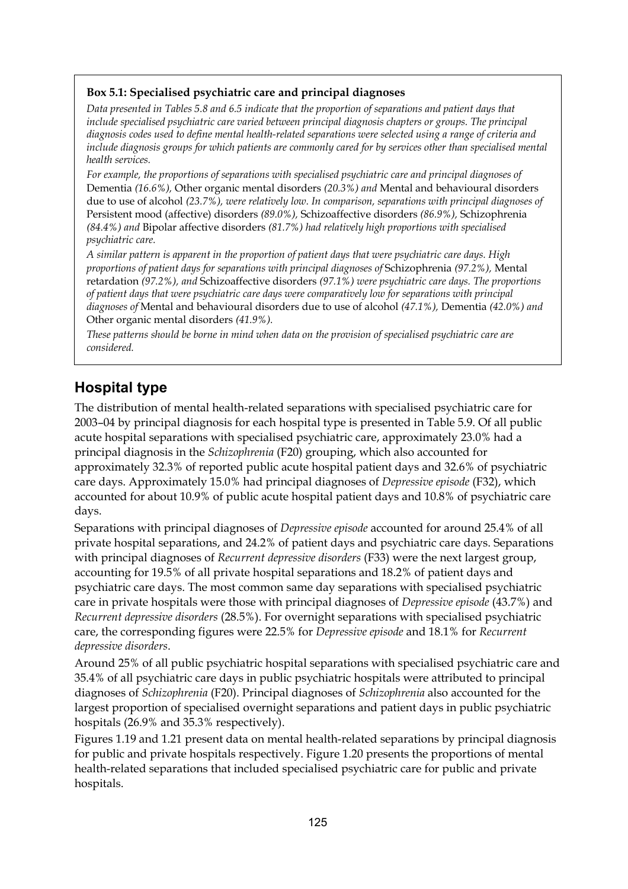#### **Box 5.1: Specialised psychiatric care and principal diagnoses**

*Data presented in Tables 5.8 and 6.5 indicate that the proportion of separations and patient days that include specialised psychiatric care varied between principal diagnosis chapters or groups. The principal diagnosis codes used to define mental health-related separations were selected using a range of criteria and include diagnosis groups for which patients are commonly cared for by services other than specialised mental health services.* 

*For example, the proportions of separations with specialised psychiatric care and principal diagnoses of*  Dementia *(16.6%),* Other organic mental disorders *(20.3%) and* Mental and behavioural disorders due to use of alcohol *(23.7%), were relatively low. In comparison, separations with principal diagnoses of* Persistent mood (affective) disorders *(89.0%),* Schizoaffective disorders *(86.9%),* Schizophrenia *(84.4%) and* Bipolar affective disorders *(81.7%) had relatively high proportions with specialised psychiatric care.* 

*A similar pattern is apparent in the proportion of patient days that were psychiatric care days. High proportions of patient days for separations with principal diagnoses of* Schizophrenia *(97.2%),* Mental retardation *(97.2%), and* Schizoaffective disorders *(97.1%) were psychiatric care days. The proportions of patient days that were psychiatric care days were comparatively low for separations with principal diagnoses of* Mental and behavioural disorders due to use of alcohol *(47.1%),* Dementia *(42.0%) and* Other organic mental disorders *(41.9%).* 

*These patterns should be borne in mind when data on the provision of specialised psychiatric care are considered.* 

#### **Hospital type**

The distribution of mental health-related separations with specialised psychiatric care for 2003–04 by principal diagnosis for each hospital type is presented in Table 5.9. Of all public acute hospital separations with specialised psychiatric care, approximately 23.0% had a principal diagnosis in the *Schizophrenia* (F20) grouping, which also accounted for approximately 32.3% of reported public acute hospital patient days and 32.6% of psychiatric care days. Approximately 15.0% had principal diagnoses of *Depressive episode* (F32), which accounted for about 10.9% of public acute hospital patient days and 10.8% of psychiatric care days.

Separations with principal diagnoses of *Depressive episode* accounted for around 25.4% of all private hospital separations, and 24.2% of patient days and psychiatric care days. Separations with principal diagnoses of *Recurrent depressive disorders* (F33) were the next largest group, accounting for 19.5% of all private hospital separations and 18.2% of patient days and psychiatric care days. The most common same day separations with specialised psychiatric care in private hospitals were those with principal diagnoses of *Depressive episode* (43.7%) and *Recurrent depressive disorders* (28.5%). For overnight separations with specialised psychiatric care, the corresponding figures were 22.5% for *Depressive episode* and 18.1% for *Recurrent depressive disorders*.

Around 25% of all public psychiatric hospital separations with specialised psychiatric care and 35.4% of all psychiatric care days in public psychiatric hospitals were attributed to principal diagnoses of *Schizophrenia* (F20). Principal diagnoses of *Schizophrenia* also accounted for the largest proportion of specialised overnight separations and patient days in public psychiatric hospitals (26.9% and 35.3% respectively).

Figures 1.19 and 1.21 present data on mental health-related separations by principal diagnosis for public and private hospitals respectively. Figure 1.20 presents the proportions of mental health-related separations that included specialised psychiatric care for public and private hospitals.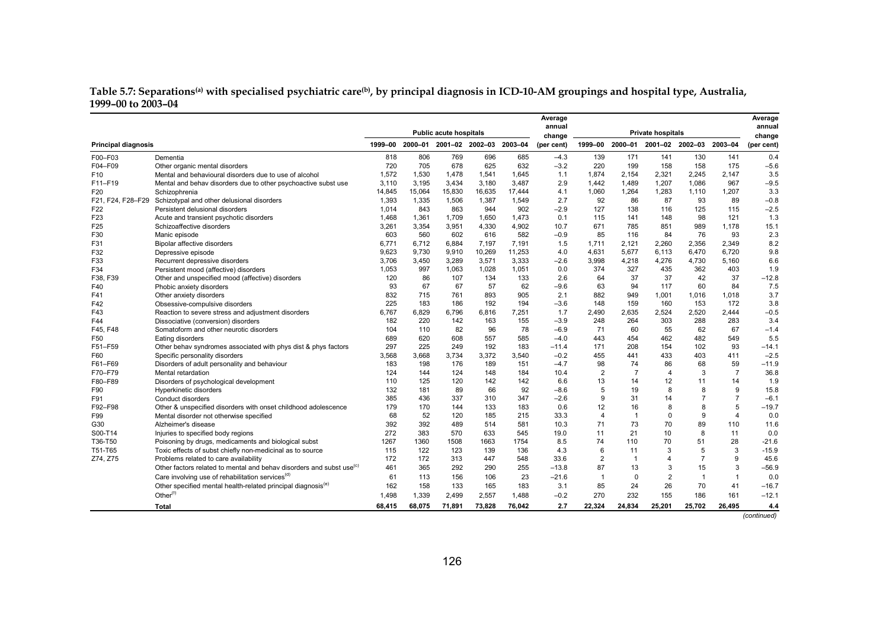#### **Table 5.7: Separations(a) with specialised psychiatric care(b), by principal diagnosis in ICD-10-AM groupings and hospital type, Australia, 1999–00 to 2003–04**

|                            |                                                                                  |         |         |                               |                         |        | Average          |                |                |                   |                         |                | Average          |
|----------------------------|----------------------------------------------------------------------------------|---------|---------|-------------------------------|-------------------------|--------|------------------|----------------|----------------|-------------------|-------------------------|----------------|------------------|
|                            |                                                                                  |         |         | <b>Public acute hospitals</b> |                         |        | annual<br>change |                |                | Private hospitals |                         |                | annual<br>change |
| <b>Principal diagnosis</b> |                                                                                  | 1999-00 | 2000-01 |                               | 2001-02 2002-03 2003-04 |        | (per cent)       | 1999-00        |                |                   | 2000-01 2001-02 2002-03 | 2003-04        | (per cent)       |
| F00-F03                    | Dementia                                                                         | 818     | 806     | 769                           | 696                     | 685    | $-4.3$           | 139            | 171            | 141               | 130                     | 141            | 0.4              |
| F04-F09                    | Other organic mental disorders                                                   | 720     | 705     | 678                           | 625                     | 632    | $-3.2$           | 220            | 199            | 158               | 158                     | 175            | $-5.6$           |
| F <sub>10</sub>            | Mental and behavioural disorders due to use of alcohol                           | 1.572   | 1,530   | 1,478                         | 1,541                   | 1.645  | 1.1              | 1.874          | 2.154          | 2,321             | 2.245                   | 2.147          | 3.5              |
| F11-F19                    | Mental and behav disorders due to other psychoactive subst use                   | 3,110   | 3,195   | 3,434                         | 3,180                   | 3,487  | 2.9              | 1,442          | 1,489          | 1,207             | 1,086                   | 967            | $-9.5$           |
| F <sub>20</sub>            | Schizophrenia                                                                    | 14,845  | 15,064  | 15,830                        | 16.635                  | 17,444 | 4.1              | 1.060          | 1,264          | 1,283             | 1,110                   | 1.207          | 3.3              |
| F21, F24, F28-F29          | Schizotypal and other delusional disorders                                       | 1,393   | 1,335   | 1,506                         | 1,387                   | 1,549  | 2.7              | 92             | 86             | 87                | 93                      | 89             | $-0.8$           |
| F22                        | Persistent delusional disorders                                                  | 1.014   | 843     | 863                           | 944                     | 902    | $-2.9$           | 127            | 138            | 116               | 125                     | 115            | $-2.5$           |
| F <sub>23</sub>            | Acute and transient psychotic disorders                                          | 1,468   | 1,361   | 1,709                         | 1,650                   | 1,473  | 0.1              | 115            | 141            | 148               | 98                      | 121            | 1.3              |
| F <sub>25</sub>            | Schizoaffective disorders                                                        | 3,261   | 3,354   | 3,951                         | 4,330                   | 4,902  | 10.7             | 671            | 785            | 851               | 989                     | 1.178          | 15.1             |
| F30                        | Manic episode                                                                    | 603     | 560     | 602                           | 616                     | 582    | $-0.9$           | 85             | 116            | 84                | 76                      | 93             | 2.3              |
| F31                        | Bipolar affective disorders                                                      | 6.771   | 6,712   | 6.884                         | 7,197                   | 7.191  | 1.5              | 1.711          | 2.121          | 2,260             | 2.356                   | 2.349          | 8.2              |
| F32                        | Depressive episode                                                               | 9.623   | 9.730   | 9.910                         | 10.269                  | 11.253 | 4.0              | 4.631          | 5.677          | 6.113             | 6.470                   | 6.720          | 9.8              |
| F33                        | Recurrent depressive disorders                                                   | 3,706   | 3,450   | 3,289                         | 3,571                   | 3,333  | $-2.6$           | 3,998          | 4,218          | 4,276             | 4,730                   | 5,160          | 6.6              |
| F34                        | Persistent mood (affective) disorders                                            | 1.053   | 997     | 1,063                         | 1.028                   | 1.051  | 0.0              | 374            | 327            | 435               | 362                     | 403            | 1.9              |
| F38, F39                   | Other and unspecified mood (affective) disorders                                 | 120     | 86      | 107                           | 134                     | 133    | 2.6              | 64             | 37             | 37                | 42                      | 37             | $-12.8$          |
| F40                        | Phobic anxiety disorders                                                         | 93      | 67      | 67                            | 57                      | 62     | $-9.6$           | 63             | 94             | 117               | 60                      | 84             | 7.5              |
| F41                        | Other anxiety disorders                                                          | 832     | 715     | 761                           | 893                     | 905    | 2.1              | 882            | 949            | 1,001             | 1,016                   | 1,018          | 3.7              |
| F42                        | Obsessive-compulsive disorders                                                   | 225     | 183     | 186                           | 192                     | 194    | $-3.6$           | 148            | 159            | 160               | 153                     | 172            | 3.8              |
| F43                        | Reaction to severe stress and adjustment disorders                               | 6.767   | 6.829   | 6.796                         | 6.816                   | 7.251  | 1.7              | 2.490          | 2.635          | 2.524             | 2.520                   | 2.444          | $-0.5$           |
| F44                        | Dissociative (conversion) disorders                                              | 182     | 220     | 142                           | 163                     | 155    | $-3.9$           | 248            | 264            | 303               | 288                     | 283            | 3.4              |
| F45. F48                   | Somatoform and other neurotic disorders                                          | 104     | 110     | 82                            | 96                      | 78     | $-6.9$           | 71             | 60             | 55                | 62                      | 67             | $-1.4$           |
| F50                        | Eating disorders                                                                 | 689     | 620     | 608                           | 557                     | 585    | $-4.0$           | 443            | 454            | 462               | 482                     | 549            | 5.5              |
| F51-F59                    | Other behav syndromes associated with phys dist & phys factors                   | 297     | 225     | 249                           | 192                     | 183    | $-11.4$          | 171            | 208            | 154               | 102                     | 93             | $-14.1$          |
| F60                        | Specific personality disorders                                                   | 3,568   | 3,668   | 3,734                         | 3,372                   | 3,540  | $-0.2$           | 455            | 441            | 433               | 403                     | 411            | $-2.5$           |
| F61-F69                    | Disorders of adult personality and behaviour                                     | 183     | 198     | 176                           | 189                     | 151    | $-4.7$           | 98             | 74             | 86                | 68                      | 59             | $-11.9$          |
| F70-F79                    | Mental retardation                                                               | 124     | 144     | 124                           | 148                     | 184    | 10.4             | $\overline{2}$ | $\overline{7}$ | $\overline{4}$    | 3                       | $\overline{7}$ | 36.8             |
| F80-F89                    | Disorders of psychological development                                           | 110     | 125     | 120                           | 142                     | 142    | 6.6              | 13             | 14             | 12                | 11                      | 14             | 1.9              |
| F90                        | Hyperkinetic disorders                                                           | 132     | 181     | 89                            | 66                      | 92     | $-8.6$           | 5              | 19             | 8                 | 8                       | 9              | 15.8             |
| F91                        | Conduct disorders                                                                | 385     | 436     | 337                           | 310                     | 347    | $-2.6$           | 9              | 31             | 14                | $\overline{7}$          | $\overline{7}$ | $-6.1$           |
| F92-F98                    | Other & unspecified disorders with onset childhood adolescence                   | 179     | 170     | 144                           | 133                     | 183    | 0.6              | 12             | 16             | 8                 | 8                       | 5              | $-19.7$          |
| F99                        | Mental disorder not otherwise specified                                          | 68      | 52      | 120                           | 185                     | 215    | 33.3             | $\overline{4}$ | $\overline{1}$ | $\mathbf 0$       | 9                       | $\overline{4}$ | 0.0              |
| G30                        | Alzheimer's disease                                                              | 392     | 392     | 489                           | 514                     | 581    | 10.3             | 71             | 73             | 70                | 89                      | 110            | 11.6             |
| S00-T14                    | Injuries to specified body regions                                               | 272     | 383     | 570                           | 633                     | 545    | 19.0             | 11             | 21             | 10                | 8                       | 11             | 0.0              |
| T36-T50                    | Poisoning by drugs, medicaments and biological subst                             | 1267    | 1360    | 1508                          | 1663                    | 1754   | 8.5              | 74             | 110            | 70                | 51                      | 28             | $-21.6$          |
| T51-T65                    | Toxic effects of subst chiefly non-medicinal as to source                        | 115     | 122     | 123                           | 139                     | 136    | 4.3              | 6              | 11             | 3                 | 5                       | 3              | $-15.9$          |
| Z74, Z75                   | Problems related to care availability                                            | 172     | 172     | 313                           | 447                     | 548    | 33.6             | 2              | $\mathbf{1}$   | $\overline{4}$    | $\overline{7}$          | 9              | 45.6             |
|                            | Other factors related to mental and behav disorders and subst use <sup>(c)</sup> | 461     | 365     | 292                           | 290                     | 255    | $-13.8$          | 87             | 13             | 3                 | 15                      | 3              | $-56.9$          |
|                            | Care involving use of rehabilitation services <sup>(d)</sup>                     | 61      | 113     | 156                           | 106                     | 23     | $-21.6$          | $\overline{1}$ | $\Omega$       | $\overline{2}$    | $\mathbf{1}$            | $\mathbf{1}$   | 0.0              |
|                            | Other specified mental health-related principal diagnosis <sup>(e)</sup>         | 162     | 158     | 133                           | 165                     | 183    | 3.1              | 85             | 24             | 26                | 70                      | 41             | $-16.7$          |
|                            | Other $(f)$                                                                      | 1,498   | 1,339   | 2,499                         | 2,557                   | 1,488  | $-0.2$           | 270            | 232            | 155               | 186                     | 161            | $-12.1$          |
|                            | <b>Total</b>                                                                     | 68,415  | 68,075  | 71,891                        | 73,828                  | 76,042 | 2.7              | 22,324         | 24,834         | 25,201            | 25,702                  | 26,495         | 4.4              |
|                            |                                                                                  |         |         |                               |                         |        |                  |                |                |                   |                         |                | (continued)      |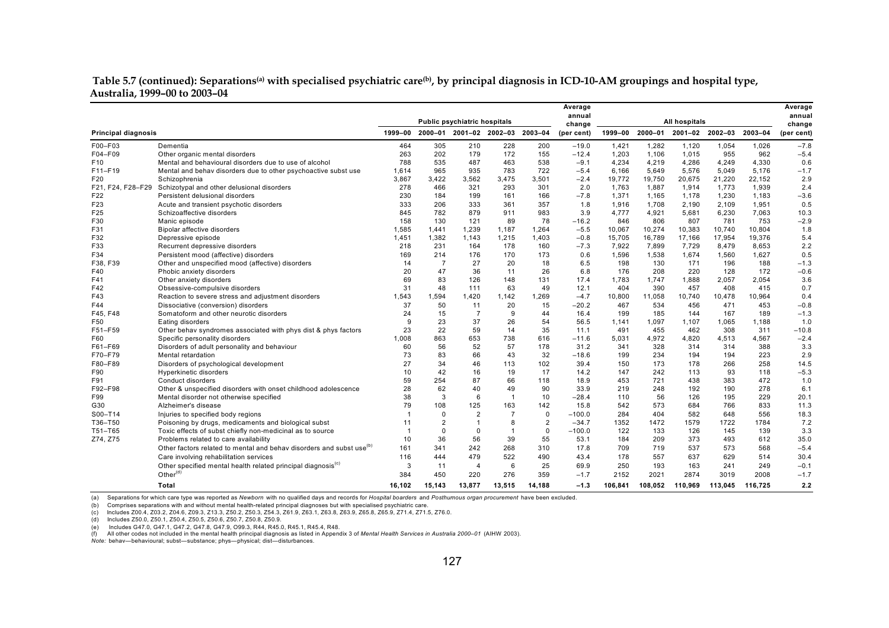#### **Table 5.7 (continued): Separations(a) with specialised psychiatric care(b), by principal diagnosis in ICD-10-AM groupings and hospital type, Australia, 1999–00 to 2003–04**

|                            |                                                                                                  |         |                | Public psychiatric hospitals |                         |                | Average<br>annual<br>change |         |         | <b>All hospitals</b>    |         |         | Average<br>annual<br>change |
|----------------------------|--------------------------------------------------------------------------------------------------|---------|----------------|------------------------------|-------------------------|----------------|-----------------------------|---------|---------|-------------------------|---------|---------|-----------------------------|
| <b>Principal diagnosis</b> |                                                                                                  | 1999-00 |                | 2000-01 2001-02 2002-03      |                         | 2003-04        | (per cent)                  | 1999-00 |         | 2000-01 2001-02 2002-03 |         | 2003-04 | (per cent)                  |
| F00-F03                    | Dementia                                                                                         | 464     | 305            | 210                          | 228                     | 200            | $-19.0$                     | 1,421   | 1,282   | 1,120                   | 1,054   | 1,026   | $-7.8$                      |
| F04-F09                    | Other organic mental disorders                                                                   | 263     | 202            | 179                          | 172                     | 155            | $-12.4$                     | 1,203   | 1,106   | 1,015                   | 955     | 962     | $-5.4$                      |
| F <sub>10</sub>            | Mental and behavioural disorders due to use of alcohol                                           | 788     | 535            | 487                          | 463                     | 538            | $-9.1$                      | 4,234   | 4,219   | 4,286                   | 4,249   | 4,330   | 0.6                         |
| F11-F19                    | Mental and behav disorders due to other psychoactive subst use                                   | 1.614   | 965            | 935                          | 783                     | 722            | $-5.4$                      | 6.166   | 5,649   | 5.576                   | 5,049   | 5.176   | $-1.7$                      |
| F20                        | Schizophrenia                                                                                    | 3,867   | 3,422          | 3,562                        | 3,475                   | 3,501          | $-2.4$                      | 19,772  | 19,750  | 20,675                  | 21,220  | 22,152  | 2.9                         |
|                            | F21, F24, F28-F29 Schizotypal and other delusional disorders                                     | 278     | 466            | 321                          | 293                     | 301            | 2.0                         | 1,763   | 1,887   | 1,914                   | 1,773   | 1,939   | 2.4                         |
| F <sub>22</sub>            | Persistent delusional disorders                                                                  | 230     | 184            | 199                          | 161                     | 166            | $-7.8$                      | 1,371   | 1,165   | 1,178                   | 1,230   | 1,183   | $-3.6$                      |
| F23                        | Acute and transient psychotic disorders                                                          | 333     | 206            | 333                          | 361                     | 357            | 1.8                         | 1.916   | 1,708   | 2,190                   | 2,109   | 1,951   | 0.5                         |
| F25                        | Schizoaffective disorders                                                                        | 845     | 782            | 879                          | 911                     | 983            | 3.9                         | 4.777   | 4,921   | 5,681                   | 6,230   | 7,063   | 10.3                        |
| F30                        | Manic episode                                                                                    | 158     | 130            | 121                          | 89                      | 78             | $-16.2$                     | 846     | 806     | 807                     | 781     | 753     | $-2.9$                      |
| F31                        | Bipolar affective disorders                                                                      | 1,585   | 1,441          | 1,239                        | 1,187                   | 1,264          | $-5.5$                      | 10.067  | 10,274  | 10,383                  | 10,740  | 10,804  | 1.8                         |
| F32                        | Depressive episode                                                                               | 1,451   | 1,382          | 1,143                        | 1,215                   | 1,403          | $-0.8$                      | 15,705  | 16,789  | 17,166                  | 17,954  | 19,376  | 5.4                         |
| F33                        | Recurrent depressive disorders                                                                   | 218     | 231            | 164                          | 178                     | 160            | $-7.3$                      | 7,922   | 7,899   | 7,729                   | 8,479   | 8,653   | 2.2                         |
| F34                        | Persistent mood (affective) disorders                                                            | 169     | 214            | 176                          | 170                     | 173            | 0.6                         | 1,596   | 1,538   | 1,674                   | 1,560   | 1,627   | 0.5                         |
| F38, F39                   | Other and unspecified mood (affective) disorders                                                 | 14      | $\overline{7}$ | 27                           | 20                      | 18             | 6.5                         | 198     | 130     | 171                     | 196     | 188     | $-1.3$                      |
| F40                        | Phobic anxiety disorders                                                                         | 20      | 47             | 36                           | 11                      | 26             | 6.8                         | 176     | 208     | 220                     | 128     | 172     | $-0.6$                      |
| F41                        | Other anxiety disorders                                                                          | 69      | 83             | 126                          | 148                     | 131            | 17.4                        | 1,783   | 1,747   | 1,888                   | 2,057   | 2,054   | 3.6                         |
| F42                        | Obsessive-compulsive disorders                                                                   | 31      | 48             | 111                          | 63                      | 49             | 12.1                        | 404     | 390     | 457                     | 408     | 415     | 0.7                         |
| F43                        | Reaction to severe stress and adjustment disorders                                               | 1.543   | 1,594          | 1,420                        | 1,142                   | 1.269          | $-4.7$                      | 10.800  | 11,058  | 10,740                  | 10,478  | 10,964  | 0.4                         |
| F44                        | Dissociative (conversion) disorders                                                              | 37      | 50             | 11                           | 20                      | 15             | $-20.2$                     | 467     | 534     | 456                     | 471     | 453     | $-0.8$                      |
| F45, F48                   | Somatoform and other neurotic disorders                                                          | 24      | 15             | $\overline{7}$               | 9                       | 44             | 16.4                        | 199     | 185     | 144                     | 167     | 189     | $-1.3$                      |
| F50                        | Eating disorders                                                                                 | 9       | 23             | 37                           | 26                      | 54             | 56.5                        | 1,141   | 1,097   | 1,107                   | 1,065   | 1,188   | 1.0                         |
| F51-F59                    | Other behav syndromes associated with phys dist & phys factors                                   | 23      | 22             | 59                           | 14                      | 35             | 11.1                        | 491     | 455     | 462                     | 308     | 311     | $-10.8$                     |
| F60                        | Specific personality disorders                                                                   | 1.008   | 863            | 653                          | 738                     | 616            | $-11.6$                     | 5.031   | 4,972   | 4.820                   | 4,513   | 4,567   | $-2.4$                      |
| F61-F69                    | Disorders of adult personality and behaviour                                                     | 60      | 56             | 52                           | 57                      | 178            | 31.2                        | 341     | 328     | 314                     | 314     | 388     | 3.3                         |
| F70-F79                    | Mental retardation                                                                               | 73      | 83             | 66                           | 43                      | 32             | $-18.6$                     | 199     | 234     | 194                     | 194     | 223     | 2.9                         |
| F80-F89                    | Disorders of psychological development                                                           | 27      | 34             | 46                           | 113                     | 102            | 39.4                        | 150     | 173     | 178                     | 266     | 258     | 14.5                        |
| F90                        | <b>Hyperkinetic disorders</b>                                                                    | 10      | 42             | 16                           | 19                      | 17             | 14.2                        | 147     | 242     | 113                     | 93      | 118     | $-5.3$                      |
| F91                        | Conduct disorders                                                                                | 59      | 254            | 87                           | 66                      | 118            | 18.9                        | 453     | 721     | 438                     | 383     | 472     | 1.0                         |
| F92-F98                    | Other & unspecified disorders with onset childhood adolescence                                   | 28      | 62             | 40                           | 49                      | 90             | 33.9                        | 219     | 248     | 192                     | 190     | 278     | 6.1                         |
| F99                        | Mental disorder not otherwise specified                                                          | 38      | 3              | 6                            | $\overline{1}$          | 10             | $-28.4$                     | 110     | 56      | 126                     | 195     | 229     | 20.1                        |
| G30                        | Alzheimer's disease                                                                              | 79      | 108            | 125                          | 163                     | 142            | 15.8                        | 542     | 573     | 684                     | 766     | 833     | 11.3                        |
| S00-T14                    | Injuries to specified body regions                                                               | 1       | $\mathbf 0$    | $\overline{2}$               | $\overline{7}$          | $\mathbf 0$    | $-100.0$                    | 284     | 404     | 582                     | 648     | 556     | 18.3                        |
| T36-T50                    | Poisoning by drugs, medicaments and biological subst                                             | 11      | $\overline{2}$ | $\overline{1}$               | 8                       | $\overline{2}$ | $-34.7$                     | 1352    | 1472    | 1579                    | 1722    | 1784    | 7.2                         |
| T51-T65                    | Toxic effects of subst chiefly non-medicinal as to source                                        | 1       | $\Omega$       | $\mathbf 0$                  | $\overline{\mathbf{1}}$ | $\mathbf 0$    | $-100.0$                    | 122     | 133     | 126                     | 145     | 139     | 3.3                         |
| Z74, Z75                   | Problems related to care availability                                                            | 10      | 36             | 56                           | 39                      | 55             | 53.1                        | 184     | 209     | 373                     | 493     | 612     | 35.0                        |
|                            | Other factors related to mental and behav disorders and subst use <sup>(b)</sup>                 | 161     | 341            | 242                          | 268                     | 310            | 17.8                        | 709     | 719     | 537                     | 573     | 568     | $-5.4$                      |
|                            | Care involving rehabilitation services                                                           | 116     | 444            | 479                          | 522                     | 490            | 43.4                        | 178     | 557     | 637                     | 629     | 514     | 30.4                        |
|                            |                                                                                                  | 3       | 11             | $\overline{4}$               | 6                       | 25             | 69.9                        | 250     | 193     | 163                     | 241     | 249     | $-0.1$                      |
|                            | Other specified mental health related principal diagnosis <sup>(c)</sup><br>Other <sup>(d)</sup> |         |                |                              |                         |                |                             |         |         |                         |         |         |                             |
|                            |                                                                                                  | 384     | 450            | 220                          | 276                     | 359            | $-1.7$                      | 2152    | 2021    | 2874                    | 3019    | 2008    | $-1.7$                      |
|                            | Total                                                                                            | 16.102  | 15.143         | 13,877                       | 13.515                  | 14.188         | $-1.3$                      | 106.841 | 108.052 | 110.969                 | 113.045 | 116.725 | 2.2                         |

(a) Separations for which care type was reported as *Newborn* with no qualified days and records for *Hospital boarders* and *Posthumous organ procurement* have been excluded.

(b) Comprises separations with and without mental health-related principal diagnoses but with specialised psychiatric care.

(c) Includes Z00.4, Z03.2, Z04.6, Z09.3, Z13.3, Z50.2, Z50.3, Z54.3, Z61.9, Z63.1, Z63.8, Z63.9, Z65.8, Z65.9, Z71.4, Z71.5, Z76.0.

(d) Includes Z50.0, Z50.1, Z50.4, Z50.5, Z50.6, Z50.7, Z50.8, Z50.9.

(e) Includes G47.0, G47.1, G47.2, G47.8, G47.9, O99.3, R44, R45.0, R45.1, R45.4, R48.

(f) All other codes not included in the mental health principal diagnosis as listed in Appendix 3 of *Mental Health Services in Australia 2000–01* (AIHW 2003).

*Note:* behav—behavioural; subst—substance; phys—physical; dist—disturbances.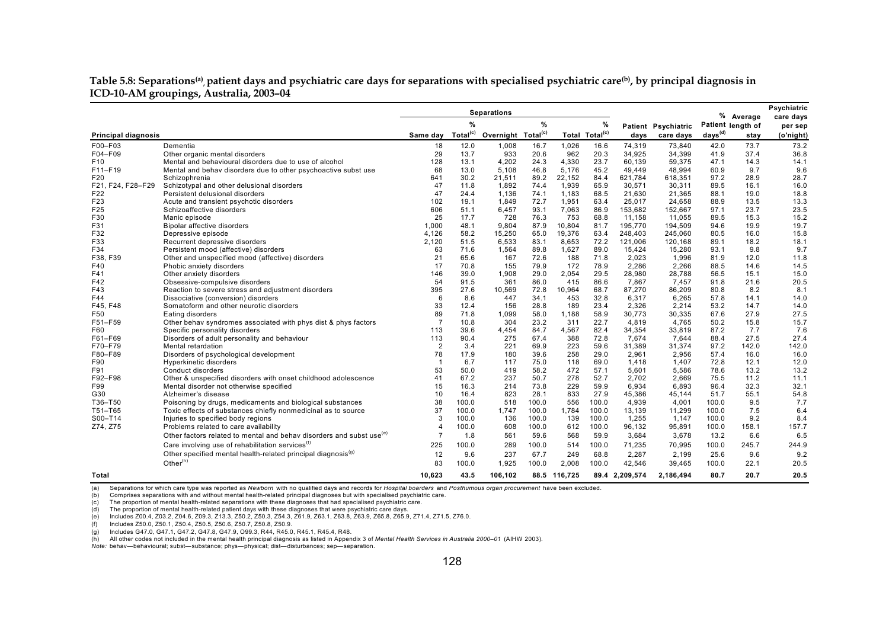#### Table 5.8: Separations<sup>(a)</sup>, patient days and psychiatric care days for separations with specialised psychiatric care<sup>(b)</sup>, by principal diagnosis in **ICD-10-AM groupings, Australia, 2003–04**

|                            |                                                                                  | <b>Separations</b> |                      |                                |       |         |                            |                |                     | % Average           | Psychiatric |                      |
|----------------------------|----------------------------------------------------------------------------------|--------------------|----------------------|--------------------------------|-------|---------|----------------------------|----------------|---------------------|---------------------|-------------|----------------------|
|                            |                                                                                  |                    | $\%$                 |                                | %     |         | %                          |                | Patient Psychiatric | Patient length of   |             | care days<br>per sep |
| <b>Principal diagnosis</b> |                                                                                  | Same day           | Total <sup>(c)</sup> | Overnight Total <sup>(c)</sup> |       |         | Total Total <sup>(c)</sup> | days           | care days           | days <sup>(d)</sup> | stay        | (o'night)            |
| F00-F03                    | Dementia                                                                         | 18                 | 12.0                 | 1,008                          | 16.7  | 1,026   | 16.6                       | 74,319         | 73.840              | 42.0                | 73.7        | 73.2                 |
| F04-F09                    | Other organic mental disorders                                                   | 29                 | 13.7                 | 933                            | 20.6  | 962     | 20.3                       | 34,925         | 34,399              | 41.9                | 37.4        | 36.8                 |
| F <sub>10</sub>            | Mental and behavioural disorders due to use of alcohol                           | 128                | 13.1                 | 4,202                          | 24.3  | 4,330   | 23.7                       | 60,139         | 59,375              | 47.1                | 14.3        | 14.1                 |
| F11-F19                    | Mental and behav disorders due to other psychoactive subst use                   | 68                 | 13.0                 | 5.108                          | 46.8  | 5.176   | 45.2                       | 49.449         | 48.994              | 60.9                | 9.7         | 9.6                  |
| F20                        | Schizophrenia                                                                    | 641                | 30.2                 | 21,511                         | 89.2  | 22,152  | 84.4                       | 621,784        | 618,351             | 97.2                | 28.9        | 28.7                 |
| F21, F24, F28-F29          | Schizotypal and other delusional disorders                                       | 47                 | 11.8                 | 1,892                          | 74.4  | 1,939   | 65.9                       | 30,571         | 30,311              | 89.5                | 16.1        | 16.0                 |
| F22                        | Persistent delusional disorders                                                  | 47                 | 24.4                 | 1,136                          | 74.1  | 1,183   | 68.5                       | 21,630         | 21,365              | 88.1                | 19.0        | 18.8                 |
| F23                        | Acute and transient psychotic disorders                                          | 102                | 19.1                 | 1,849                          | 72.7  | 1,951   | 63.4                       | 25,017         | 24,658              | 88.9                | 13.5        | 13.3                 |
| F <sub>25</sub>            | Schizoaffective disorders                                                        | 606                | 51.1                 | 6,457                          | 93.1  | 7,063   | 86.9                       | 153,682        | 152,667             | 97.1                | 23.7        | 23.5                 |
| F30                        | Manic episode                                                                    | 25                 | 17.7                 | 728                            | 76.3  | 753     | 68.8                       | 11,158         | 11,055              | 89.5                | 15.3        | 15.2                 |
| F31                        | Bipolar affective disorders                                                      | 1.000              | 48.1                 | 9.804                          | 87.9  | 10.804  | 81.7                       | 195,770        | 194,509             | 94.6                | 19.9        | 19.7                 |
| F32                        | Depressive episode                                                               | 4.126              | 58.2                 | 15,250                         | 65.0  | 19,376  | 63.4                       | 248.403        | 245,060             | 80.5                | 16.0        | 15.8                 |
| F33                        | Recurrent depressive disorders                                                   | 2,120              | 51.5                 | 6,533                          | 83.1  | 8,653   | 72.2                       | 121.006        | 120,168             | 89.1                | 18.2        | 18.1                 |
| F34                        | Persistent mood (affective) disorders                                            | 63                 | 71.6                 | 1,564                          | 89.8  | 1,627   | 89.0                       | 15.424         | 15,280              | 93.1                | 9.8         | 9.7                  |
| F38, F39                   | Other and unspecified mood (affective) disorders                                 | 21                 | 65.6                 | 167                            | 72.6  | 188     | 71.8                       | 2.023          | 1.996               | 81.9                | 12.0        | 11.8                 |
| F40                        | Phobic anxiety disorders                                                         | 17                 | 70.8                 | 155                            | 79.9  | 172     | 78.9                       | 2,286          | 2,266               | 88.5                | 14.6        | 14.5                 |
| F41                        | Other anxiety disorders                                                          | 146                | 39.0                 | 1,908                          | 29.0  | 2,054   | 29.5                       | 28.980         | 28,788              | 56.5                | 15.1        | 15.0                 |
| F42                        | Obsessive-compulsive disorders                                                   | 54                 | 91.5                 | 361                            | 86.0  | 415     | 86.6                       | 7,867          | 7,457               | 91.8                | 21.6        | 20.5                 |
| F43                        | Reaction to severe stress and adjustment disorders                               | 395                | 27.6                 | 10,569                         | 72.8  | 10,964  | 68.7                       | 87,270         | 86,209              | 80.8                | 8.2         | 8.1                  |
| F44                        | Dissociative (conversion) disorders                                              | 6                  | 8.6                  | 447                            | 34.1  | 453     | 32.8                       | 6,317          | 6,265               | 57.8                | 14.1        | 14.0                 |
| F45, F48                   | Somatoform and other neurotic disorders                                          | 33                 | 12.4                 | 156                            | 28.8  | 189     | 23.4                       | 2,326          | 2,214               | 53.2                | 14.7        | 14.0                 |
| F50                        | Eating disorders                                                                 | 89                 | 71.8                 | 1,099                          | 58.0  | 1,188   | 58.9                       | 30,773         | 30,335              | 67.6                | 27.9        | 27.5                 |
| F51-F59                    | Other behav syndromes associated with phys dist & phys factors                   |                    | 10.8                 | 304                            | 23.2  | 311     | 22.7                       | 4,819          | 4,765               | 50.2                | 15.8        | 15.7                 |
| F60                        | Specific personality disorders                                                   | 113                | 39.6                 | 4,454                          | 84.7  | 4,567   | 82.4                       | 34,354         | 33,819              | 87.2                | 7.7         | 7.6                  |
| F61-F69                    | Disorders of adult personality and behaviour                                     | 113                | 90.4                 | 275                            | 67.4  | 388     | 72.8                       | 7.674          | 7.644               | 88.4                | 27.5        | 27.4                 |
| F70-F79                    | Mental retardation                                                               | $\overline{2}$     | 3.4                  | 221                            | 69.9  | 223     | 59.6                       | 31,389         | 31,374              | 97.2                | 142.0       | 142.0                |
| F80-F89                    | Disorders of psychological development                                           | 78                 | 17.9                 | 180                            | 39.6  | 258     | 29.0                       | 2,961          | 2,956               | 57.4                | 16.0        | 16.0                 |
| F90                        | <b>Hyperkinetic disorders</b>                                                    | $\overline{1}$     | 6.7                  | 117                            | 75.0  | 118     | 69.0                       | 1.418          | 1.407               | 72.8                | 12.1        | 12.0                 |
| F91                        | Conduct disorders                                                                | 53                 | 50.0                 | 419                            | 58.2  | 472     | 57.1                       | 5.601          | 5,586               | 78.6                | 13.2        | 13.2                 |
| F92-F98                    | Other & unspecified disorders with onset childhood adolescence                   | 41                 | 67.2                 | 237                            | 50.7  | 278     | 52.7                       | 2.702          | 2.669               | 75.5                | 11.2        | 11.1                 |
| F99                        | Mental disorder not otherwise specified                                          | 15                 | 16.3                 | 214                            | 73.8  | 229     | 59.9                       | 6.934          | 6.893               | 96.4                | 32.3        | 32.1                 |
| G30                        | Alzheimer's disease                                                              | 10                 | 16.4                 | 823                            | 28.1  | 833     | 27.9                       | 45.386         | 45,144              | 51.7                | 55.1        | 54.8                 |
| T36-T50                    | Poisoning by drugs, medicaments and biological substances                        | 38                 | 100.0                | 518                            | 100.0 | 556     | 100.0                      | 4,939          | 4,001               | 100.0               | 9.5         | 7.7                  |
| T51-T65                    | Toxic effects of substances chiefly nonmedicinal as to source                    | 37                 | 100.0                | 1.747                          | 100.0 | 1,784   | 100.0                      | 13.139         | 11,299              | 100.0               | 7.5         | 6.4                  |
| S00-T14                    | Injuries to specified body regions                                               | 3                  | 100.0                | 136                            | 100.0 | 139     | 100.0                      | 1,255          | 1,147               | 100.0               | 9.2         | 8.4                  |
| Z74, Z75                   | Problems related to care availability                                            | Δ                  | 100.0                | 608                            | 100.0 | 612     | 100.0                      | 96,132         | 95,891              | 100.0               | 158.1       | 157.7                |
|                            | Other factors related to mental and behav disorders and subst use <sup>(e)</sup> |                    | 1.8                  | 561                            | 59.6  | 568     | 59.9                       | 3,684          | 3,678               | 13.2                | 6.6         | 6.5                  |
|                            | Care involving use of rehabilitation services <sup>(f)</sup>                     | 225                | 100.0                | 289                            | 100.0 | 514     | 100.0                      | 71,235         | 70,995              | 100.0               | 245.7       | 244.9                |
|                            | Other specified mental health-related principal diagnosis <sup>(g)</sup>         | 12                 | 9.6                  | 237                            | 67.7  | 249     | 68.8                       | 2,287          | 2,199               | 25.6                | 9.6         | 9.2                  |
|                            | Other $(h)$                                                                      | 83                 | 100.0                | 1,925                          | 100.0 | 2,008   | 100.0                      | 42,546         | 39,465              | 100.0               | 22.1        | 20.5                 |
| Total                      |                                                                                  | 10,623             | 43.5                 | 106,102                        | 88.5  | 116,725 |                            | 89.4 2,209,574 | 2,186,494           | 80.7                | 20.7        | 20.5                 |

(a) Separations for which care type was reported as *Newborn* with no qualified days and records for *Hospital boarders* and *Posthumous organ procurement* have been excluded.

(b) Comprises separations with and without mental health-related principal diagnoses but with specialised psychiatric care.

(c) The proportion of mental health-related separations with these diagnoses that had specialised psychiatric care.

(d) The proportion of mental health-related patient days with these diagnoses that were psychiatric care days.

(e) Includes Z00.4, Z03.2, Z04.6, Z09.3, Z13.3, Z50.2, Z50.3, Z54.3, Z61.9, Z63.1, Z63.8, Z63.9, Z65.8, Z65.9, Z71.4, Z71.5, Z76.0.

(f) Includes Z50.0, Z50.1, Z50.4, Z50.5, Z50.6, Z50.7, Z50.8, Z50.9.

(g) Includes G47.0, G47.1, G47.2, G47.8, G47.9, O99.3, R44, R45.0, R45.1, R45.4, R48.

(h) All other codes not included in the mental health principal diagnosis as listed in Appendix 3 of *Mental Health Services in Australia 2000–01* (AIHW 2003).

*Note:* behav—behavioural; subst—substance; phys—physical; dist—disturbances; sep—separation.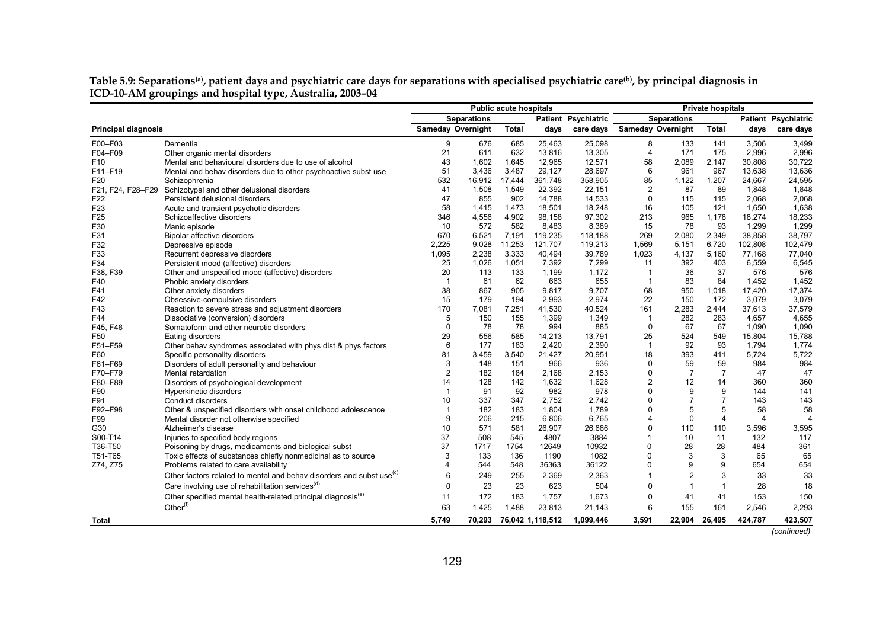|                            |                                                                                  | <b>Public acute hospitals</b> |                    |              |         |                            |                         |                          | <b>Private hospitals</b> |                |                            |
|----------------------------|----------------------------------------------------------------------------------|-------------------------------|--------------------|--------------|---------|----------------------------|-------------------------|--------------------------|--------------------------|----------------|----------------------------|
|                            |                                                                                  |                               | <b>Separations</b> |              |         | <b>Patient Psychiatric</b> |                         | <b>Separations</b>       |                          |                | <b>Patient Psychiatric</b> |
| <b>Principal diagnosis</b> |                                                                                  | <b>Sameday Overnight</b>      |                    | <b>Total</b> | days    | care days                  |                         | <b>Sameday Overnight</b> | <b>Total</b>             | days           | care days                  |
| F00-F03                    | Dementia                                                                         | 9                             | 676                | 685          | 25,463  | 25,098                     | 8                       | 133                      | 141                      | 3,506          | 3,499                      |
| F04-F09                    | Other organic mental disorders                                                   | 21                            | 611                | 632          | 13,816  | 13,305                     | $\overline{4}$          | 171                      | 175                      | 2,996          | 2,996                      |
| F <sub>10</sub>            | Mental and behavioural disorders due to use of alcohol                           | 43                            | 1.602              | 1,645        | 12,965  | 12,571                     | 58                      | 2,089                    | 2,147                    | 30,808         | 30,722                     |
| F11-F19                    | Mental and behav disorders due to other psychoactive subst use                   | 51                            | 3,436              | 3,487        | 29,127  | 28,697                     | 6                       | 961                      | 967                      | 13,638         | 13,636                     |
| F20                        | Schizophrenia                                                                    | 532                           | 16,912             | 17,444       | 361,748 | 358,905                    | 85                      | 1,122                    | 1,207                    | 24,667         | 24,595                     |
| F21, F24, F28-F29          | Schizotypal and other delusional disorders                                       | 41                            | 1,508              | 1,549        | 22,392  | 22,151                     | $\overline{2}$          | 87                       | 89                       | 1,848          | 1,848                      |
| F <sub>22</sub>            | Persistent delusional disorders                                                  | 47                            | 855                | 902          | 14,788  | 14,533                     | 0                       | 115                      | 115                      | 2,068          | 2,068                      |
| F <sub>23</sub>            | Acute and transient psychotic disorders                                          | 58                            | 1,415              | 1,473        | 18,501  | 18,248                     | 16                      | 105                      | 121                      | 1,650          | 1,638                      |
| F <sub>25</sub>            | Schizoaffective disorders                                                        | 346                           | 4,556              | 4,902        | 98,158  | 97,302                     | 213                     | 965                      | 1,178                    | 18,274         | 18,233                     |
| F30                        | Manic episode                                                                    | 10                            | 572                | 582          | 8,483   | 8,389                      | 15                      | 78                       | 93                       | 1,299          | 1,299                      |
| F31                        | Bipolar affective disorders                                                      | 670                           | 6,521              | 7,191        | 119,235 | 118,188                    | 269                     | 2,080                    | 2,349                    | 38,858         | 38,797                     |
| F32                        | Depressive episode                                                               | 2,225                         | 9,028              | 11,253       | 121,707 | 119,213                    | 1,569                   | 5,151                    | 6,720                    | 102,808        | 102,479                    |
| F33                        | Recurrent depressive disorders                                                   | 1,095                         | 2,238              | 3,333        | 40,494  | 39,789                     | 1,023                   | 4,137                    | 5,160                    | 77,168         | 77,040                     |
| F34                        | Persistent mood (affective) disorders                                            | 25                            | 1,026              | 1,051        | 7,392   | 7,299                      | 11                      | 392                      | 403                      | 6,559          | 6,545                      |
| F38, F39                   | Other and unspecified mood (affective) disorders                                 | 20                            | 113                | 133          | 1,199   | 1,172                      | -1                      | 36                       | 37                       | 576            | 576                        |
| F40                        | Phobic anxiety disorders                                                         |                               | 61                 | 62           | 663     | 655                        | $\overline{1}$          | 83                       | 84                       | 1,452          | 1,452                      |
| F41                        | Other anxiety disorders                                                          | 38                            | 867                | 905          | 9,817   | 9,707                      | 68                      | 950                      | 1,018                    | 17,420         | 17,374                     |
| F42                        | Obsessive-compulsive disorders                                                   | 15                            | 179                | 194          | 2,993   | 2,974                      | 22                      | 150                      | 172                      | 3,079          | 3,079                      |
| F43                        | Reaction to severe stress and adjustment disorders                               | 170                           | 7,081              | 7,251        | 41,530  | 40,524                     | 161                     | 2,283                    | 2,444                    | 37,613         | 37,579                     |
| F44                        | Dissociative (conversion) disorders                                              | 5                             | 150                | 155          | 1,399   | 1,349                      | $\overline{1}$          | 282                      | 283                      | 4,657          | 4,655                      |
| F45, F48                   | Somatoform and other neurotic disorders                                          | $\Omega$                      | 78                 | 78           | 994     | 885                        | $\mathbf 0$             | 67                       | 67                       | 1,090          | 1,090                      |
| F50                        | Eating disorders                                                                 | 29                            | 556                | 585          | 14,213  | 13,791                     | 25                      | 524                      | 549                      | 15,804         | 15,788                     |
| F51-F59                    | Other behav syndromes associated with phys dist & phys factors                   | 6                             | 177                | 183          | 2,420   | 2,390                      | $\overline{1}$          | 92                       | 93                       | 1,794          | 1,774                      |
| F60                        | Specific personality disorders                                                   | 81                            | 3,459              | 3.540        | 21,427  | 20,951                     | 18                      | 393                      | 411                      | 5,724          | 5,722                      |
| F61-F69                    | Disorders of adult personality and behaviour                                     | 3                             | 148                | 151          | 966     | 936                        | $\Omega$                | 59                       | 59                       | 984            | 984                        |
| F70-F79                    | Mental retardation                                                               | $\overline{2}$                | 182                | 184          | 2,168   | 2,153                      | 0                       | 7                        | $\overline{7}$           | 47             | 47                         |
| F80-F89                    | Disorders of psychological development                                           | 14                            | 128                | 142          | 1,632   | 1,628                      | $\overline{2}$          | 12                       | 14                       | 360            | 360                        |
| F90                        | Hyperkinetic disorders                                                           |                               | 91                 | 92           | 982     | 978                        | $\Omega$                | 9                        | 9                        | 144            | 141                        |
| F91                        | Conduct disorders                                                                | 10                            | 337                | 347          | 2,752   | 2,742                      | $\Omega$                | $\overline{7}$           |                          | 143            | 143                        |
| F92-F98                    | Other & unspecified disorders with onset childhood adolescence                   |                               | 182                | 183          | 1,804   | 1,789                      | $\mathbf 0$             | 5                        | 5                        | 58             | 58                         |
| F99                        | Mental disorder not otherwise specified                                          | 9                             | 206                | 215          | 6,806   | 6,765                      | $\overline{\mathbf{4}}$ | 0                        | $\overline{4}$           | $\overline{4}$ | $\overline{\phantom{a}}$   |
| G30                        | Alzheimer's disease                                                              | 10                            | 571                | 581          | 26,907  | 26,666                     | 0                       | 110                      | 110                      | 3,596          | 3,595                      |
| S00-T14                    | Injuries to specified body regions                                               | 37                            | 508                | 545          | 4807    | 3884                       | $\overline{1}$          | 10                       | 11                       | 132            | 117                        |
| T36-T50                    | Poisoning by drugs, medicaments and biological subst                             | 37                            | 1717               | 1754         | 12649   | 10932                      | $\mathbf 0$             | 28                       | 28                       | 484            | 361                        |
| T51-T65                    | Toxic effects of substances chiefly nonmedicinal as to source                    | 3                             | 133                | 136          | 1190    | 1082                       | 0                       | 3                        | 3                        | 65             | 65                         |
| Z74, Z75                   | Problems related to care availability                                            | 4                             | 544                | 548          | 36363   | 36122                      | 0                       | 9                        | 9                        | 654            | 654                        |
|                            | Other factors related to mental and behav disorders and subst use <sup>(c)</sup> | 6                             | 249                | 255          | 2,369   | 2,363                      | $\overline{1}$          | $\overline{2}$           | 3                        | 33             | 33                         |
|                            | Care involving use of rehabilitation services <sup>(d)</sup>                     | $\Omega$                      | 23                 | 23           | 623     | 504                        | 0                       | $\mathbf{1}$             |                          | 28             | 18                         |
|                            | Other specified mental health-related principal diagnosis <sup>(e)</sup>         | 11                            | 172                | 183          | 1,757   | 1,673                      | 0                       | 41                       | 41                       | 153            | 150                        |
|                            | Other <sup>(f)</sup>                                                             | 63                            | 1,425              | .488<br>-1   | 23,813  | 21,143                     | 6                       | 155                      | 161                      | 2,546          | 2,293                      |

#### Table 5.9: Separations<sup>(a)</sup>, patient days and psychiatric care days for separations with specialised psychiatric care<sup>(b)</sup>, by principal diagnosis in **ICD-10-AM groupings and hospital type, Australia, 2003–04**

*(continued)*

**Total 5,749 70,293 76,042 1,118,512 1,099,446 3,591 22,904 26,495 424,787 423,507**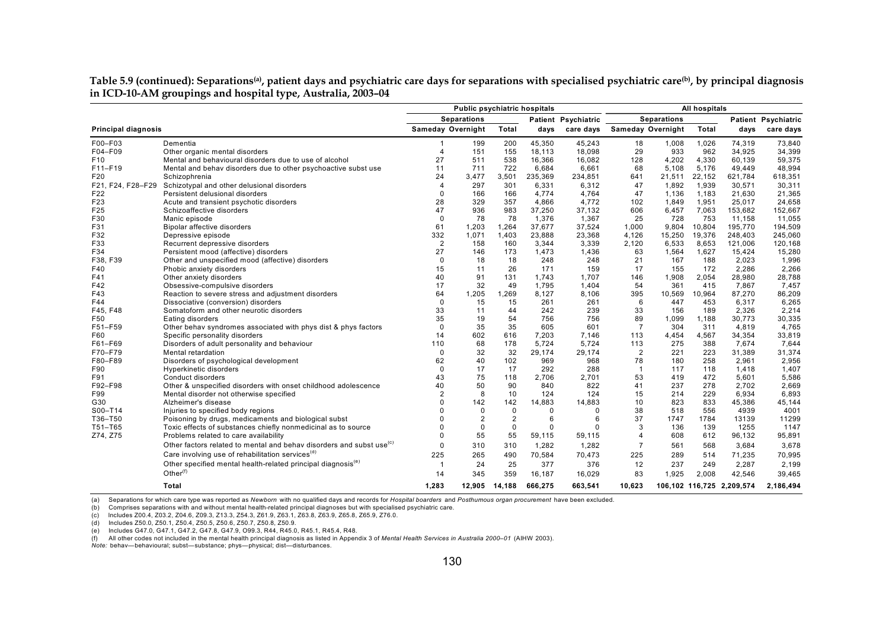Table 5.9 (continued): Separations<sup>(a)</sup>, patient days and psychiatric care days for separations with specialised psychiatric care<sup>(b)</sup>, by principal diagnosis **in ICD-10-AM groupings and hospital type, Australia, 2003–04**

|                            |                                                                                  | Public psychiatric hospitals |                    |                |         |                     |                |                          | All hospitals |                           |                            |
|----------------------------|----------------------------------------------------------------------------------|------------------------------|--------------------|----------------|---------|---------------------|----------------|--------------------------|---------------|---------------------------|----------------------------|
|                            |                                                                                  |                              | <b>Separations</b> |                |         | Patient Psychiatric |                | <b>Separations</b>       |               |                           | <b>Patient Psychiatric</b> |
| <b>Principal diagnosis</b> |                                                                                  |                              | Sameday Overnight  | Total          | days    | care days           |                | <b>Sameday Overnight</b> | Total         | days                      | care days                  |
| F00-F03                    | Dementia                                                                         |                              | 199                | 200            | 45,350  | 45,243              | 18             | 1,008                    | 1,026         | 74,319                    | 73,840                     |
| F04-F09                    | Other organic mental disorders                                                   | $\overline{4}$               | 151                | 155            | 18,113  | 18,098              | 29             | 933                      | 962           | 34.925                    | 34,399                     |
| F <sub>10</sub>            | Mental and behavioural disorders due to use of alcohol                           | 27                           | 511                | 538            | 16,366  | 16,082              | 128            | 4,202                    | 4,330         | 60,139                    | 59,375                     |
| F11-F19                    | Mental and behav disorders due to other psychoactive subst use                   | 11                           | 711                | 722            | 6,684   | 6,661               | 68             | 5,108                    | 5,176         | 49,449                    | 48,994                     |
| F20                        | Schizophrenia                                                                    | 24                           | 3,477              | 3,501          | 235,369 | 234,851             | 641            | 21,511                   | 22,152        | 621,784                   | 618,351                    |
| F21, F24, F28-F29          | Schizotypal and other delusional disorders                                       | $\overline{4}$               | 297                | 301            | 6.331   | 6,312               | 47             | 1,892                    | 1.939         | 30,571                    | 30,311                     |
| F22                        | Persistent delusional disorders                                                  | $\Omega$                     | 166                | 166            | 4,774   | 4,764               | 47             | 1,136                    | 1,183         | 21,630                    | 21,365                     |
| F23                        | Acute and transient psychotic disorders                                          | 28                           | 329                | 357            | 4,866   | 4,772               | 102            | 1,849                    | 1,951         | 25,017                    | 24,658                     |
| F25                        | Schizoaffective disorders                                                        | 47                           | 936                | 983            | 37,250  | 37,132              | 606            | 6,457                    | 7,063         | 153,682                   | 152,667                    |
| F30                        | Manic episode                                                                    | $\Omega$                     | 78                 | 78             | 1,376   | 1,367               | 25             | 728                      | 753           | 11,158                    | 11,055                     |
| F31                        | Bipolar affective disorders                                                      | 61                           | 1.203              | 1,264          | 37,677  | 37,524              | 1.000          | 9,804                    | 10,804        | 195,770                   | 194,509                    |
| F32                        | Depressive episode                                                               | 332                          | 1,071              | 1,403          | 23,888  | 23,368              | 4,126          | 15,250                   | 19,376        | 248,403                   | 245,060                    |
| F33                        | Recurrent depressive disorders                                                   | $\overline{2}$               | 158                | 160            | 3,344   | 3,339               | 2,120          | 6,533                    | 8,653         | 121,006                   | 120,168                    |
| F34                        | Persistent mood (affective) disorders                                            | 27                           | 146                | 173            | 1,473   | 1,436               | 63             | 1,564                    | 1,627         | 15,424                    | 15,280                     |
| F38, F39                   | Other and unspecified mood (affective) disorders                                 | $\Omega$                     | 18                 | 18             | 248     | 248                 | 21             | 167                      | 188           | 2,023                     | 1,996                      |
| F40                        | Phobic anxiety disorders                                                         | 15                           | 11                 | 26             | 171     | 159                 | 17             | 155                      | 172           | 2,286                     | 2,266                      |
| F41                        | Other anxiety disorders                                                          | 40                           | 91                 | 131            | 1,743   | 1,707               | 146            | 1,908                    | 2,054         | 28,980                    | 28,788                     |
| F42                        | Obsessive-compulsive disorders                                                   | 17                           | 32                 | 49             | 1,795   | 1,404               | 54             | 361                      | 415           | 7,867                     | 7,457                      |
| F43                        | Reaction to severe stress and adjustment disorders                               | 64                           | 1,205              | 1,269          | 8,127   | 8,106               | 395            | 10,569                   | 10,964        | 87,270                    | 86,209                     |
| F44                        | Dissociative (conversion) disorders                                              | $\Omega$                     | 15                 | 15             | 261     | 261                 | 6              | 447                      | 453           | 6,317                     | 6,265                      |
| F45, F48                   | Somatoform and other neurotic disorders                                          | 33                           | 11                 | 44             | 242     | 239                 | 33             | 156                      | 189           | 2,326                     | 2,214                      |
| F50                        | Eating disorders                                                                 | 35                           | 19                 | 54             | 756     | 756                 | 89             | 1.099                    | 1.188         | 30.773                    | 30,335                     |
| F51-F59                    | Other behav syndromes associated with phys dist & phys factors                   | $\Omega$                     | 35                 | 35             | 605     | 601                 | $\overline{7}$ | 304                      | 311           | 4,819                     | 4,765                      |
| F60                        | Specific personality disorders                                                   | 14                           | 602                | 616            | 7,203   | 7.146               | 113            | 4,454                    | 4,567         | 34,354                    | 33,819                     |
| F61-F69                    | Disorders of adult personality and behaviour                                     | 110                          | 68                 | 178            | 5.724   | 5.724               | 113            | 275                      | 388           | 7.674                     | 7,644                      |
| F70-F79                    | Mental retardation                                                               | $\Omega$                     | 32                 | 32             | 29,174  | 29,174              | $\overline{2}$ | 221                      | 223           | 31,389                    | 31,374                     |
| F80-F89                    | Disorders of psychological development                                           | 62                           | 40                 | 102            | 969     | 968                 | 78             | 180                      | 258           | 2.961                     | 2,956                      |
| F90                        | Hyperkinetic disorders                                                           | $\Omega$                     | 17                 | 17             | 292     | 288                 | $\overline{1}$ | 117                      | 118           | 1,418                     | 1,407                      |
| F91                        | Conduct disorders                                                                | 43                           | 75                 | 118            | 2,706   | 2,701               | 53             | 419                      | 472           | 5.601                     | 5,586                      |
| F92-F98                    | Other & unspecified disorders with onset childhood adolescence                   | 40                           | 50                 | 90             | 840     | 822                 | 41             | 237                      | 278           | 2.702                     | 2,669                      |
| F99                        | Mental disorder not otherwise specified                                          | 2                            | 8                  | 10             | 124     | 124                 | 15             | 214                      | 229           | 6,934                     | 6,893                      |
| G30                        | Alzheimer's disease                                                              | $\Omega$                     | 142                | 142            | 14,883  | 14,883              | 10             | 823                      | 833           | 45,386                    | 45,144                     |
| S00-T14                    | Injuries to specified body regions                                               |                              | 0                  | $\mathbf 0$    | 0       | $\Omega$            | 38             | 518                      | 556           | 4939                      | 4001                       |
| T36-T50                    | Poisoning by drugs, medicaments and biological subst                             | $\Omega$                     | $\overline{2}$     | $\overline{2}$ | 6       | 6                   | 37             | 1747                     | 1784          | 13139                     | 11299                      |
| T51-T65                    | Toxic effects of substances chiefly nonmedicinal as to source                    | $\Omega$                     | $\mathbf 0$        | $\mathbf 0$    | 0       | $\Omega$            | 3              | 136                      | 139           | 1255                      | 1147                       |
| Z74, Z75                   | Problems related to care availability                                            | 0                            | 55                 | 55             | 59,115  | 59.115              | 4              | 608                      | 612           | 96.132                    | 95,891                     |
|                            | Other factors related to mental and behav disorders and subst use <sup>(c)</sup> | 0                            | 310                | 310            | 1,282   | 1,282               | $\overline{7}$ | 561                      | 568           | 3,684                     | 3,678                      |
|                            | Care involving use of rehabilitation services <sup>(d)</sup>                     | 225                          | 265                | 490            | 70,584  | 70,473              | 225            | 289                      | 514           | 71,235                    | 70,995                     |
|                            | Other specified mental health-related principal diagnosis <sup>(e)</sup>         |                              | 24                 | 25             | 377     | 376                 | 12             | 237                      | 249           | 2,287                     | 2,199                      |
|                            | Other $(f)$                                                                      | 14                           | 345                | 359            | 16,187  | 16,029              | 83             | 1,925                    | 2,008         | 42,546                    | 39,465                     |
|                            |                                                                                  |                              |                    |                |         |                     |                |                          |               |                           |                            |
|                            | <b>Total</b>                                                                     | 1,283                        | 12,905             | 14,188         | 666,275 | 663,541             | 10,623         |                          |               | 106,102 116,725 2,209,574 | 2,186,494                  |

(a) Separations for which care type was reported as *Newborn* with no qualified days and records for *Hospital boarders* and *Posthumous organ procurement* have been excluded.

(b) Comprises separations with and without mental health-related principal diagnoses but with specialised psychiatric care.

(c) Includes Z00.4, Z03.2, Z04.6, Z09.3, Z13.3, Z54.3, Z61.9, Z63.1, Z63.8, Z63.9, Z65.8, Z65.9, Z76.0.

(d) Includes Z50.0, Z50.1, Z50.4, Z50.5, Z50.6, Z50.7, Z50.8, Z50.9.

(e) Includes G47.0, G47.1, G47.2, G47.8, G47.9, O99.3, R44, R45.0, R45.1, R45.4, R48.

(f) All other codes not included in the mental health principal diagnosis as listed in Appendix 3 of *Mental Health Services in Australia 2000–01* (AIHW 2003).

*Note:* behav—behavioural; subst—substance; phys—physical; dist—disturbances.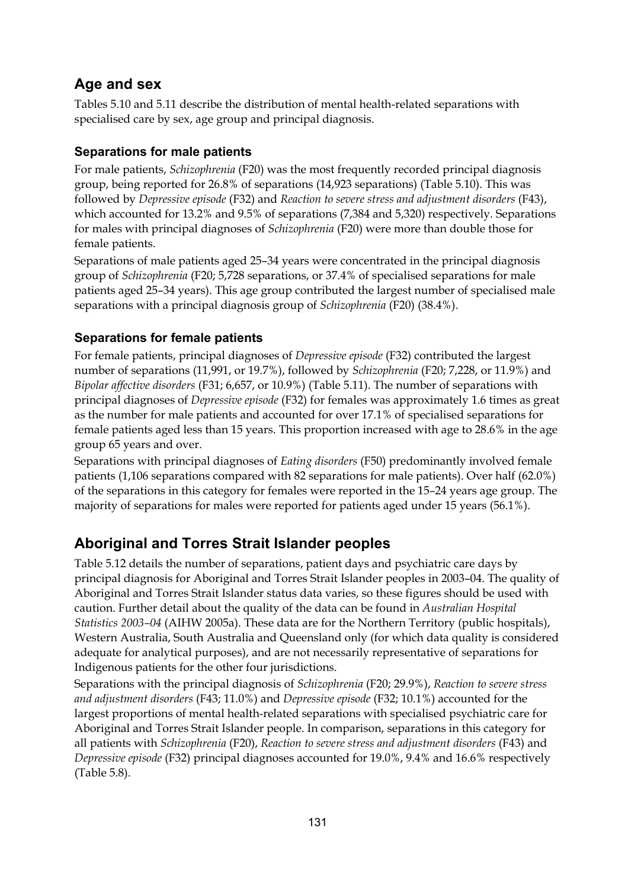## **Age and sex**

Tables 5.10 and 5.11 describe the distribution of mental health-related separations with specialised care by sex, age group and principal diagnosis.

#### **Separations for male patients**

For male patients, *Schizophrenia* (F20) was the most frequently recorded principal diagnosis group, being reported for 26.8% of separations (14,923 separations) (Table 5.10). This was followed by *Depressive episode* (F32) and *Reaction to severe stress and adjustment disorders* (F43), which accounted for 13.2% and 9.5% of separations (7,384 and 5,320) respectively. Separations for males with principal diagnoses of *Schizophrenia* (F20) were more than double those for female patients.

Separations of male patients aged 25–34 years were concentrated in the principal diagnosis group of *Schizophrenia* (F20; 5,728 separations, or 37.4% of specialised separations for male patients aged 25–34 years). This age group contributed the largest number of specialised male separations with a principal diagnosis group of *Schizophrenia* (F20) (38.4%).

#### **Separations for female patients**

For female patients, principal diagnoses of *Depressive episode* (F32) contributed the largest number of separations (11,991, or 19.7%), followed by *Schizophrenia* (F20; 7,228, or 11.9%) and *Bipolar affective disorders* (F31; 6,657, or 10.9%) (Table 5.11). The number of separations with principal diagnoses of *Depressive episode* (F32) for females was approximately 1.6 times as great as the number for male patients and accounted for over 17.1% of specialised separations for female patients aged less than 15 years. This proportion increased with age to 28.6% in the age group 65 years and over.

Separations with principal diagnoses of *Eating disorders* (F50) predominantly involved female patients (1,106 separations compared with 82 separations for male patients). Over half (62.0%) of the separations in this category for females were reported in the 15–24 years age group. The majority of separations for males were reported for patients aged under 15 years (56.1%).

## **Aboriginal and Torres Strait Islander peoples**

Table 5.12 details the number of separations, patient days and psychiatric care days by principal diagnosis for Aboriginal and Torres Strait Islander peoples in 2003–04. The quality of Aboriginal and Torres Strait Islander status data varies, so these figures should be used with caution. Further detail about the quality of the data can be found in *Australian Hospital Statistics 2003–04* (AIHW 2005a). These data are for the Northern Territory (public hospitals), Western Australia, South Australia and Queensland only (for which data quality is considered adequate for analytical purposes), and are not necessarily representative of separations for Indigenous patients for the other four jurisdictions.

Separations with the principal diagnosis of *Schizophrenia* (F20; 29.9%), *Reaction to severe stress and adjustment disorders* (F43; 11.0%) and *Depressive episode* (F32; 10.1%) accounted for the largest proportions of mental health-related separations with specialised psychiatric care for Aboriginal and Torres Strait Islander people. In comparison, separations in this category for all patients with *Schizophrenia* (F20), *Reaction to severe stress and adjustment disorders* (F43) and *Depressive episode* (F32) principal diagnoses accounted for 19.0%, 9.4% and 16.6% respectively (Table 5.8).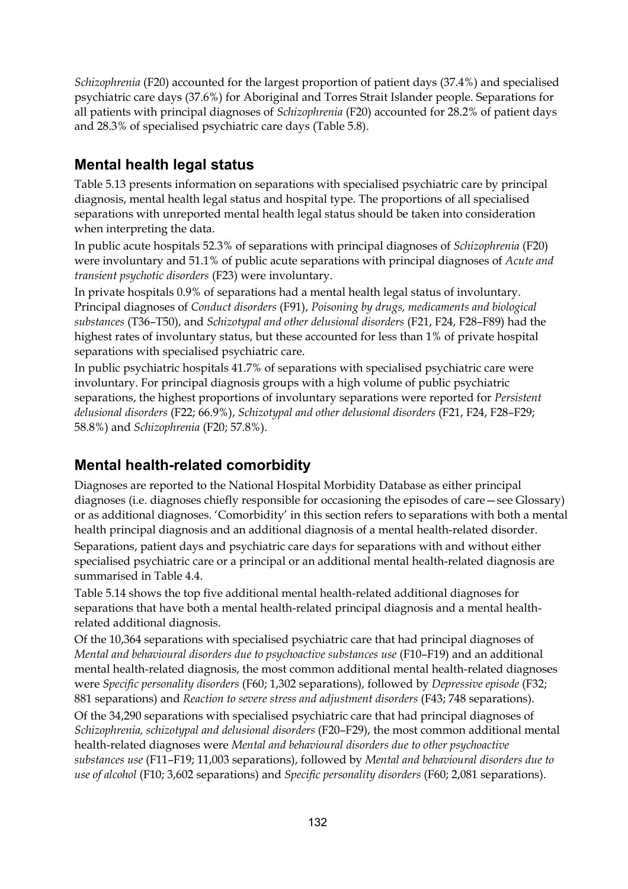*Schizophrenia* (F20) accounted for the largest proportion of patient days (37.4%) and specialised psychiatric care days (37.6%) for Aboriginal and Torres Strait Islander people. Separations for all patients with principal diagnoses of *Schizophrenia* (F20) accounted for 28.2% of patient days and 28.3% of specialised psychiatric care days (Table 5.8).

### **Mental health legal status**

Table 5.13 presents information on separations with specialised psychiatric care by principal diagnosis, mental health legal status and hospital type. The proportions of all specialised separations with unreported mental health legal status should be taken into consideration when interpreting the data.

In public acute hospitals 52.3% of separations with principal diagnoses of *Schizophrenia* (F20) were involuntary and 51.1% of public acute separations with principal diagnoses of *Acute and transient psychotic disorders* (F23) were involuntary.

In private hospitals 0.9% of separations had a mental health legal status of involuntary. Principal diagnoses of *Conduct disorders* (F91), *Poisoning by drugs, medicaments and biological substances* (T36–T50), and *Schizotypal and other delusional disorders* (F21, F24, F28–F89) had the highest rates of involuntary status, but these accounted for less than 1% of private hospital separations with specialised psychiatric care.

In public psychiatric hospitals 41.7% of separations with specialised psychiatric care were involuntary. For principal diagnosis groups with a high volume of public psychiatric separations, the highest proportions of involuntary separations were reported for *Persistent delusional disorders* (F22; 66.9%), *Schizotypal and other delusional disorders* (F21, F24, F28–F29; 58.8%) and *Schizophrenia* (F20; 57.8%).

#### **Mental health-related comorbidity**

Diagnoses are reported to the National Hospital Morbidity Database as either principal diagnoses (i.e. diagnoses chiefly responsible for occasioning the episodes of care—see Glossary) or as additional diagnoses. 'Comorbidity' in this section refers to separations with both a mental health principal diagnosis and an additional diagnosis of a mental health-related disorder. Separations, patient days and psychiatric care days for separations with and without either specialised psychiatric care or a principal or an additional mental health-related diagnosis are summarised in Table 4.4.

Table 5.14 shows the top five additional mental health-related additional diagnoses for separations that have both a mental health-related principal diagnosis and a mental healthrelated additional diagnosis.

Of the 10,364 separations with specialised psychiatric care that had principal diagnoses of *Mental and behavioural disorders due to psychoactive substances use* (F10–F19) and an additional mental health-related diagnosis, the most common additional mental health-related diagnoses were *Specific personality disorders* (F60; 1,302 separations), followed by *Depressive episode* (F32; 881 separations) and *Reaction to severe stress and adjustment disorders* (F43; 748 separations).

Of the 34,290 separations with specialised psychiatric care that had principal diagnoses of *Schizophrenia, schizotypal and delusional disorders* (F20–F29), the most common additional mental health-related diagnoses were *Mental and behavioural disorders due to other psychoactive substances use* (F11–F19; 11,003 separations), followed by *Mental and behavioural disorders due to use of alcohol* (F10; 3,602 separations) and *Specific personality disorders* (F60; 2,081 separations).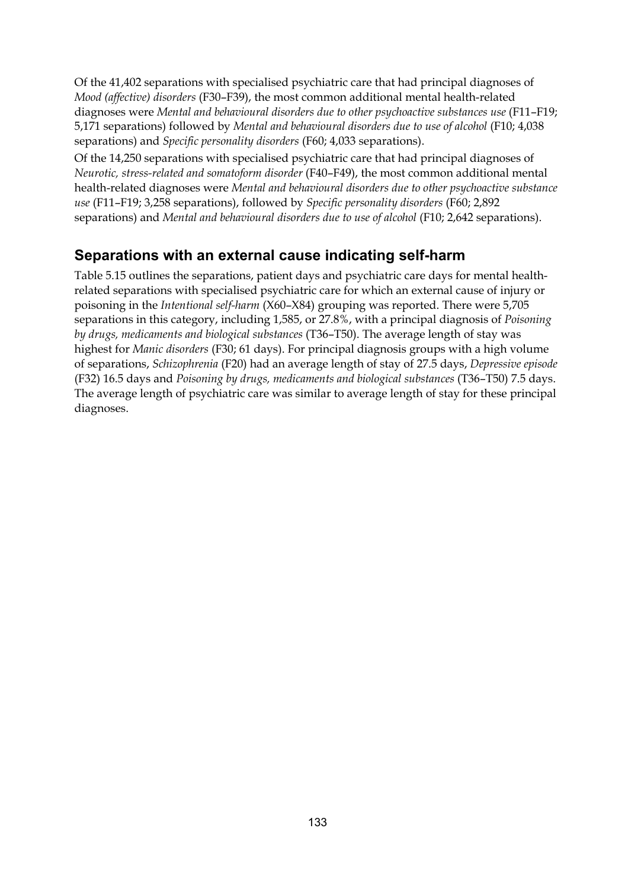Of the 41,402 separations with specialised psychiatric care that had principal diagnoses of *Mood (affective) disorders* (F30–F39), the most common additional mental health-related diagnoses were *Mental and behavioural disorders due to other psychoactive substances use* (F11–F19; 5,171 separations) followed by *Mental and behavioural disorders due to use of alcohol* (F10; 4,038 separations) and *Specific personality disorders* (F60; 4,033 separations).

Of the 14,250 separations with specialised psychiatric care that had principal diagnoses of *Neurotic, stress-related and somatoform disorder* (F40–F49), the most common additional mental health-related diagnoses were *Mental and behavioural disorders due to other psychoactive substance use* (F11–F19; 3,258 separations), followed by *Specific personality disorders* (F60; 2,892 separations) and *Mental and behavioural disorders due to use of alcohol* (F10; 2,642 separations).

### **Separations with an external cause indicating self-harm**

Table 5.15 outlines the separations, patient days and psychiatric care days for mental healthrelated separations with specialised psychiatric care for which an external cause of injury or poisoning in the *Intentional self-harm* (X60–X84) grouping was reported. There were 5,705 separations in this category, including 1,585, or 27.8%, with a principal diagnosis of *Poisoning by drugs, medicaments and biological substances* (T36–T50). The average length of stay was highest for *Manic disorders* (F30; 61 days). For principal diagnosis groups with a high volume of separations, *Schizophrenia* (F20) had an average length of stay of 27.5 days, *Depressive episode* (F32) 16.5 days and *Poisoning by drugs, medicaments and biological substances* (T36–T50) 7.5 days. The average length of psychiatric care was similar to average length of stay for these principal diagnoses.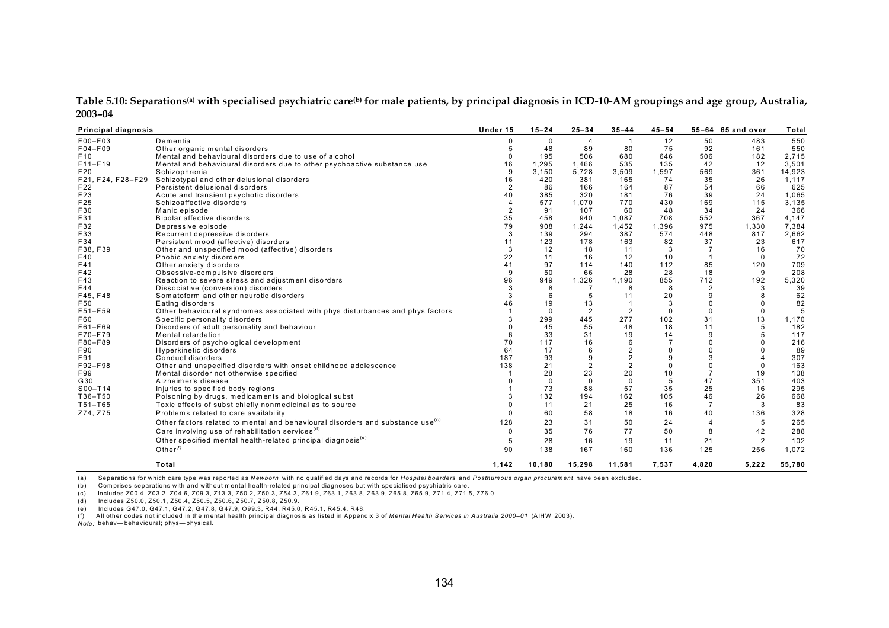Table 5.10: Separations<sup>(a)</sup> with specialised psychiatric care<sup>(b)</sup> for male patients, by principal diagnosis in ICD-10-AM groupings and age group, Australia, **2003–04**

| Principal diagnosis |                                                                                            | Under 15       | $15 - 24$   | $25 - 34$      | $35 - 44$      | $45 - 54$      |                | 55-64 65 and over | Total  |
|---------------------|--------------------------------------------------------------------------------------------|----------------|-------------|----------------|----------------|----------------|----------------|-------------------|--------|
| F00-F03             | Dementia                                                                                   | 0              | 0           | 4              | $\overline{1}$ | 12             | 50             | 483               | 550    |
| F04-F09             | Other organic mental disorders                                                             | 5              | 48          | 89             | 80             | 75             | 92             | 161               | 550    |
| F <sub>10</sub>     | Mental and behavioural disorders due to use of alcohol                                     | $\Omega$       | 195         | 506            | 680            | 646            | 506            | 182               | 2,715  |
| $F11-F19$           | Mental and behavioural disorders due to other psychoactive substance use                   | 16             | 1,295       | 1.466          | 535            | 135            | 42             | 12                | 3,501  |
| F20                 | Schizophrenia                                                                              | 9              | 3.150       | 5,728          | 3.509          | 1.597          | 569            | 361               | 14,923 |
|                     | F21, F24, F28-F29 Schizotypal and other delusional disorders                               | 16             | 420         | 381            | 165            | 74             | 35             | 26                | 1,117  |
| F22                 | Persistent delusional disorders                                                            | $\overline{2}$ | 86          | 166            | 164            | 87             | 54             | 66                | 625    |
| F23                 | Acute and transient psychotic disorders                                                    | 40             | 385         | 320            | 181            | 76             | 39             | 24                | 1,065  |
| F25                 | Schizoaffective disorders                                                                  |                | 577         | 1,070          | 770            | 430            | 169            | 115               | 3,135  |
| F30                 | Manic episode                                                                              |                | 91          | 107            | 60             | 48             | 34             | 24                | 366    |
| F31                 | Bipolar affective disorders                                                                | 35             | 458         | 940            | 1,087          | 708            | 552            | 367               | 4,147  |
| F32                 | Depressive episode                                                                         | 79             | 908         | 1,244          | 1,452          | 1,396          | 975            | 1,330             | 7,384  |
| F33                 | Recurrent depressive disorders                                                             | 3              | 139         | 294            | 387            | 574            | 448            | 817               | 2,662  |
| F34                 | Persistent mood (affective) disorders                                                      | 11             | 123         | 178            | 163            | 82             | 37             | 23                | 617    |
| F38, F39            | Other and unspecified mood (affective) disorders                                           | 3              | 12          | 18             | 11             | 3              | $\overline{7}$ | 16                | 70     |
| F40                 | Phobic anxiety disorders                                                                   | 22             | 11          | 16             | 12             | 10             |                | $\Omega$          | 72     |
| F41                 | Other anxiety disorders                                                                    | 41             | 97          | 114            | 140            | 112            | 85             | 120               | 709    |
| F42                 | Obsessive-compulsive disorders                                                             | 9              | 50          | 66             | 28             | 28             | 18             | 9                 | 208    |
| F43                 | Reaction to severe stress and adjustment disorders                                         | 96             | 949         | 1,326          | 1.190          | 855            | 712            | 192               | 5,320  |
| F44                 | Dissociative (conversion) disorders                                                        | 3              | 8           | $\overline{7}$ | 8              | 8              | 2              | 3                 | 39     |
| F45, F48            | Somatoform and other neurotic disorders                                                    |                | 6           | 5              | 11             | 20             | 9              | 8                 | 62     |
| F50                 | Eating disorders                                                                           | 46             | 19          | 13             | $\overline{1}$ | 3              | 0              | $\Omega$          | 82     |
| F51-F59             | Other behavioural syndromes associated with phys disturbances and phys factors             |                | $\mathbf 0$ | $\overline{2}$ | $\overline{2}$ | $\Omega$       | $\Omega$       | $\mathbf 0$       | 5      |
| F60                 | Specific personality disorders                                                             |                | 299         | 445            | 277            | 102            | 31             | 13                | 1,170  |
| F61-F69             | Disorders of adult personality and behaviour                                               |                | 45          | 55             | 48             | 18             | 11             | 5                 | 182    |
| F70-F79             | Mental retardation                                                                         |                | 33          | 31             | 19             | 14             | 9              | 5                 | 117    |
| F80-F89             | Disorders of psychological development                                                     | 70             | 117         | 16             | 6              | $\overline{7}$ | $\Omega$       |                   | 216    |
| F90                 | Hyperkinetic disorders                                                                     | 64             | 17          | 6              | $\overline{2}$ | $\Omega$       | $\Omega$       | $\Omega$          | 89     |
| F91                 | Conduct disorders                                                                          | 187            | 93          | 9              | $\overline{2}$ | 9              | 3              | $\overline{4}$    | 307    |
| F92-F98             | Other and unspecified disorders with onset childhood adolescence                           | 138            | 21          | $\overline{2}$ | $\overline{2}$ | $\Omega$       | $\Omega$       | $\Omega$          | 163    |
| F99                 | Mental disorder not otherwise specified                                                    |                | 28          | 23             | 20             | 10             | $\overline{7}$ | 19                | 108    |
| G30                 | Alzheimer's disease                                                                        |                | $\Omega$    | $\Omega$       | $\Omega$       | 5              | 47             | 351               | 403    |
| $S00 - T14$         | Injuries to specified body regions                                                         |                | 73          | 88             | 57             | 35             | 25             | 16                | 295    |
| T36-T50             | Poisoning by drugs, medicaments and biological subst                                       |                | 132         | 194            | 162            | 105            | 46             | 26                | 668    |
| T51-T65             | Toxic effects of subst chiefly nonmedicinal as to source                                   |                | 11          | 21             | 25             | 16             | $\overline{7}$ | 3                 | 83     |
| Z74, Z75            | Problems related to care availability                                                      |                | 60          | 58             | 18             | 16             | 40             | 136               | 328    |
|                     |                                                                                            |                |             |                |                |                |                |                   |        |
|                     | Other factors related to mental and behavioural disorders and substance use <sup>(c)</sup> | 128            | 23          | 31             | 50             | 24             | $\overline{4}$ | 5                 | 265    |
|                     | Care involving use of rehabilitation services <sup>(d)</sup>                               | $\Omega$       | 35          | 76             | 77             | 50             | 8              | 42                | 288    |
|                     | Other specified mental health-related principal diagnosis <sup>(e)</sup>                   | 5              | 28          | 16             | 19             | 11             | 21             | $\overline{2}$    | 102    |
|                     | Other $(f)$                                                                                | 90             | 138         | 167            | 160            | 136            | 125            | 256               | 1,072  |
|                     | Total                                                                                      | 1,142          | 10,180      | 15,298         | 11,581         | 7,537          | 4,820          | 5,222             | 55,780 |

(a) Separations for which care type was reported as *Newborn* with no qualified days and records for *Hospital boarders* and *Posthumous organ procurement* have been excluded.

(b) Com prises separations with and without mental health-related principal diagnoses but with specialised psychiatric care.

(c) Includes Z00.4, Z03.2, Z04.6, Z09.3, Z13.3, Z50.2, Z50.3, Z54.3, Z61.9, Z63.1, Z63.8, Z63.9, Z65.8, Z65.9, Z71.4, Z71.5, Z76.0.

(d) Includes Z50.0, Z50.1, Z50.4, Z50.5, Z50.6, Z50.7, Z50.8, Z50.9.

(e) Includes G47.0, G47.1, G47.2, G47.8, G47.9, O99.3, R44, R45.0, R45.1, R45.4, R48.<br>(f) All other codes not included in the mental health principal diagnosis as listed in Appendix 3 of Me*ntal Health Services in Australi* 

*Note:* behav— behavioural; phys— physical.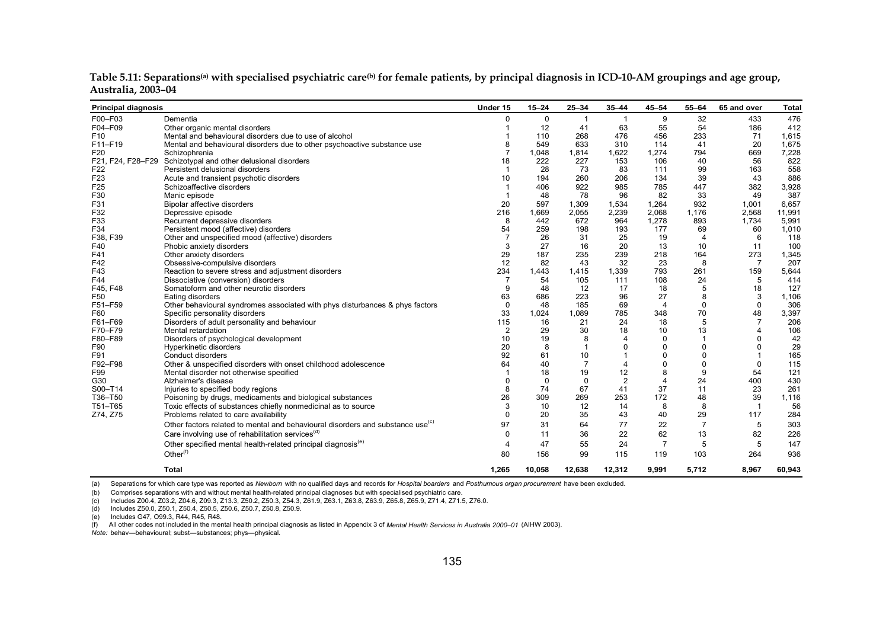| <b>Principal diagnosis</b> |                                                                                            | Under 15       | $15 - 24$   | $25 - 34$      | $35 - 44$        | $45 - 54$        | 55-64          | 65 and over      | <b>Total</b> |
|----------------------------|--------------------------------------------------------------------------------------------|----------------|-------------|----------------|------------------|------------------|----------------|------------------|--------------|
| F00-F03                    | Dementia                                                                                   | $\Omega$       | $\mathbf 0$ |                |                  | 9                | 32             | 433              | 476          |
| F04-F09                    | Other organic mental disorders                                                             |                | 12          | 41             | 63               | 55               | 54             | 186              | 412          |
| F <sub>10</sub>            | Mental and behavioural disorders due to use of alcohol                                     |                | 110         | 268            | 476              | 456              | 233            | 71               | 1,615        |
| F11-F19                    | Mental and behavioural disorders due to other psychoactive substance use                   |                | 549         | 633            | 310              | 114              | 41             | 20               | 1,675        |
| F <sub>20</sub>            | Schizophrenia                                                                              |                | 1,048       | 1,814          | 1,622            | 1,274            | 794            | 669              | 7,228        |
| F21, F24, F28-F29          | Schizotypal and other delusional disorders                                                 | 18             | 222         | 227            | 153              | 106              | 40             | 56               | 822          |
| F22                        | Persistent delusional disorders                                                            |                | 28          | 73             | 83               | 111              | 99             | 163              | 558          |
| F <sub>23</sub>            | Acute and transient psychotic disorders                                                    | 10             | 194         | 260            | 206              | 134              | 39             | 43               | 886          |
| F <sub>25</sub>            | Schizoaffective disorders                                                                  |                | 406         | 922            | 985              | 785              | 447            | 382              | 3,928        |
| F30                        | Manic episode                                                                              |                | 48          | 78             | 96               | 82               | 33             | 49               | 387          |
| F31                        | Bipolar affective disorders                                                                | 20             | 597         | 1,309          | 1,534            | 1,264            | 932            | 1,001            | 6,657        |
| F32                        | Depressive episode                                                                         | 216            | 1,669       | 2,055          | 2,239            | 2,068            | 1,176          | 2,568            | 11,991       |
| F33                        | Recurrent depressive disorders                                                             | 8              | 442         | 672            | 964              | 1,278            | 893            | 1,734            | 5,991        |
| F34                        | Persistent mood (affective) disorders                                                      | 54             | 259         | 198            | 193              | 177              | 69             | 60               | 1,010        |
| F38, F39                   | Other and unspecified mood (affective) disorders                                           |                | 26          | 31             | 25               | 19               | $\overline{4}$ | 6                | 118          |
| F40                        | Phobic anxiety disorders                                                                   | 3              | 27          | 16             | 20               | 13               | 10             | 11               | 100          |
| F41                        | Other anxiety disorders                                                                    | 29             | 187         | 235            | 239              | 218              | 164            | 273              | 1,345        |
| F42                        | Obsessive-compulsive disorders                                                             | 12             | 82          | 43             | 32               | 23               | 8              | $\overline{7}$   | 207          |
| F43                        | Reaction to severe stress and adjustment disorders                                         | 234            | 1,443       | 1,415          | 1,339            | 793              | 261            | 159              | 5,644        |
| F44                        | Dissociative (conversion) disorders                                                        | $\overline{7}$ | 54          | 105            | 111              | 108              | 24             | 5                | 414          |
| F45, F48                   | Somatoform and other neurotic disorders                                                    | 9              | 48          | 12             | 17               | 18               | 5              | 18               | 127          |
| F50                        | Eating disorders                                                                           | 63             | 686         | 223            | 96               | 27               | 8              | 3                | 1,106        |
| F51-F59                    | Other behavioural syndromes associated with phys disturbances & phys factors               | $\mathbf 0$    | 48          | 185            | 69               | $\overline{4}$   | 0              | $\mathbf 0$      | 306          |
| F60                        | Specific personality disorders                                                             | 33             | 1,024       | 1,089          | 785              | 348              | 70             | 48               | 3,397        |
| F61-F69                    | Disorders of adult personality and behaviour                                               | 115            | 16          | 21             | 24               | 18               | 5              | $\overline{7}$   | 206          |
| F70-F79                    | Mental retardation                                                                         | $\overline{2}$ | 29          | 30             | 18               | 10               | 13             | $\boldsymbol{4}$ | 106          |
| F80-F89                    | Disorders of psychological development                                                     | 10             | 19          | 8              | $\boldsymbol{A}$ | $\Omega$         |                | $\Omega$         | 42           |
| F90                        | Hyperkinetic disorders                                                                     | 20             | 8           | $\mathbf{1}$   | $\mathbf 0$      | 0                | 0              | 0                | 29           |
| F91                        | Conduct disorders                                                                          | 92             | 61          | 10             | $\overline{1}$   | $\Omega$         | 0              |                  | 165          |
| F92-F98                    | Other & unspecified disorders with onset childhood adolescence                             | 64             | 40          | $\overline{7}$ | $\overline{4}$   | 0                | 0              | $\Omega$         | 115          |
| F99                        | Mental disorder not otherwise specified                                                    |                | 18          | 19             | 12               | 8                | 9              | 54               | 121          |
| G30                        | Alzheimer's disease                                                                        |                | $\Omega$    | $\Omega$       | $\overline{2}$   | $\boldsymbol{4}$ | 24             | 400              | 430          |
| S00-T14                    | Injuries to specified body regions                                                         |                | 74          | 67             | 41               | 37               | 11             | 23               | 261          |
| T36-T50                    | Poisoning by drugs, medicaments and biological substances                                  | 26             | 309         | 269            | 253              | 172              | 48             | 39               | 1,116        |
| T51-T65                    | Toxic effects of substances chiefly nonmedicinal as to source                              | 3              | 10          | 12             | 14               | 8                | 8              | $\overline{1}$   | 56           |
| Z74, Z75                   | Problems related to care availability                                                      | $\Omega$       | 20          | 35             | 43               | 40               | 29             | 117              | 284          |
|                            | Other factors related to mental and behavioural disorders and substance use <sup>(c)</sup> | 97             | 31          | 64             | 77               | 22               | $\overline{7}$ | 5                | 303          |
|                            | Care involving use of rehabilitation services <sup>(a)</sup>                               | $\Omega$       | 11          | 36             | 22               | 62               | 13             | 82               | 226          |
|                            | Other specified mental health-related principal diagnosis <sup>(e)</sup>                   | $\overline{4}$ | 47          | 55             | 24               | $\overline{7}$   | 5              | 5                | 147          |
|                            | Other $(f)$                                                                                | 80             | 156         | 99             | 115              | 119              | 103            | 264              | 936          |
|                            |                                                                                            |                |             |                |                  |                  |                |                  |              |
|                            | <b>Total</b>                                                                               | 1,265          | 10,058      | 12,638         | 12,312           | 9,991            | 5,712          | 8,967            | 60,943       |

Table 5.11: Separations<sup>(a)</sup> with specialised psychiatric care<sup>(b)</sup> for female patients, by principal diagnosis in ICD-10-AM groupings and age group, **Australia, 2003–04**

(a) Separations for which care type was reported as *Newborn* with no qualified days and records for *Hospital boarders* and *Posthumous organ procurement* have been excluded.

(b) Comprises separations with and without mental health-related principal diagnoses but with specialised psychiatric care.

(c) Includes Z00.4, Z03.2, Z04.6, Z09.3, Z13.3, Z50.2, Z50.3, Z54.3, Z61.9, Z63.1, Z63.8, Z63.9, Z65.8, Z65.9, Z71.4, Z71.5, Z76.0.

(d) Includes Z50.0, Z50.1, Z50.4, Z50.5, Z50.6, Z50.7, Z50.8, Z50.9.

(e) Includes G47, O99.3, R44, R45, R48.

(f) All other codes not included in the mental health principal diagnosis as listed in Appendix 3 of *Mental Health Services in Australia 2000–01* (AIHW 2003).

*Note:* behav—behavioural; subst—substances; phys—physical.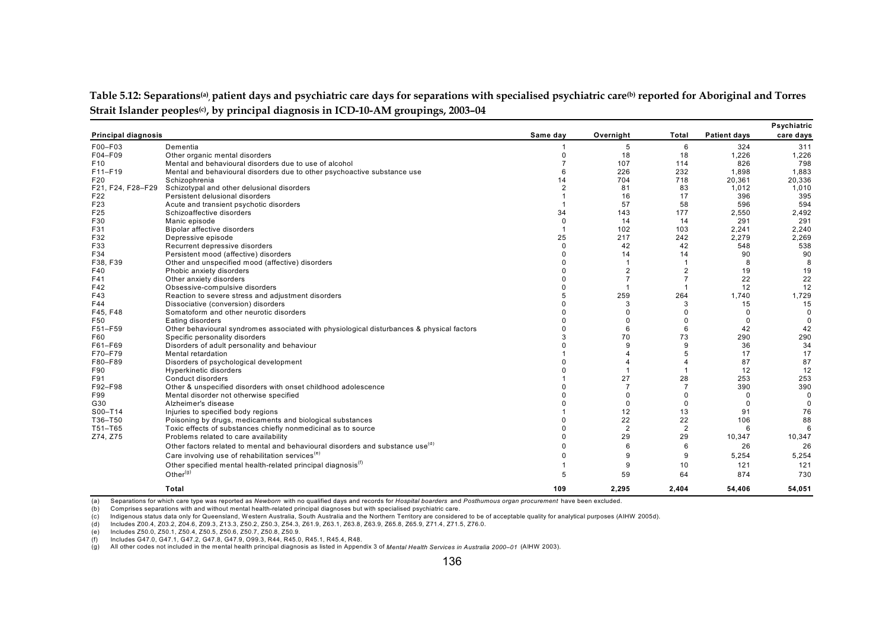Table 5.12: Separations<sup>(a)</sup>, patient days and psychiatric care days for separations with specialised psychiatric care<sup>(b)</sup> reported for Aboriginal and Torres Strait Islander peoples<sup>(c)</sup>, by principal diagnosis in ICD-10-AM groupings, 2003-04

|                            |                                                                                            |                |                |                |                     | Psychiatric |
|----------------------------|--------------------------------------------------------------------------------------------|----------------|----------------|----------------|---------------------|-------------|
| <b>Principal diagnosis</b> |                                                                                            | Same day       | Overnight      | Total          | <b>Patient days</b> | care days   |
| F00-F03                    | Dementia                                                                                   |                | 5              | 6              | 324                 | 311         |
| F04-F09                    | Other organic mental disorders                                                             | $\Omega$       | 18             | 18             | 1,226               | 1,226       |
| F <sub>10</sub>            | Mental and behavioural disorders due to use of alcohol                                     |                | 107            | 114            | 826                 | 798         |
| F11-F19                    | Mental and behavioural disorders due to other psychoactive substance use                   |                | 226            | 232            | 1,898               | 1,883       |
| F20                        | Schizophrenia                                                                              | 14             | 704            | 718            | 20.361              | 20,336      |
| F21, F24, F28-F29          | Schizotypal and other delusional disorders                                                 | $\overline{2}$ | 81             | 83             | 1,012               | 1,010       |
| F22                        | Persistent delusional disorders                                                            |                | 16             | 17             | 396                 | 395         |
| F <sub>23</sub>            | Acute and transient psychotic disorders                                                    |                | 57             | 58             | 596                 | 594         |
| F25                        | Schizoaffective disorders                                                                  | 34             | 143            | 177            | 2,550               | 2,492       |
| F30                        | Manic episode                                                                              | $\Omega$       | 14             | 14             | 291                 | 291         |
| F31                        | Bipolar affective disorders                                                                |                | 102            | 103            | 2,241               | 2,240       |
| F32                        | Depressive episode                                                                         | 25             | 217            | 242            | 2.279               | 2,269       |
| F33                        | Recurrent depressive disorders                                                             | $\Omega$       | 42             | 42             | 548                 | 538         |
| F34                        | Persistent mood (affective) disorders                                                      |                | 14             | 14             | 90                  | 90          |
| F38, F39                   | Other and unspecified mood (affective) disorders                                           |                | $\overline{1}$ | $\overline{1}$ | 8                   | 8           |
| F40                        | Phobic anxiety disorders                                                                   |                | $\overline{2}$ | $\overline{2}$ | 19                  | 19          |
| F41                        | Other anxiety disorders                                                                    |                |                |                | 22                  | 22          |
| F42                        | Obsessive-compulsive disorders                                                             |                |                |                | 12                  | 12          |
| F43                        | Reaction to severe stress and adjustment disorders                                         |                | 259            | 264            | 1.740               | 1,729       |
| F44                        | Dissociative (conversion) disorders                                                        |                | 3              | 3              | 15                  | 15          |
| F45, F48                   | Somatoform and other neurotic disorders                                                    |                |                |                | $\Omega$            | $\Omega$    |
| F50                        | Eating disorders                                                                           |                |                | O              | $\Omega$            | $\Omega$    |
| F51-F59                    | Other behavioural syndromes associated with physiological disturbances & physical factors  |                | 6              | 6              | 42                  | 42          |
| F60                        | Specific personality disorders                                                             |                | 70             | 73             | 290                 | 290         |
| F61-F69                    | Disorders of adult personality and behaviour                                               |                | 9              | 9              | 36                  | 34          |
| F70-F79                    | Mental retardation                                                                         |                |                |                | 17                  | 17          |
| F80-F89                    | Disorders of psychological development                                                     |                |                |                | 87                  | 87          |
| F90                        | Hyperkinetic disorders                                                                     |                |                |                | 12                  | 12          |
| F91                        | Conduct disorders                                                                          |                | 27             | 28             | 253                 | 253         |
| F92-F98                    | Other & unspecified disorders with onset childhood adolescence                             |                |                |                | 390                 | 390         |
| F99                        | Mental disorder not otherwise specified                                                    |                | 0              | 0              | $\Omega$            | $\Omega$    |
| G30                        | Alzheimer's disease                                                                        |                | 0              | $\Omega$       | $\Omega$            | $\Omega$    |
| S00-T14                    | Injuries to specified body regions                                                         |                | 12             | 13             | 91                  | 76          |
| T36-T50                    | Poisoning by drugs, medicaments and biological substances                                  |                | 22             | 22             | 106                 | 88          |
| T51-T65                    | Toxic effects of substances chiefly nonmedicinal as to source                              |                | $\overline{2}$ | $\overline{2}$ | 6                   | 6           |
| Z74, Z75                   | Problems related to care availability                                                      |                | 29             | 29             | 10,347              | 10,347      |
|                            | Other factors related to mental and behavioural disorders and substance use <sup>(d)</sup> |                | 6              | 6              | 26                  | 26          |
|                            | Care involving use of rehabilitation services <sup>(e)</sup>                               |                | 9              | 9              | 5,254               | 5,254       |
|                            | Other specified mental health-related principal diagnosis <sup>(f)</sup>                   |                | 9              | 10             | 121                 | 121         |
|                            | Other $(9)$                                                                                |                |                |                |                     |             |
|                            |                                                                                            |                | 59             | 64             | 874                 | 730         |
|                            | Total                                                                                      | 109            | 2,295          | 2,404          | 54,406              | 54,051      |

(a) Separations for which care type was reported as *Newborn* with no qualified days and records for *Hospital boarders* and *Posthumous organ procurement* have been excluded.

(b) Comprises separations with and without mental health-related principal diagnoses but with specialised psychiatric care.

(c) Indigenous status data only for Queensland, W estern Australia, South Australia and the Northern Territory are considered to be of acceptable quality for analytical purposes (AIHW 2005d).

(d) Includes Z00.4, Z03.2, Z04.6, Z09.3, Z13.3, Z50.2, Z50.3, Z54.3, Z61.9, Z63.1, Z63.8, Z63.9, Z65.8, Z65.9, Z71.4, Z71.5, Z76.0.

(e) Includes Z50.0, Z50.1, Z50.4, Z50.5, Z50.6, Z50.7, Z50.8, Z50.9.

(f) Includes G47.0, G47.1, G47.2, G47.8, G47.9, O99.3, R44, R45.0, R45.1, R45.4, R48.

(g) All other codes not included in the mental health principal diagnosis as listed in Appendix 3 of *Mental Health Services in Australia 2000–01* (AIHW 2003).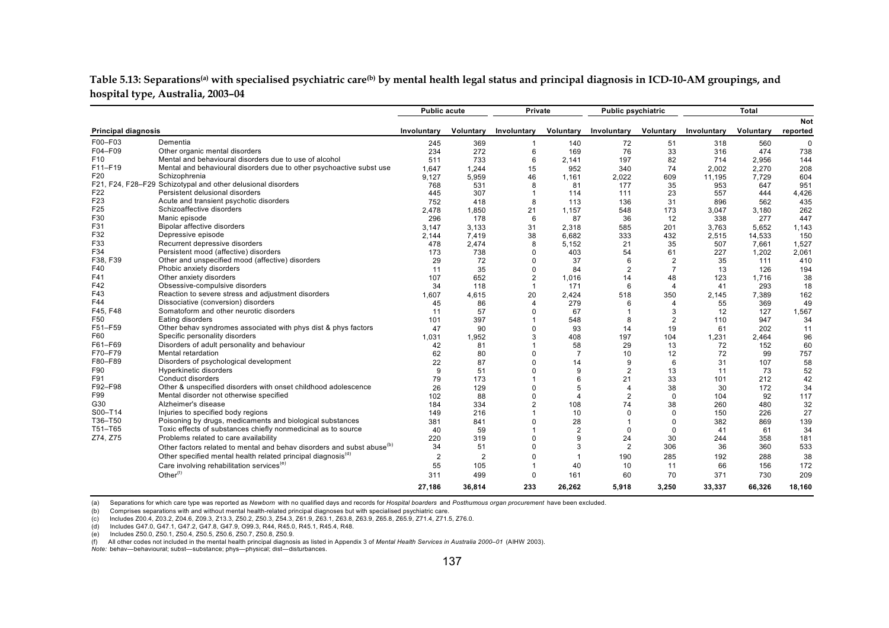#### Table 5.13: Separations<sup>(a)</sup> with specialised psychiatric care<sup>(b)</sup> by mental health legal status and principal diagnosis in ICD-10-AM groupings, and **hospital type, Australia, 2003–04**

|                            |                                                                                    | <b>Public acute</b> |                | Private        |                  | <b>Public psychiatric</b> |                  |             | <b>Total</b> |             |
|----------------------------|------------------------------------------------------------------------------------|---------------------|----------------|----------------|------------------|---------------------------|------------------|-------------|--------------|-------------|
|                            |                                                                                    |                     |                |                |                  |                           |                  |             |              | <b>Not</b>  |
| <b>Principal diagnosis</b> |                                                                                    | Involuntary         | Voluntary      | Involuntary    | <b>Voluntary</b> | Involuntary               | <b>Voluntary</b> | Involuntary | Voluntary    | reported    |
| F00-F03                    | Dementia                                                                           | 245                 | 369            |                | 140              | 72                        | 51               | 318         | 560          | $\mathbf 0$ |
| F04-F09                    | Other organic mental disorders                                                     | 234                 | 272            | 6              | 169              | 76                        | 33               | 316         | 474          | 738         |
| F <sub>10</sub>            | Mental and behavioural disorders due to use of alcohol                             | 511                 | 733            | 6              | 2.141            | 197                       | 82               | 714         | 2,956        | 144         |
| F11-F19                    | Mental and behavioural disorders due to other psychoactive subst use               | 1,647               | 1,244          | 15             | 952              | 340                       | 74               | 2,002       | 2,270        | 208         |
| F20                        | Schizophrenia                                                                      | 9,127               | 5,959          | 46             | 1,161            | 2,022                     | 609              | 11,195      | 7,729        | 604         |
|                            | F21, F24, F28-F29 Schizotypal and other delusional disorders                       | 768                 | 531            | 8              | 81               | 177                       | 35               | 953         | 647          | 951         |
| F <sub>22</sub>            | Persistent delusional disorders                                                    | 445                 | 307            |                | 114              | 111                       | 23               | 557         | 444          | 4,426       |
| F <sub>23</sub>            | Acute and transient psychotic disorders                                            | 752                 | 418            | 8              | 113              | 136                       | 31               | 896         | 562          | 435         |
| F <sub>25</sub>            | Schizoaffective disorders                                                          | 2,478               | 1,850          | 21             | 1.157            | 548                       | 173              | 3,047       | 3,180        | 262         |
| F30                        | Manic episode                                                                      | 296                 | 178            | 6              | 87               | 36                        | 12               | 338         | 277          | 447         |
| F31                        | Bipolar affective disorders                                                        | 3,147               | 3,133          | 31             | 2,318            | 585                       | 201              | 3,763       | 5,652        | 1,143       |
| F32                        | Depressive episode                                                                 | 2,144               | 7,419          | 38             | 6.682            | 333                       | 432              | 2,515       | 14,533       | 150         |
| F33                        | Recurrent depressive disorders                                                     | 478                 | 2,474          | 8              | 5.152            | 21                        | 35               | 507         | 7.661        | 1,527       |
| F34                        | Persistent mood (affective) disorders                                              | 173                 | 738            | $\Omega$       | 403              | 54                        | 61               | 227         | 1,202        | 2,061       |
| F38, F39                   | Other and unspecified mood (affective) disorders                                   | 29                  | 72             | $\Omega$       | 37               | 6                         | $\overline{2}$   | 35          | 111          | 410         |
| F40                        | Phobic anxiety disorders                                                           | 11                  | 35             | $\Omega$       | 84               | $\overline{2}$            | $\overline{7}$   | 13          | 126          | 194         |
| F41                        | Other anxiety disorders                                                            | 107                 | 652            | $\overline{2}$ | 1,016            | 14                        | 48               | 123         | 1,716        | 38          |
| F42                        | Obsessive-compulsive disorders                                                     | 34                  | 118            | $\overline{1}$ | 171              | 6                         | $\overline{4}$   | 41          | 293          | 18          |
| F43                        | Reaction to severe stress and adjustment disorders                                 | 1,607               | 4,615          | 20             | 2,424            | 518                       | 350              | 2,145       | 7,389        | 162         |
| F44                        | Dissociative (conversion) disorders                                                | 45                  | 86             | 4              | 279              | 6                         | 4                | 55          | 369          | 49          |
| F45, F48                   | Somatoform and other neurotic disorders                                            | 11                  | 57             | $\Omega$       | 67               | $\overline{1}$            | 3                | 12          | 127          | 1,567       |
| F <sub>50</sub>            | Eating disorders                                                                   | 101                 | 397            |                | 548              | 8                         | $\overline{2}$   | 110         | 947          | 34          |
| F51-F59                    | Other behav syndromes associated with phys dist & phys factors                     | 47                  | 90             | $\Omega$       | 93               | 14                        | 19               | 61          | 202          | 11          |
| F60                        | Specific personality disorders                                                     | 1.031               | 1.952          | 3              | 408              | 197                       | 104              | 1,231       | 2.464        | 96          |
| F61-F69                    | Disorders of adult personality and behaviour                                       | 42                  | 81             |                | 58               | 29                        | 13               | 72          | 152          | 60          |
| F70-F79                    | Mental retardation                                                                 | 62                  | 80             | $\Omega$       | $\overline{7}$   | 10                        | 12               | 72          | 99           | 757         |
| F80-F89                    | Disorders of psychological development                                             | 22                  | 87             |                | 14               | 9                         | 6                | 31          | 107          | 58          |
| F90                        | Hyperkinetic disorders                                                             | 9                   | 51             |                | 9                | $\overline{2}$            | 13               | 11          | 73           | 52          |
| F91                        | Conduct disorders                                                                  | 79                  | 173            |                | 6                | 21                        | 33               | 101         | 212          | 42          |
| F92-F98                    | Other & unspecified disorders with onset childhood adolescence                     | 26                  | 129            | $\Omega$       | 5                | $\overline{4}$            | 38               | 30          | 172          | 34          |
| F99                        | Mental disorder not otherwise specified                                            | 102                 | 88             | $\Omega$       | 4                | $\overline{2}$            | $\Omega$         | 104         | 92           | 117         |
| G30                        | Alzheimer's disease                                                                | 184                 | 334            | $\overline{2}$ | 108              | 74                        | 38               | 260         | 480          | 32          |
| S00-T14                    | Injuries to specified body regions                                                 | 149                 | 216            |                | 10               | $\Omega$                  | $\Omega$         | 150         | 226          | 27          |
| T36-T50                    | Poisoning by drugs, medicaments and biological substances                          | 381                 | 841            | $\Omega$       | 28               |                           | $\mathbf 0$      | 382         | 869          | 139         |
| T51-T65                    | Toxic effects of substances chiefly nonmedicinal as to source                      | 40                  | 59             |                | $\overline{2}$   | $\Omega$                  | $\Omega$         | 41          | 61           | 34          |
| Z74, Z75                   | Problems related to care availability                                              | 220                 | 319            | $\Omega$       | 9                | 24                        | 30               | 244         | 358          | 181         |
|                            | Other factors related to mental and behav disorders and subst abuse <sup>(b)</sup> | 34                  | 51             | $\Omega$       | 3                | $\overline{2}$            | 306              | 36          | 360          | 533         |
|                            | Other specified mental health related principal diagnosis <sup>(a)</sup>           |                     |                |                | $\overline{1}$   |                           |                  |             |              |             |
|                            |                                                                                    | $\overline{2}$      | $\overline{2}$ |                |                  | 190                       | 285              | 192         | 288          | 38          |
|                            | Care involving rehabilitation services <sup>(e)</sup>                              | 55                  | 105            |                | 40               | 10                        | 11               | 66          | 156          | 172         |
|                            | Other $(f)$                                                                        | 311                 | 499            | $\Omega$       | 161              | 60                        | 70               | 371         | 730          | 209         |
|                            |                                                                                    | 27,186              | 36.814         | 233            | 26.262           | 5.918                     | 3.250            | 33,337      | 66,326       | 18,160      |

(a) Separations for which care type was reported as *Newborn* with no qualified days and records for *Hospital boarders* and *Posthumous organ procurement* have been excluded.

(b) Comprises separations with and without mental health-related principal diagnoses but with specialised psychiatric care.

(c) Includes Z00.4, Z03.2, Z04.6, Z09.3, Z13.3, Z50.2, Z50.3, Z54.3, Z61.9, Z63.1, Z63.8, Z63.9, Z65.8, Z65.9, Z71.4, Z71.5, Z76.0.

(d) Includes G47.0, G47.1, G47.2, G47.8, G47.9, O99.3, R44, R45.0, R45.1, R45.4, R48.

(e) Includes Z50.0, Z50.1, Z50.4, Z50.5, Z50.6, Z50.7, Z50.8, Z50.9.

(f) All other codes not included in the mental health principal diagnosis as listed in Appendix 3 of *Mental Health Services in Australia 2000–01* (AIHW 2003).

*Note:* behav—behavioural; subst—substance; phys—physical; dist—disturbances.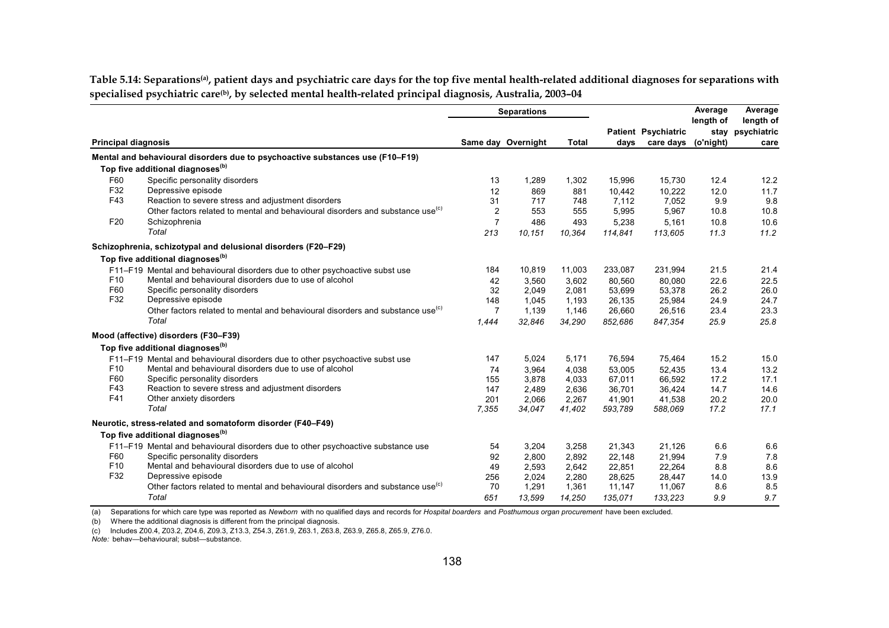Table 5.14: Separations<sup>(a)</sup>, patient days and psychiatric care days for the top five mental health-related additional diagnoses for separations with **specialised psychiatric care(b), by selected mental health-related principal diagnosis, Australia, 2003–04** 

|                            |                                                                                            | <b>Separations</b> |                    |              |         |                            | Average   | Average                       |
|----------------------------|--------------------------------------------------------------------------------------------|--------------------|--------------------|--------------|---------|----------------------------|-----------|-------------------------------|
|                            |                                                                                            |                    |                    |              |         | <b>Patient Psychiatric</b> | length of | length of<br>stay psychiatric |
| <b>Principal diagnosis</b> |                                                                                            |                    | Same day Overnight | <b>Total</b> | days    | care days (o'night)        |           | care                          |
|                            | Mental and behavioural disorders due to psychoactive substances use (F10-F19)              |                    |                    |              |         |                            |           |                               |
|                            | Top five additional diagnoses <sup>(b)</sup>                                               |                    |                    |              |         |                            |           |                               |
| F60                        | Specific personality disorders                                                             | 13                 | 1,289              | 1,302        | 15.996  | 15.730                     | 12.4      | 12.2                          |
| F32                        | Depressive episode                                                                         | 12                 | 869                | 881          | 10.442  | 10.222                     | 12.0      | 11.7                          |
| F43                        | Reaction to severe stress and adjustment disorders                                         | 31                 | 717                | 748          | 7,112   | 7,052                      | 9.9       | 9.8                           |
|                            | Other factors related to mental and behavioural disorders and substance use <sup>(c)</sup> | $\overline{2}$     | 553                | 555          | 5,995   | 5,967                      | 10.8      | 10.8                          |
| F <sub>20</sub>            | Schizophrenia                                                                              | $\overline{7}$     | 486                | 493          | 5,238   | 5,161                      | 10.8      | 10.6                          |
|                            | Total                                                                                      | 213                | 10,151             | 10,364       | 114,841 | 113,605                    | 11.3      | 11.2                          |
|                            | Schizophrenia, schizotypal and delusional disorders (F20-F29)                              |                    |                    |              |         |                            |           |                               |
|                            | Top five additional diagnoses <sup>(b)</sup>                                               |                    |                    |              |         |                            |           |                               |
|                            | F11-F19 Mental and behavioural disorders due to other psychoactive subst use               | 184                | 10,819             | 11,003       | 233,087 | 231,994                    | 21.5      | 21.4                          |
| F <sub>10</sub>            | Mental and behavioural disorders due to use of alcohol                                     | 42                 | 3,560              | 3,602        | 80,560  | 80,080                     | 22.6      | 22.5                          |
| F60                        | Specific personality disorders                                                             | 32                 | 2,049              | 2,081        | 53,699  | 53,378                     | 26.2      | 26.0                          |
| F32                        | Depressive episode                                                                         | 148                | 1,045              | 1,193        | 26,135  | 25,984                     | 24.9      | 24.7                          |
|                            | Other factors related to mental and behavioural disorders and substance use <sup>(c)</sup> | $\overline{7}$     | 1,139              | 1,146        | 26,660  | 26,516                     | 23.4      | 23.3                          |
|                            | Total                                                                                      | 1,444              | 32,846             | 34,290       | 852,686 | 847,354                    | 25.9      | 25.8                          |
|                            | Mood (affective) disorders (F30-F39)                                                       |                    |                    |              |         |                            |           |                               |
|                            | Top five additional diagnoses <sup>(b)</sup>                                               |                    |                    |              |         |                            |           |                               |
|                            | F11-F19 Mental and behavioural disorders due to other psychoactive subst use               | 147                | 5,024              | 5,171        | 76,594  | 75,464                     | 15.2      | 15.0                          |
| F <sub>10</sub>            | Mental and behavioural disorders due to use of alcohol                                     | 74                 | 3,964              | 4,038        | 53,005  | 52,435                     | 13.4      | 13.2                          |
| F60                        | Specific personality disorders                                                             | 155                | 3,878              | 4,033        | 67,011  | 66,592                     | 17.2      | 17.1                          |
| F43                        | Reaction to severe stress and adjustment disorders                                         | 147                | 2,489              | 2,636        | 36,701  | 36,424                     | 14.7      | 14.6                          |
| F41                        | Other anxiety disorders                                                                    | 201                | 2,066              | 2,267        | 41,901  | 41,538                     | 20.2      | 20.0                          |
|                            | Total                                                                                      | 7,355              | 34,047             | 41,402       | 593,789 | 588,069                    | 17.2      | 17.1                          |
|                            | Neurotic, stress-related and somatoform disorder (F40-F49)                                 |                    |                    |              |         |                            |           |                               |
|                            | Top five additional diagnoses <sup>(b)</sup>                                               |                    |                    |              |         |                            |           |                               |
|                            | F11-F19 Mental and behavioural disorders due to other psychoactive substance use           | 54                 | 3,204              | 3,258        | 21,343  | 21,126                     | 6.6       | 6.6                           |
| F60                        | Specific personality disorders                                                             | 92                 | 2,800              | 2,892        | 22,148  | 21,994                     | 7.9       | 7.8                           |
| F <sub>10</sub>            | Mental and behavioural disorders due to use of alcohol                                     | 49                 | 2,593              | 2,642        | 22,851  | 22,264                     | 8.8       | 8.6                           |
| F32                        | Depressive episode                                                                         | 256                | 2,024              | 2,280        | 28,625  | 28,447                     | 14.0      | 13.9                          |
|                            | Other factors related to mental and behavioural disorders and substance use <sup>(c)</sup> | 70                 | 1,291              | 1,361        | 11,147  | 11,067                     | 8.6       | 8.5                           |
|                            | Total                                                                                      | 651                | 13,599             | 14,250       | 135,071 | 133,223                    | 9.9       | 9.7                           |

(a) Separations for which care type was reported as *Newborn* with no qualified days and records for *Hospital boarders* and *Posthumous organ procurement* have been excluded.

(b) Where the additional diagnosis is different from the principal diagnosis.

(c) Includes Z00.4, Z03.2, Z04.6, Z09.3, Z13.3, Z54.3, Z61.9, Z63.1, Z63.8, Z63.9, Z65.8, Z65.9, Z76.0.

*Note:* behav—behavioural; subst—substance.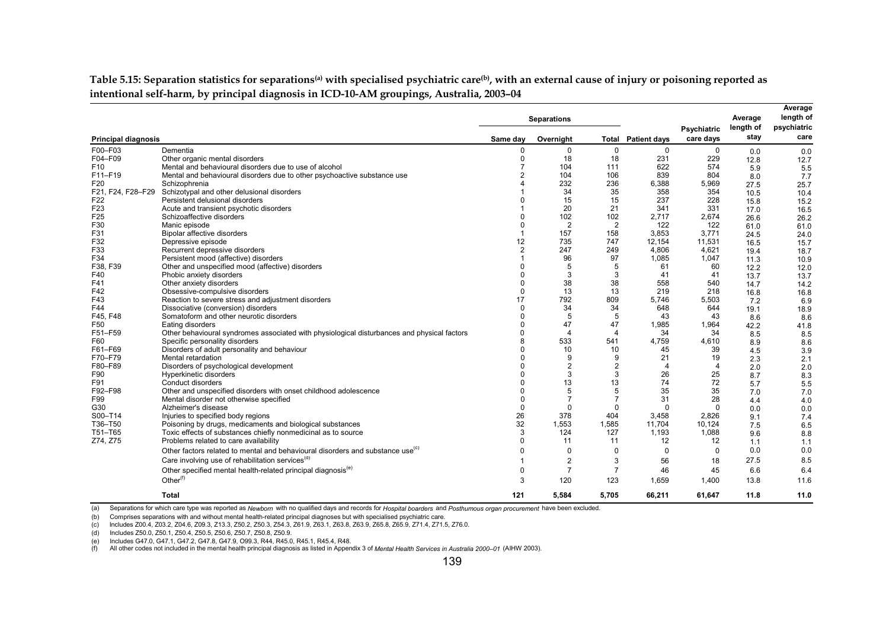Table 5.15: Separation statistics for separations<sup>(a)</sup> with specialised psychiatric care<sup>(b)</sup>, with an external cause of injury or poisoning reported as **intentional self-harm, by principal diagnosis in ICD-10-AM groupings, Australia, 2003–04** 

|                            |                                                                                             |                | <b>Separations</b> |                |                     |                          | Average           | Average<br>length of |
|----------------------------|---------------------------------------------------------------------------------------------|----------------|--------------------|----------------|---------------------|--------------------------|-------------------|----------------------|
| <b>Principal diagnosis</b> |                                                                                             | Same day       | Overnight          | Total          | <b>Patient days</b> | Psychiatric<br>care days | length of<br>stay | psychiatric<br>care  |
| F00-F03                    | Dementia                                                                                    | 0              | $\mathbf 0$        | $\mathbf 0$    | $\mathbf 0$         | $\mathbf 0$              | 0.0               | 0.0                  |
| F04-F09                    | Other organic mental disorders                                                              | $\mathbf 0$    | 18                 | 18             | 231                 | 229                      | 12.8              | 12.7                 |
| F <sub>10</sub>            | Mental and behavioural disorders due to use of alcohol                                      | $\overline{7}$ | 104                | 111            | 622                 | 574                      | 5.9               | 5.5                  |
| F11-F19                    | Mental and behavioural disorders due to other psychoactive substance use                    | $\overline{2}$ | 104                | 106            | 839                 | 804                      | 8.0               | 7.7                  |
| F20                        | Schizophrenia                                                                               |                | 232                | 236            | 6,388               | 5,969                    | 27.5              | 25.7                 |
| F21, F24, F28-F29          | Schizotypal and other delusional disorders                                                  |                | 34                 | 35             | 358                 | 354                      | 10.5              | 10.4                 |
| F <sub>22</sub>            | Persistent delusional disorders                                                             | $\Omega$       | 15                 | 15             | 237                 | 228                      | 15.8              | 15.2                 |
| F <sub>23</sub>            | Acute and transient psychotic disorders                                                     |                | 20                 | 21             | 341                 | 331                      | 17.0              | 16.5                 |
| F <sub>25</sub>            | Schizoaffective disorders                                                                   | $\Omega$       | 102                | 102            | 2.717               | 2,674                    | 26.6              | 26.2                 |
| F30                        | Manic episode                                                                               | $\mathbf 0$    | 2                  | 2              | 122                 | 122                      | 61.0              | 61.0                 |
| F31                        | <b>Bipolar affective disorders</b>                                                          |                | 157                | 158            | 3.853               | 3.771                    | 24.5              | 24.0                 |
| F32                        | Depressive episode                                                                          | 12             | 735                | 747            | 12,154              | 11,531                   | 16.5              | 15.7                 |
| F33                        | Recurrent depressive disorders                                                              | $\overline{2}$ | 247                | 249            | 4.806               | 4,621                    | 19.4              | 18.7                 |
| F34                        | Persistent mood (affective) disorders                                                       |                | 96                 | 97             | 1,085               | 1,047                    | 11.3              | 10.9                 |
| F38, F39                   | Other and unspecified mood (affective) disorders                                            | $\Omega$       | 5                  | 5              | 61                  | 60                       | 12.2              | 12.0                 |
| F40                        | Phobic anxiety disorders                                                                    | $\Omega$       | 3                  | 3              | 41                  | 41                       | 13.7              | 13.7                 |
| F41                        | Other anxiety disorders                                                                     | $\mathbf 0$    | 38                 | 38             | 558                 | 540                      | 14.7              | 14.2                 |
| F42                        | Obsessive-compulsive disorders                                                              | $\Omega$       | 13                 | 13             | 219                 | 218                      | 16.8              | 16.8                 |
| F43                        | Reaction to severe stress and adjustment disorders                                          | 17             | 792                | 809            | 5,746               | 5,503                    | 7.2               | 6.9                  |
| F44                        | Dissociative (conversion) disorders                                                         | $\Omega$       | 34                 | 34             | 648                 | 644                      | 19.1              | 18.9                 |
| F45, F48                   | Somatoform and other neurotic disorders                                                     | $\Omega$       | 5                  | 5              | 43                  | 43                       | 8.6               | 8.6                  |
| F50                        | Eating disorders                                                                            | $\Omega$       | 47                 | 47             | 1,985               | 1,964                    | 42.2              | 41.8                 |
| F51-F59                    | Other behavioural syndromes associated with physiological disturbances and physical factors | $\Omega$       | 4                  | 4              | 34                  | 34                       | 8.5               | 8.5                  |
| F60                        | Specific personality disorders                                                              | 8              | 533                | 541            | 4,759               | 4,610                    | 8.9               | 8.6                  |
| F61-F69                    | Disorders of adult personality and behaviour                                                | $\Omega$       | 10                 | 10             | 45                  | 39                       | 4.5               | 3.9                  |
| F70-F79                    | Mental retardation                                                                          | $\Omega$       | 9                  | 9              | 21                  | 19                       | 2.3               | 2.1                  |
| F80-F89                    | Disorders of psychological development                                                      | $\Omega$       | $\overline{2}$     | $\overline{2}$ | 4                   | $\overline{4}$           | 2.0               | 2.0                  |
| F90                        | Hyperkinetic disorders                                                                      | $\Omega$       | 3                  | 3              | 26                  | 25                       | 8.7               | 8.3                  |
| F91                        | Conduct disorders                                                                           | $\Omega$       | 13                 | 13             | 74                  | 72                       | 5.7               | 5.5                  |
| F92-F98                    | Other and unspecified disorders with onset childhood adolescence                            | $\Omega$       | 5                  | 5              | 35                  | 35                       | 7.0               | 7.0                  |
| F99                        | Mental disorder not otherwise specified                                                     | $\Omega$       | $\overline{7}$     | $\overline{7}$ | 31                  | 28                       | 4.4               | 4.0                  |
| G30                        | Alzheimer's disease                                                                         | $\Omega$       | $\Omega$           | $\Omega$       | $\Omega$            | $\Omega$                 | 0.0               | 0.0                  |
| S00-T14                    | Injuries to specified body regions                                                          | 26             | 378                | 404            | 3.458               | 2.826                    | 9.1               | 7.4                  |
| T36-T50                    | Poisoning by drugs, medicaments and biological substances                                   | 32             | 1.553              | 1,585          | 11.704              | 10.124                   | 7.5               | 6.5                  |
| T51-T65                    | Toxic effects of substances chiefly nonmedicinal as to source                               | 3              | 124                | 127            | 1,193               | 1,088                    | 9.6               | 8.8                  |
| Z74, Z75                   | Problems related to care availability                                                       | $\Omega$       | 11                 | 11             | 12                  | 12                       | 1.1               | 1.1                  |
|                            | Other factors related to mental and behavioural disorders and substance use <sup>(c)</sup>  | $\Omega$       | $\mathbf 0$        | 0              | $\mathbf 0$         | $\Omega$                 | 0.0               | 0.0                  |
|                            | Care involving use of rehabilitation services <sup>(d)</sup>                                |                | 2                  | 3              | 56                  | 18                       | 27.5              | 8.5                  |
|                            | Other specified mental health-related principal diagnosis <sup>(e)</sup>                    | 0              | $\overline{7}$     | $\overline{7}$ | 46                  | 45                       | 6.6               | 6.4                  |
|                            | Other $(f)$                                                                                 | 3              | 120                | 123            | 1.659               | 1,400                    | 13.8              | 11.6                 |
|                            | <b>Total</b>                                                                                | 121            | 5,584              | 5,705          | 66,211              | 61.647                   | 11.8              | 11.0                 |

(a) Separations for which care type was reported as *Newborn* with no qualified days and records for *Hospital boarders* and *Posthumous organ procurement* have been excluded.

(b) Comprises separations with and without mental health-related principal diagnoses but with specialised psychiatric care.

(c) Includes Z00.4, Z03.2, Z04.6, Z09.3, Z13.3, Z50.2, Z50.3, Z54.3, Z61.9, Z63.1, Z63.8, Z63.9, Z65.8, Z65.9, Z71.4, Z71.5, Z76.0.

(d) Includes Z50.0, Z50.1, Z50.4, Z50.5, Z50.6, Z50.7, Z50.8, Z50.9.

(e) Includes G47.0, G47.1, G47.2, G47.8, G47.9, O99.3, R44, R45.0, R45.1, R45.4, R48.

(f) All other codes not included in the mental health principal diagnosis as listed in Appendix 3 of *Mental Health Services in Australia 2000–01* (AIHW 2003).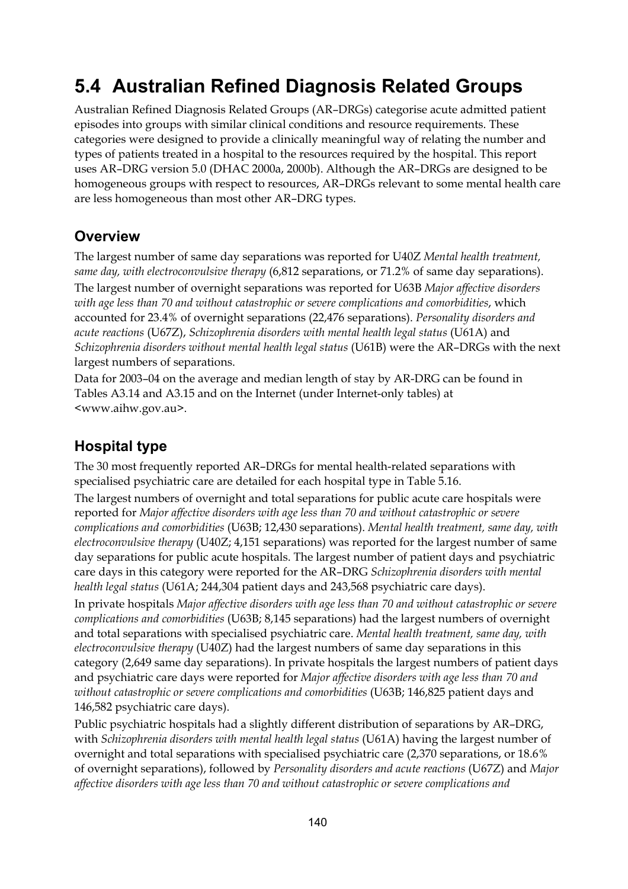## **5.4 Australian Refined Diagnosis Related Groups**

Australian Refined Diagnosis Related Groups (AR–DRGs) categorise acute admitted patient episodes into groups with similar clinical conditions and resource requirements. These categories were designed to provide a clinically meaningful way of relating the number and types of patients treated in a hospital to the resources required by the hospital. This report uses AR–DRG version 5.0 (DHAC 2000a, 2000b). Although the AR–DRGs are designed to be homogeneous groups with respect to resources, AR–DRGs relevant to some mental health care are less homogeneous than most other AR–DRG types.

### **Overview**

The largest number of same day separations was reported for U40Z *Mental health treatment, same day, with electroconvulsive therapy* (6,812 separations, or 71.2% of same day separations).

The largest number of overnight separations was reported for U63B *Major affective disorders with age less than 70 and without catastrophic or severe complications and comorbidities*, which accounted for 23.4% of overnight separations (22,476 separations). *Personality disorders and acute reactions* (U67Z), *Schizophrenia disorders with mental health legal status* (U61A) and *Schizophrenia disorders without mental health legal status* (U61B) were the AR–DRGs with the next largest numbers of separations.

Data for 2003–04 on the average and median length of stay by AR-DRG can be found in Tables A3.14 and A3.15 and on the Internet (under Internet-only tables) at <www.aihw.gov.au>.

## **Hospital type**

The 30 most frequently reported AR–DRGs for mental health-related separations with specialised psychiatric care are detailed for each hospital type in Table 5.16.

The largest numbers of overnight and total separations for public acute care hospitals were reported for *Major affective disorders with age less than 70 and without catastrophic or severe complications and comorbidities* (U63B; 12,430 separations). *Mental health treatment, same day, with electroconvulsive therapy* (U40Z; 4,151 separations) was reported for the largest number of same day separations for public acute hospitals. The largest number of patient days and psychiatric care days in this category were reported for the AR–DRG *Schizophrenia disorders with mental health legal status* (U61A; 244,304 patient days and 243,568 psychiatric care days).

In private hospitals *Major affective disorders with age less than 70 and without catastrophic or severe complications and comorbidities* (U63B; 8,145 separations) had the largest numbers of overnight and total separations with specialised psychiatric care. *Mental health treatment, same day, with electroconvulsive therapy* (U40Z) had the largest numbers of same day separations in this category (2,649 same day separations). In private hospitals the largest numbers of patient days and psychiatric care days were reported for *Major affective disorders with age less than 70 and without catastrophic or severe complications and comorbidities* (U63B; 146,825 patient days and 146,582 psychiatric care days).

Public psychiatric hospitals had a slightly different distribution of separations by AR–DRG, with *Schizophrenia disorders with mental health legal status* (U61A) having the largest number of overnight and total separations with specialised psychiatric care (2,370 separations, or 18.6% of overnight separations), followed by *Personality disorders and acute reactions* (U67Z) and *Major affective disorders with age less than 70 and without catastrophic or severe complications and*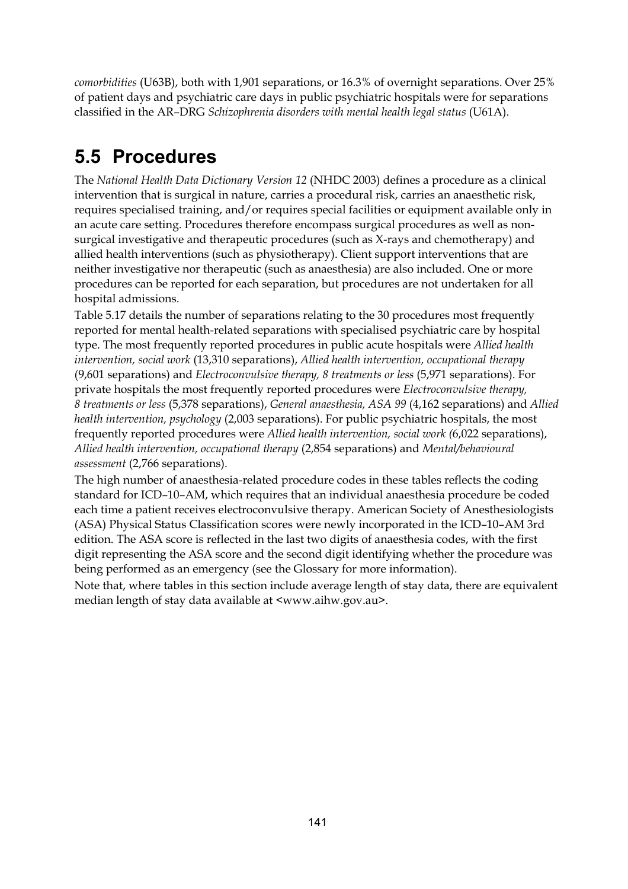*comorbidities* (U63B), both with 1,901 separations, or 16.3% of overnight separations. Over 25% of patient days and psychiatric care days in public psychiatric hospitals were for separations classified in the AR–DRG *Schizophrenia disorders with mental health legal status* (U61A).

## **5.5 Procedures**

The *National Health Data Dictionary Version 12* (NHDC 2003) defines a procedure as a clinical intervention that is surgical in nature, carries a procedural risk, carries an anaesthetic risk, requires specialised training, and/or requires special facilities or equipment available only in an acute care setting. Procedures therefore encompass surgical procedures as well as nonsurgical investigative and therapeutic procedures (such as X-rays and chemotherapy) and allied health interventions (such as physiotherapy). Client support interventions that are neither investigative nor therapeutic (such as anaesthesia) are also included. One or more procedures can be reported for each separation, but procedures are not undertaken for all hospital admissions.

Table 5.17 details the number of separations relating to the 30 procedures most frequently reported for mental health-related separations with specialised psychiatric care by hospital type. The most frequently reported procedures in public acute hospitals were *Allied health intervention, social work* (13,310 separations), *Allied health intervention, occupational therapy*  (9,601 separations) and *Electroconvulsive therapy, 8 treatments or less* (5,971 separations). For private hospitals the most frequently reported procedures were *Electroconvulsive therapy, 8 treatments or less* (5,378 separations), *General anaesthesia, ASA 99* (4,162 separations) and *Allied health intervention, psychology* (2,003 separations). For public psychiatric hospitals, the most frequently reported procedures were *Allied health intervention, social work (*6,022 separations), *Allied health intervention, occupational therapy* (2,854 separations) and *Mental/behavioural assessment* (2,766 separations).

The high number of anaesthesia-related procedure codes in these tables reflects the coding standard for ICD–10–AM, which requires that an individual anaesthesia procedure be coded each time a patient receives electroconvulsive therapy. American Society of Anesthesiologists (ASA) Physical Status Classification scores were newly incorporated in the ICD–10–AM 3rd edition. The ASA score is reflected in the last two digits of anaesthesia codes, with the first digit representing the ASA score and the second digit identifying whether the procedure was being performed as an emergency (see the Glossary for more information).

Note that, where tables in this section include average length of stay data, there are equivalent median length of stay data available at <www.aihw.gov.au>.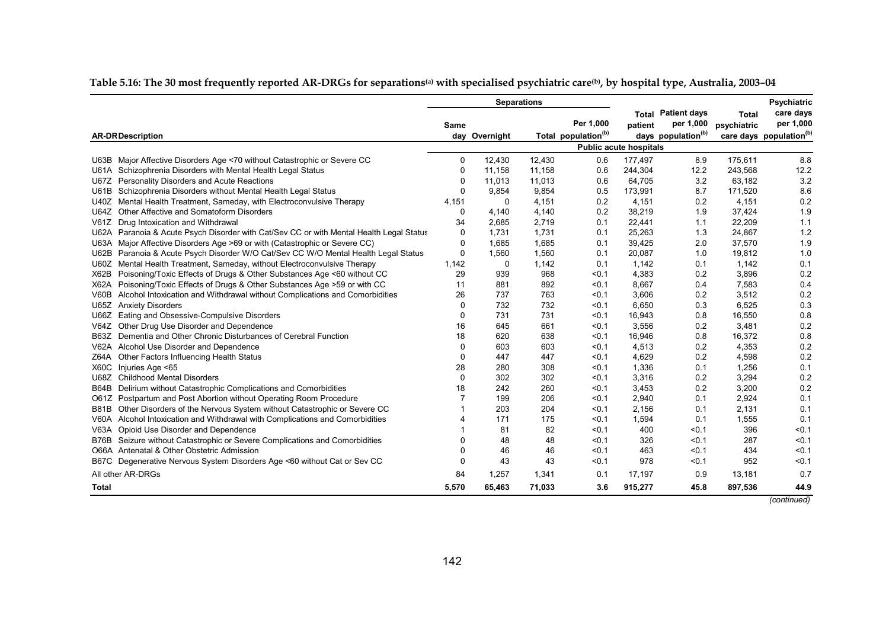|                                                                                         | <b>Separations</b> |               |        |                                              |                               |                                                                          |                             | <b>Psychiatric</b>                                            |
|-----------------------------------------------------------------------------------------|--------------------|---------------|--------|----------------------------------------------|-------------------------------|--------------------------------------------------------------------------|-----------------------------|---------------------------------------------------------------|
| <b>AR-DR Description</b>                                                                | Same               | day Overnight |        | Per 1,000<br>Total population <sup>(b)</sup> | patient                       | <b>Total Patient days</b><br>per 1,000<br>days population <sup>(b)</sup> | <b>Total</b><br>psychiatric | care days<br>per 1,000<br>care days population <sup>(b)</sup> |
|                                                                                         |                    |               |        |                                              | <b>Public acute hospitals</b> |                                                                          |                             |                                                               |
| U63B Major Affective Disorders Age <70 without Catastrophic or Severe CC                | 0                  | 12,430        | 12,430 | 0.6                                          | 177,497                       | 8.9                                                                      | 175,611                     | 8.8                                                           |
| U61A Schizophrenia Disorders with Mental Health Legal Status                            | 0                  | 11,158        | 11,158 | 0.6                                          | 244,304                       | 12.2                                                                     | 243,568                     | 12.2                                                          |
| <b>Personality Disorders and Acute Reactions</b><br><b>U67Z</b>                         | 0                  | 11,013        | 11,013 | 0.6                                          | 64,705                        | 3.2                                                                      | 63,182                      | 3.2                                                           |
| U61B Schizophrenia Disorders without Mental Health Legal Status                         | 0                  | 9,854         | 9,854  | 0.5                                          | 173,991                       | 8.7                                                                      | 171,520                     | 8.6                                                           |
| Mental Health Treatment, Sameday, with Electroconvulsive Therapy<br>U40Z                | 4,151              | 0             | 4,151  | 0.2                                          | 4,151                         | 0.2                                                                      | 4,151                       | 0.2                                                           |
| Other Affective and Somatoform Disorders<br>U64Z                                        | $\Omega$           | 4,140         | 4,140  | 0.2                                          | 38,219                        | 1.9                                                                      | 37,424                      | 1.9                                                           |
| Drug Intoxication and Withdrawal<br>V61Z                                                | 34                 | 2,685         | 2,719  | 0.1                                          | 22,441                        | 1.1                                                                      | 22,209                      | 1.1                                                           |
| U62A Paranoia & Acute Psych Disorder with Cat/Sev CC or with Mental Health Legal Status | 0                  | 1,731         | 1,731  | 0.1                                          | 25,263                        | 1.3                                                                      | 24,867                      | 1.2                                                           |
| U63A Major Affective Disorders Age >69 or with (Catastrophic or Severe CC)              | 0                  | 1,685         | 1,685  | 0.1                                          | 39,425                        | 2.0                                                                      | 37,570                      | 1.9                                                           |
| U62B Paranoia & Acute Psych Disorder W/O Cat/Sev CC W/O Mental Health Legal Status      | 0                  | 1,560         | 1,560  | 0.1                                          | 20,087                        | 1.0                                                                      | 19,812                      | 1.0                                                           |
| U60Z Mental Health Treatment, Sameday, without Electroconvulsive Therapy                | 1,142              | 0             | 1,142  | 0.1                                          | 1,142                         | 0.1                                                                      | 1,142                       | 0.1                                                           |
| Poisoning/Toxic Effects of Drugs & Other Substances Age <60 without CC<br>X62B          | 29                 | 939           | 968    | < 0.1                                        | 4,383                         | 0.2                                                                      | 3,896                       | 0.2                                                           |
| X62A Poisoning/Toxic Effects of Drugs & Other Substances Age > 59 or with CC            | 11                 | 881           | 892    | < 0.1                                        | 8,667                         | 0.4                                                                      | 7,583                       | 0.4                                                           |
| Alcohol Intoxication and Withdrawal without Complications and Comorbidities<br>V60B     | 26                 | 737           | 763    | < 0.1                                        | 3,606                         | 0.2                                                                      | 3,512                       | 0.2                                                           |
| <b>Anxiety Disorders</b><br>U65Z                                                        | 0                  | 732           | 732    | < 0.1                                        | 6,650                         | 0.3                                                                      | 6,525                       | 0.3                                                           |
| Eating and Obsessive-Compulsive Disorders<br>U66Z                                       | 0                  | 731           | 731    | < 0.1                                        | 16,943                        | 0.8                                                                      | 16,550                      | 0.8                                                           |
| Other Drug Use Disorder and Dependence<br>V64Z                                          | 16                 | 645           | 661    | < 0.1                                        | 3,556                         | 0.2                                                                      | 3,481                       | 0.2                                                           |
| Dementia and Other Chronic Disturbances of Cerebral Function<br><b>B63Z</b>             | 18                 | 620           | 638    | < 0.1                                        | 16,946                        | 0.8                                                                      | 16,372                      | 0.8                                                           |
| V62A Alcohol Use Disorder and Dependence                                                | 0                  | 603           | 603    | < 0.1                                        | 4,513                         | 0.2                                                                      | 4,353                       | 0.2                                                           |
| Z64A Other Factors Influencing Health Status                                            | 0                  | 447           | 447    | < 0.1                                        | 4,629                         | 0.2                                                                      | 4,598                       | 0.2                                                           |
| X60C<br>Injuries Age <65                                                                | 28                 | 280           | 308    | < 0.1                                        | 1,336                         | 0.1                                                                      | 1,256                       | 0.1                                                           |
| U68Z Childhood Mental Disorders                                                         | $\Omega$           | 302           | 302    | < 0.1                                        | 3,316                         | 0.2                                                                      | 3,294                       | 0.2                                                           |
| B64B Delirium without Catastrophic Complications and Comorbidities                      | 18                 | 242           | 260    | < 0.1                                        | 3,453                         | 0.2                                                                      | 3,200                       | 0.2                                                           |
| O61Z Postpartum and Post Abortion without Operating Room Procedure                      |                    | 199           | 206    | < 0.1                                        | 2,940                         | 0.1                                                                      | 2,924                       | 0.1                                                           |
| Other Disorders of the Nervous System without Catastrophic or Severe CC<br>B81B         |                    | 203           | 204    | < 0.1                                        | 2,156                         | 0.1                                                                      | 2,131                       | 0.1                                                           |
| V60A Alcohol Intoxication and Withdrawal with Complications and Comorbidities           |                    | 171           | 175    | < 0.1                                        | 1,594                         | 0.1                                                                      | 1,555                       | 0.1                                                           |
| V63A Opioid Use Disorder and Dependence                                                 |                    | 81            | 82     | < 0.1                                        | 400                           | < 0.1                                                                    | 396                         | < 0.1                                                         |
| B76B Seizure without Catastrophic or Severe Complications and Comorbidities             |                    | 48            | 48     | < 0.1                                        | 326                           | < 0.1                                                                    | 287                         | < 0.1                                                         |
| O66A Antenatal & Other Obstetric Admission                                              | $\Omega$           | 46            | 46     | < 0.1                                        | 463                           | < 0.1                                                                    | 434                         | < 0.1                                                         |
| B67C Degenerative Nervous System Disorders Age <60 without Cat or Sev CC                | $\mathbf{0}$       | 43            | 43     | < 0.1                                        | 978                           | < 0.1                                                                    | 952                         | < 0.1                                                         |
| All other AR-DRGs                                                                       | 84                 | 1,257         | 1,341  | 0.1                                          | 17,197                        | 0.9                                                                      | 13,181                      | 0.7                                                           |
| Total                                                                                   | 5,570              | 65,463        | 71,033 | 3.6                                          | 915,277                       | 45.8                                                                     | 897,536                     | 44.9                                                          |

#### **Table 5.16: The 30 most frequently reported AR-DRGs for separations(a) with specialised psychiatric care(b), by hospital type, Australia, 2003–04**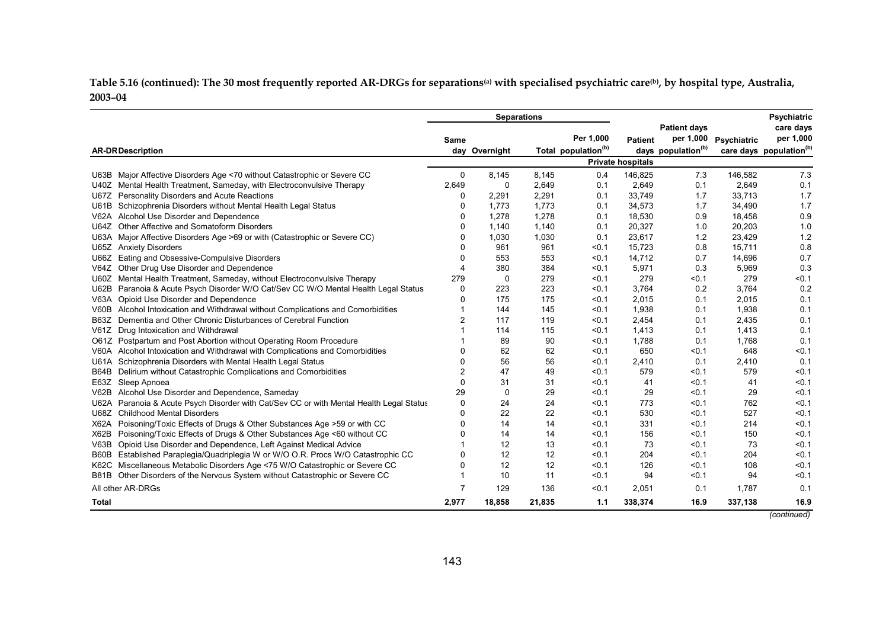Table 5.16 (continued): The 30 most frequently reported AR-DRGs for separations<sup>(a)</sup> with specialised psychiatric care<sup>(b)</sup>, by hospital type, Australia, **2003–04** 

|                                                                                              | <b>Separations</b> |               |        |                                 |                          |                                | <b>Psychiatric</b> |                                     |
|----------------------------------------------------------------------------------------------|--------------------|---------------|--------|---------------------------------|--------------------------|--------------------------------|--------------------|-------------------------------------|
|                                                                                              |                    |               |        |                                 |                          | <b>Patient days</b>            |                    | care days                           |
|                                                                                              | Same               |               |        | Per 1.000                       | <b>Patient</b>           | per 1,000                      | Psychiatric        | per 1,000                           |
| <b>AR-DR Description</b>                                                                     |                    | day Overnight |        | Total population <sup>(b)</sup> |                          | days population <sup>(b)</sup> |                    | care days population <sup>(b)</sup> |
|                                                                                              |                    |               |        |                                 | <b>Private hospitals</b> |                                |                    |                                     |
| Major Affective Disorders Age <70 without Catastrophic or Severe CC<br>U63B                  | 0                  | 8.145         | 8,145  | 0.4                             | 146,825                  | 7.3                            | 146,582            | 7.3                                 |
| Mental Health Treatment, Sameday, with Electroconvulsive Therapy<br>U40Z                     | 2,649              | $\Omega$      | 2,649  | 0.1                             | 2,649                    | 0.1                            | 2,649              | 0.1                                 |
| Personality Disorders and Acute Reactions<br>U67Z                                            | 0                  | 2,291         | 2,291  | 0.1                             | 33,749                   | 1.7                            | 33,713             | 1.7                                 |
| Schizophrenia Disorders without Mental Health Legal Status<br>U61B                           | 0                  | 1,773         | 1,773  | 0.1                             | 34,573                   | 1.7                            | 34,490             | 1.7                                 |
| Alcohol Use Disorder and Dependence<br>V62A                                                  | 0                  | 1,278         | 1,278  | 0.1                             | 18,530                   | 0.9                            | 18,458             | 0.9                                 |
| Other Affective and Somatoform Disorders<br>U64Z                                             | 0                  | 1,140         | 1,140  | 0.1                             | 20,327                   | 1.0                            | 20,203             | 1.0                                 |
| Major Affective Disorders Age >69 or with (Catastrophic or Severe CC)<br>U63A                | 0                  | 1,030         | 1,030  | 0.1                             | 23,617                   | 1.2                            | 23,429             | 1.2                                 |
| <b>Anxiety Disorders</b><br>U65Z                                                             | $\Omega$           | 961           | 961    | < 0.1                           | 15,723                   | 0.8                            | 15,711             | 0.8                                 |
| Eating and Obsessive-Compulsive Disorders<br>U66Z                                            | $\Omega$           | 553           | 553    | < 0.1                           | 14,712                   | 0.7                            | 14,696             | 0.7                                 |
| Other Drug Use Disorder and Dependence<br>V64Z                                               | 4                  | 380           | 384    | < 0.1                           | 5,971                    | 0.3                            | 5,969              | 0.3                                 |
| Mental Health Treatment, Sameday, without Electroconvulsive Therapy<br>U60Z                  | 279                | 0             | 279    | < 0.1                           | 279                      | < 0.1                          | 279                | < 0.1                               |
| Paranoia & Acute Psych Disorder W/O Cat/Sev CC W/O Mental Health Legal Status<br><b>U62B</b> | 0                  | 223           | 223    | < 0.1                           | 3.764                    | 0.2                            | 3.764              | 0.2                                 |
| Opioid Use Disorder and Dependence<br>V63A                                                   | 0                  | 175           | 175    | < 0.1                           | 2,015                    | 0.1                            | 2,015              | 0.1                                 |
| Alcohol Intoxication and Withdrawal without Complications and Comorbidities<br>V60B          |                    | 144           | 145    | < 0.1                           | 1,938                    | 0.1                            | 1,938              | 0.1                                 |
| Dementia and Other Chronic Disturbances of Cerebral Function<br>B63Z                         | 2                  | 117           | 119    | < 0.1                           | 2,454                    | 0.1                            | 2,435              | 0.1                                 |
| Drug Intoxication and Withdrawal<br>V61Z                                                     |                    | 114           | 115    | < 0.1                           | 1,413                    | 0.1                            | 1,413              | 0.1                                 |
| O61Z Postpartum and Post Abortion without Operating Room Procedure                           |                    | 89            | 90     | < 0.1                           | 1,788                    | 0.1                            | 1,768              | 0.1                                 |
| V60A Alcohol Intoxication and Withdrawal with Complications and Comorbidities                |                    | 62            | 62     | < 0.1                           | 650                      | < 0.1                          | 648                | < 0.1                               |
| Schizophrenia Disorders with Mental Health Legal Status<br>U61A                              | O                  | 56            | 56     | < 0.1                           | 2,410                    | 0.1                            | 2,410              | 0.1                                 |
| Delirium without Catastrophic Complications and Comorbidities<br>B64B                        | 2                  | 47            | 49     | < 0.1                           | 579                      | < 0.1                          | 579                | < 0.1                               |
| Sleep Apnoea<br>E63Z                                                                         | 0                  | 31            | 31     | < 0.1                           | 41                       | < 0.1                          | 41                 | < 0.1                               |
| V62B<br>Alcohol Use Disorder and Dependence, Sameday                                         | 29                 | $\mathbf 0$   | 29     | < 0.1                           | 29                       | < 0.1                          | 29                 | < 0.1                               |
| Paranoia & Acute Psych Disorder with Cat/Sev CC or with Mental Health Legal Status<br>U62A   | 0                  | 24            | 24     | < 0.1                           | 773                      | < 0.1                          | 762                | < 0.1                               |
| <b>Childhood Mental Disorders</b><br>U68Z                                                    | 0                  | 22            | 22     | < 0.1                           | 530                      | < 0.1                          | 527                | < 0.1                               |
| Poisoning/Toxic Effects of Drugs & Other Substances Age > 59 or with CC<br>X62A              | ი                  | 14            | 14     | < 0.1                           | 331                      | < 0.1                          | 214                | < 0.1                               |
| Poisoning/Toxic Effects of Drugs & Other Substances Age <60 without CC<br>X62B               | n                  | 14            | 14     | < 0.1                           | 156                      | < 0.1                          | 150                | < 0.1                               |
| Opioid Use Disorder and Dependence, Left Against Medical Advice<br>V63B                      |                    | 12            | 13     | < 0.1                           | 73                       | < 0.1                          | 73                 | < 0.1                               |
| Established Paraplegia/Quadriplegia W or W/O O.R. Procs W/O Catastrophic CC<br>B60B          |                    | 12            | 12     | < 0.1                           | 204                      | < 0.1                          | 204                | < 0.1                               |
| Miscellaneous Metabolic Disorders Age <75 W/O Catastrophic or Severe CC<br>K62C              | ი                  | 12            | 12     | < 0.1                           | 126                      | < 0.1                          | 108                | < 0.1                               |
| Other Disorders of the Nervous System without Catastrophic or Severe CC<br><b>B81B</b>       |                    | 10            | 11     | < 0.1                           | 94                       | < 0.1                          | 94                 | < 0.1                               |
| All other AR-DRGs                                                                            | 7                  | 129           | 136    | < 0.1                           | 2,051                    | 0.1                            | 1,787              | 0.1                                 |
| <b>Total</b>                                                                                 | 2,977              | 18,858        | 21,835 | 1.1                             | 338,374                  | 16.9                           | 337,138            | 16.9                                |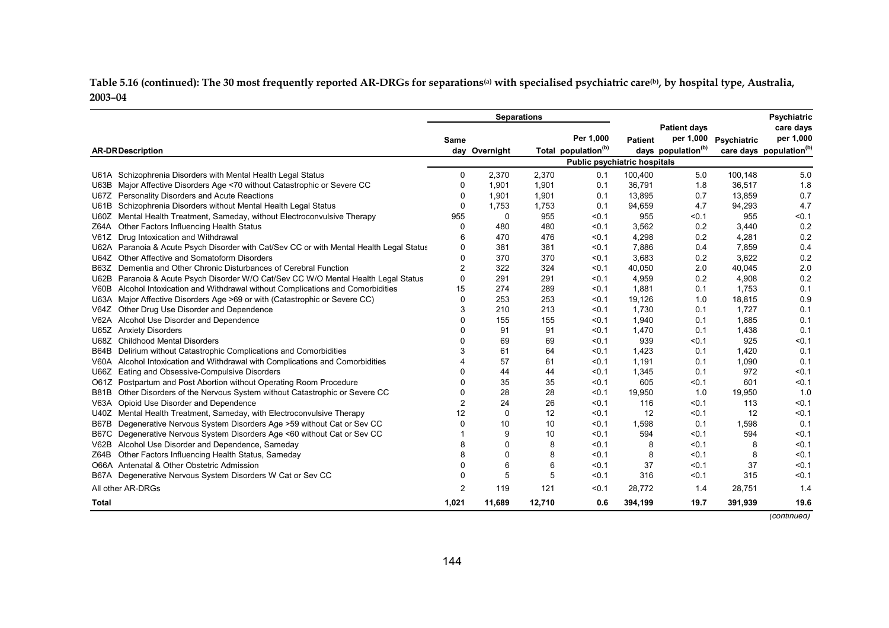Table 5.16 (continued): The 30 most frequently reported AR-DRGs for separations<sup>(a)</sup> with specialised psychiatric care<sup>(b)</sup>, by hospital type, Australia, **2003–04** 

|                                                                                                   |       |               | <b>Separations</b> |                                 |                |                                |             | <b>Psychiatric</b>                  |
|---------------------------------------------------------------------------------------------------|-------|---------------|--------------------|---------------------------------|----------------|--------------------------------|-------------|-------------------------------------|
|                                                                                                   |       |               |                    |                                 |                | <b>Patient days</b>            |             | care days                           |
|                                                                                                   | Same  |               |                    | Per 1.000                       | <b>Patient</b> | per 1,000                      | Psychiatric | per 1,000                           |
| <b>AR-DR Description</b>                                                                          |       | day Overnight |                    | Total population <sup>(b)</sup> |                | days population <sup>(b)</sup> |             | care days population <sup>(b)</sup> |
|                                                                                                   |       |               |                    | Public psychiatric hospitals    |                |                                |             |                                     |
| U61A Schizophrenia Disorders with Mental Health Legal Status                                      | 0     | 2,370         | 2,370              | 0.1                             | 100,400        | 5.0                            | 100,148     | 5.0                                 |
| Major Affective Disorders Age <70 without Catastrophic or Severe CC<br>U63B                       | 0     | 1,901         | 1,901              | 0.1                             | 36,791         | 1.8                            | 36,517      | 1.8                                 |
| Personality Disorders and Acute Reactions<br>U67Z                                                 | 0     | 1,901         | 1,901              | 0.1                             | 13,895         | 0.7                            | 13,859      | 0.7                                 |
| Schizophrenia Disorders without Mental Health Legal Status<br>U61B                                | 0     | 1,753         | 1,753              | 0.1                             | 94,659         | 4.7                            | 94,293      | 4.7                                 |
| Mental Health Treatment, Sameday, without Electroconvulsive Therapy<br>U60Z                       | 955   | 0             | 955                | < 0.1                           | 955            | < 0.1                          | 955         | < 0.1                               |
| Other Factors Influencing Health Status<br>Z64A                                                   | 0     | 480           | 480                | < 0.1                           | 3,562          | 0.2                            | 3,440       | 0.2                                 |
| Drug Intoxication and Withdrawal<br>V61Z                                                          | 6     | 470           | 476                | < 0.1                           | 4,298          | 0.2                            | 4,281       | 0.2                                 |
| Paranoia & Acute Psych Disorder with Cat/Sev CC or with Mental Health Legal Status<br><b>U62A</b> | 0     | 381           | 381                | < 0.1                           | 7,886          | 0.4                            | 7,859       | 0.4                                 |
| Other Affective and Somatoform Disorders<br>U64Z                                                  | 0     | 370           | 370                | < 0.1                           | 3,683          | 0.2                            | 3,622       | 0.2                                 |
| Dementia and Other Chronic Disturbances of Cerebral Function<br>B63Z                              | 2     | 322           | 324                | < 0.1                           | 40,050         | 2.0                            | 40,045      | 2.0                                 |
| Paranoia & Acute Psych Disorder W/O Cat/Sev CC W/O Mental Health Legal Status<br><b>U62B</b>      | 0     | 291           | 291                | < 0.1                           | 4,959          | 0.2                            | 4,908       | 0.2                                 |
| Alcohol Intoxication and Withdrawal without Complications and Comorbidities<br>V60B               | 15    | 274           | 289                | < 0.1                           | 1,881          | 0.1                            | 1,753       | 0.1                                 |
| Major Affective Disorders Age >69 or with (Catastrophic or Severe CC)<br>U63A                     | 0     | 253           | 253                | < 0.1                           | 19,126         | 1.0                            | 18,815      | 0.9                                 |
| Other Drug Use Disorder and Dependence<br>V64Z                                                    | 3     | 210           | 213                | < 0.1                           | 1,730          | 0.1                            | 1.727       | 0.1                                 |
| Alcohol Use Disorder and Dependence<br>V62A                                                       | U     | 155           | 155                | < 0.1                           | 1,940          | 0.1                            | 1,885       | 0.1                                 |
| U65Z Anxiety Disorders                                                                            | U     | 91            | 91                 | < 0.1                           | 1,470          | 0.1                            | 1,438       | 0.1                                 |
| <b>Childhood Mental Disorders</b><br>U68Z                                                         | n     | 69            | 69                 | < 0.1                           | 939            | < 0.1                          | 925         | < 0.1                               |
| Delirium without Catastrophic Complications and Comorbidities<br>B64B                             |       | 61            | 64                 | < 0.1                           | 1,423          | 0.1                            | 1,420       | 0.1                                 |
| V60A Alcohol Intoxication and Withdrawal with Complications and Comorbidities                     |       | 57            | 61                 | < 0.1                           | 1,191          | 0.1                            | 1,090       | 0.1                                 |
| Eating and Obsessive-Compulsive Disorders<br>U66Z                                                 | 0     | 44            | 44                 | < 0.1                           | 1,345          | 0.1                            | 972         | < 0.1                               |
| Postpartum and Post Abortion without Operating Room Procedure<br>O61Z                             | ი     | 35            | 35                 | < 0.1                           | 605            | < 0.1                          | 601         | < 0.1                               |
| Other Disorders of the Nervous System without Catastrophic or Severe CC<br><b>B81B</b>            | ი     | 28            | 28                 | < 0.1                           | 19,950         | 1.0                            | 19,950      | 1.0                                 |
| Opioid Use Disorder and Dependence<br><b>V63A</b>                                                 | 2     | 24            | 26                 | < 0.1                           | 116            | < 0.1                          | 113         | < 0.1                               |
| Mental Health Treatment, Sameday, with Electroconvulsive Therapy<br>U40Z                          | 12    | 0             | 12                 | < 0.1                           | 12             | $0.1$                          | 12          | < 0.1                               |
| Degenerative Nervous System Disorders Age > 59 without Cat or Sev CC<br>B67B                      | 0     | 10            | 10                 | < 0.1                           | 1,598          | 0.1                            | 1,598       | 0.1                                 |
| Degenerative Nervous System Disorders Age <60 without Cat or Sev CC<br>B67C                       |       | 9             | 10                 | < 0.1                           | 594            | < 0.1                          | 594         | < 0.1                               |
| Alcohol Use Disorder and Dependence, Sameday<br>V62B                                              |       | 0             | 8                  | < 0.1                           | 8              | < 0.1                          | 8           | < 0.1                               |
| Other Factors Influencing Health Status, Sameday<br>Z64B                                          |       | $\Omega$      | 8                  | < 0.1                           | 8              | < 0.1                          | 8           | < 0.1                               |
| O66A Antenatal & Other Obstetric Admission                                                        | U     | 6             | 6                  | < 0.1                           | 37             | < 0.1                          | 37          | < 0.1                               |
| Degenerative Nervous System Disorders W Cat or Sev CC<br>B67A                                     | U     | 5             | 5                  | < 0.1                           | 316            | < 0.1                          | 315         | < 0.1                               |
| All other AR-DRGs                                                                                 | 2     | 119           | 121                | < 0.1                           | 28,772         | 1.4                            | 28,751      | 1.4                                 |
| Total                                                                                             | 1,021 | 11,689        | 12,710             | 0.6                             | 394,199        | 19.7                           | 391,939     | 19.6                                |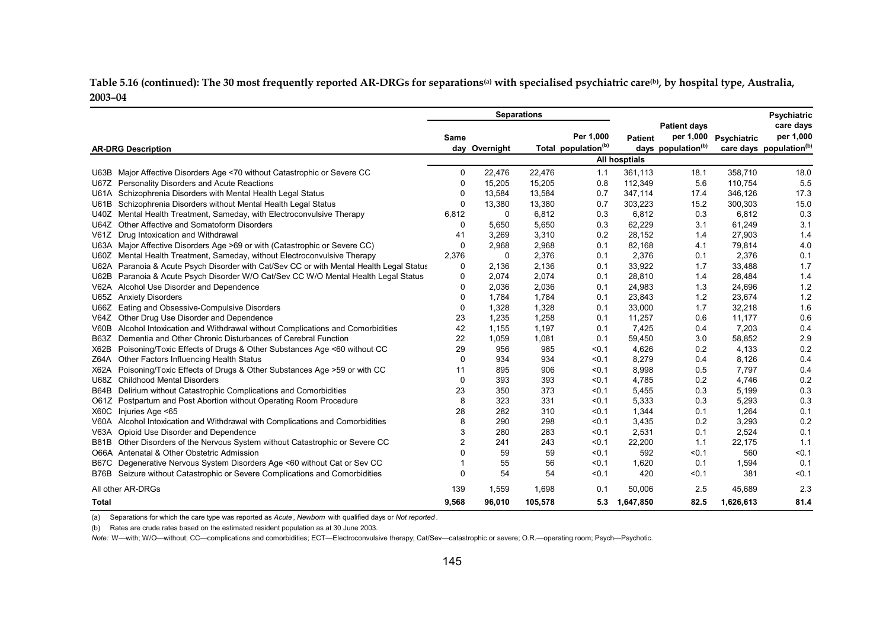**Table 5.16 (continued): The 30 most frequently reported AR-DRGs for separations(a) with specialised psychiatric care(b), by hospital type, Australia, 2003–04** 

|                                                                                                   | <b>Separations</b> |               |         |                                 |                |                                |             | <b>Psychiatric</b>                  |
|---------------------------------------------------------------------------------------------------|--------------------|---------------|---------|---------------------------------|----------------|--------------------------------|-------------|-------------------------------------|
|                                                                                                   |                    |               |         |                                 |                | <b>Patient days</b>            |             | care days                           |
|                                                                                                   | Same               |               |         | Per 1.000                       | <b>Patient</b> | per 1,000                      | Psychiatric | per 1,000                           |
| <b>AR-DRG Description</b>                                                                         |                    | day Overnight |         | Total population <sup>(b)</sup> |                | days population <sup>(b)</sup> |             | care days population <sup>(b)</sup> |
|                                                                                                   |                    |               |         |                                 | All hosptials  |                                |             |                                     |
| Major Affective Disorders Age <70 without Catastrophic or Severe CC<br>U63B                       | 0                  | 22,476        | 22,476  | 1.1                             | 361,113        | 18.1                           | 358,710     | 18.0                                |
| U67Z Personality Disorders and Acute Reactions                                                    | 0                  | 15,205        | 15,205  | 0.8                             | 112,349        | 5.6                            | 110,754     | 5.5                                 |
| U61A Schizophrenia Disorders with Mental Health Legal Status                                      | 0                  | 13,584        | 13,584  | 0.7                             | 347,114        | 17.4                           | 346,126     | 17.3                                |
| Schizophrenia Disorders without Mental Health Legal Status<br>U61B                                | 0                  | 13,380        | 13,380  | 0.7                             | 303,223        | 15.2                           | 300,303     | 15.0                                |
| Mental Health Treatment, Sameday, with Electroconvulsive Therapy<br>U40Z                          | 6,812              | 0             | 6,812   | 0.3                             | 6,812          | 0.3                            | 6,812       | 0.3                                 |
| Other Affective and Somatoform Disorders<br>U64Z                                                  | 0                  | 5,650         | 5,650   | 0.3                             | 62,229         | 3.1                            | 61,249      | 3.1                                 |
| V61Z<br>Drug Intoxication and Withdrawal                                                          | 41                 | 3,269         | 3,310   | 0.2                             | 28,152         | 1.4                            | 27,903      | 1.4                                 |
| U63A Major Affective Disorders Age >69 or with (Catastrophic or Severe CC)                        | 0                  | 2,968         | 2,968   | 0.1                             | 82,168         | 4.1                            | 79,814      | 4.0                                 |
| Mental Health Treatment, Sameday, without Electroconvulsive Therapy<br>U60Z                       | 2,376              | 0             | 2,376   | 0.1                             | 2,376          | 0.1                            | 2,376       | 0.1                                 |
| Paranoia & Acute Psych Disorder with Cat/Sev CC or with Mental Health Legal Status<br><b>U62A</b> | 0                  | 2,136         | 2,136   | 0.1                             | 33,922         | 1.7                            | 33,488      | 1.7                                 |
| Paranoia & Acute Psych Disorder W/O Cat/Sev CC W/O Mental Health Legal Status<br>U62B             | 0                  | 2,074         | 2,074   | 0.1                             | 28,810         | 1.4                            | 28,484      | 1.4                                 |
| V62A Alcohol Use Disorder and Dependence                                                          | 0                  | 2,036         | 2,036   | 0.1                             | 24,983         | 1.3                            | 24,696      | 1.2                                 |
| U65Z Anxiety Disorders                                                                            | 0                  | 1,784         | 1,784   | 0.1                             | 23,843         | 1.2                            | 23,674      | 1.2                                 |
| Eating and Obsessive-Compulsive Disorders<br>U66Z                                                 | 0                  | 1,328         | 1,328   | 0.1                             | 33,000         | 1.7                            | 32,218      | 1.6                                 |
| Other Drug Use Disorder and Dependence<br>V64Z                                                    | 23                 | 1,235         | 1,258   | 0.1                             | 11,257         | 0.6                            | 11,177      | 0.6                                 |
| Alcohol Intoxication and Withdrawal without Complications and Comorbidities<br>V60B               | 42                 | 1,155         | 1,197   | 0.1                             | 7,425          | 0.4                            | 7,203       | 0.4                                 |
| Dementia and Other Chronic Disturbances of Cerebral Function<br><b>B63Z</b>                       | 22                 | 1,059         | 1,081   | 0.1                             | 59,450         | 3.0                            | 58,852      | 2.9                                 |
| X62B<br>Poisoning/Toxic Effects of Drugs & Other Substances Age <60 without CC                    | 29                 | 956           | 985     | < 0.1                           | 4,626          | 0.2                            | 4,133       | 0.2                                 |
| Other Factors Influencing Health Status<br>Z64A                                                   | 0                  | 934           | 934     | < 0.1                           | 8,279          | 0.4                            | 8,126       | 0.4                                 |
| X62A Poisoning/Toxic Effects of Drugs & Other Substances Age >59 or with CC                       | 11                 | 895           | 906     | < 0.1                           | 8,998          | 0.5                            | 7,797       | 0.4                                 |
| <b>Childhood Mental Disorders</b><br>U68Z                                                         | 0                  | 393           | 393     | < 0.1                           | 4,785          | 0.2                            | 4,746       | 0.2                                 |
| Delirium without Catastrophic Complications and Comorbidities<br><b>B64B</b>                      | 23                 | 350           | 373     | < 0.1                           | 5,455          | 0.3                            | 5,199       | 0.3                                 |
| Postpartum and Post Abortion without Operating Room Procedure<br>O61Z                             | 8                  | 323           | 331     | < 0.1                           | 5,333          | 0.3                            | 5,293       | 0.3                                 |
| X60C<br>Injuries Age <65                                                                          | 28                 | 282           | 310     | < 0.1                           | 1,344          | 0.1                            | 1,264       | 0.1                                 |
| V60A Alcohol Intoxication and Withdrawal with Complications and Comorbidities                     | 8                  | 290           | 298     | < 0.1                           | 3,435          | 0.2                            | 3,293       | 0.2                                 |
| Opioid Use Disorder and Dependence<br>V63A                                                        | 3                  | 280           | 283     | < 0.1                           | 2,531          | 0.1                            | 2,524       | 0.1                                 |
| B81B Other Disorders of the Nervous System without Catastrophic or Severe CC                      | $\overline{2}$     | 241           | 243     | < 0.1                           | 22,200         | 1.1                            | 22,175      | 1.1                                 |
| O66A Antenatal & Other Obstetric Admission                                                        | O                  | 59            | 59      | < 0.1                           | 592            | < 0.1                          | 560         | < 0.1                               |
| Degenerative Nervous System Disorders Age <60 without Cat or Sev CC<br>B67C                       |                    | 55            | 56      | < 0.1                           | 1,620          | 0.1                            | 1,594       | 0.1                                 |
| Seizure without Catastrophic or Severe Complications and Comorbidities<br>B76B                    | 0                  | 54            | 54      | < 0.1                           | 420            | < 0.1                          | 381         | < 0.1                               |
| All other AR-DRGs                                                                                 | 139                | 1,559         | 1,698   | 0.1                             | 50,006         | 2.5                            | 45,689      | 2.3                                 |
| <b>Total</b>                                                                                      | 9,568              | 96,010        | 105,578 | 5.3                             | 1,647,850      | 82.5                           | 1,626,613   | 81.4                                |

(a) Separations for which the care type was reported as *Acute* , *Newborn* with qualified days or *Not reported* .

(b) Rates are crude rates based on the estimated resident population as at 30 June 2003.

*Note:* W—with; W/O—without; CC—complications and comorbidities; ECT—Electroconvulsive therapy; Cat/Sev—catastrophic or severe; O.R.—operating room; Psych—Psychotic.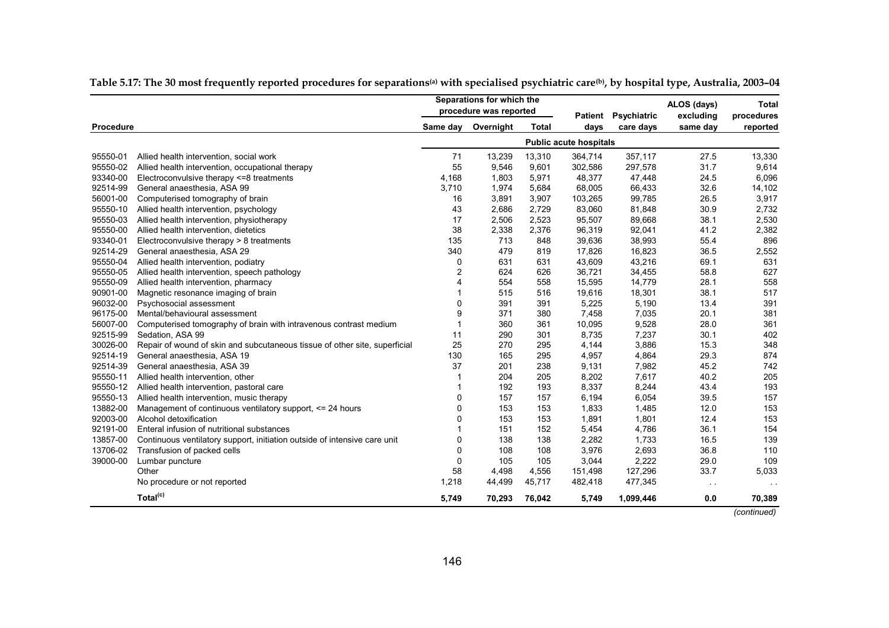|           |                                                                            |                |           | Separations for which the<br>procedure was reported |                               |                          | ALOS (days)           | <b>Total</b>           |
|-----------|----------------------------------------------------------------------------|----------------|-----------|-----------------------------------------------------|-------------------------------|--------------------------|-----------------------|------------------------|
| Procedure |                                                                            | Same day       | Overnight | <b>Total</b>                                        | Patient<br>days               | Psychiatric<br>care days | excluding<br>same day | procedures<br>reported |
|           |                                                                            |                |           |                                                     | <b>Public acute hospitals</b> |                          |                       |                        |
| 95550-01  | Allied health intervention, social work                                    | 71             | 13,239    | 13,310                                              | 364,714                       | 357,117                  | 27.5                  | 13,330                 |
| 95550-02  | Allied health intervention, occupational therapy                           | 55             | 9,546     | 9,601                                               | 302,586                       | 297,578                  | 31.7                  | 9,614                  |
| 93340-00  | Electroconvulsive therapy <= 8 treatments                                  | 4,168          | 1,803     | 5,971                                               | 48,377                        | 47,448                   | 24.5                  | 6,096                  |
| 92514-99  | General anaesthesia, ASA 99                                                | 3,710          | 1,974     | 5,684                                               | 68,005                        | 66,433                   | 32.6                  | 14,102                 |
| 56001-00  | Computerised tomography of brain                                           | 16             | 3,891     | 3,907                                               | 103,265                       | 99,785                   | 26.5                  | 3,917                  |
| 95550-10  | Allied health intervention, psychology                                     | 43             | 2,686     | 2,729                                               | 83,060                        | 81,848                   | 30.9                  | 2,732                  |
| 95550-03  | Allied health intervention, physiotherapy                                  | 17             | 2,506     | 2,523                                               | 95,507                        | 89,668                   | 38.1                  | 2,530                  |
| 95550-00  | Allied health intervention, dietetics                                      | 38             | 2,338     | 2,376                                               | 96,319                        | 92,041                   | 41.2                  | 2,382                  |
| 93340-01  | Electroconvulsive therapy > 8 treatments                                   | 135            | 713       | 848                                                 | 39,636                        | 38,993                   | 55.4                  | 896                    |
| 92514-29  | General anaesthesia, ASA 29                                                | 340            | 479       | 819                                                 | 17,826                        | 16,823                   | 36.5                  | 2,552                  |
| 95550-04  | Allied health intervention, podiatry                                       | 0              | 631       | 631                                                 | 43,609                        | 43,216                   | 69.1                  | 631                    |
| 95550-05  | Allied health intervention, speech pathology                               | $\overline{c}$ | 624       | 626                                                 | 36.721                        | 34,455                   | 58.8                  | 627                    |
| 95550-09  | Allied health intervention, pharmacy                                       | 4              | 554       | 558                                                 | 15,595                        | 14,779                   | 28.1                  | 558                    |
| 90901-00  | Magnetic resonance imaging of brain                                        | 1              | 515       | 516                                                 | 19,616                        | 18,301                   | 38.1                  | 517                    |
| 96032-00  | Psychosocial assessment                                                    | 0              | 391       | 391                                                 | 5,225                         | 5,190                    | 13.4                  | 391                    |
| 96175-00  | Mental/behavioural assessment                                              | 9              | 371       | 380                                                 | 7,458                         | 7,035                    | 20.1                  | 381                    |
| 56007-00  | Computerised tomography of brain with intravenous contrast medium          | $\overline{1}$ | 360       | 361                                                 | 10,095                        | 9,528                    | 28.0                  | 361                    |
| 92515-99  | Sedation, ASA 99                                                           | 11             | 290       | 301                                                 | 8,735                         | 7,237                    | 30.1                  | 402                    |
| 30026-00  | Repair of wound of skin and subcutaneous tissue of other site, superficial | 25             | 270       | 295                                                 | 4,144                         | 3,886                    | 15.3                  | 348                    |
| 92514-19  | General anaesthesia, ASA 19                                                | 130            | 165       | 295                                                 | 4,957                         | 4,864                    | 29.3                  | 874                    |
| 92514-39  | General anaesthesia, ASA 39                                                | 37             | 201       | 238                                                 | 9,131                         | 7,982                    | 45.2                  | 742                    |
| 95550-11  | Allied health intervention, other                                          | 1              | 204       | 205                                                 | 8,202                         | 7,617                    | 40.2                  | 205                    |
| 95550-12  | Allied health intervention, pastoral care                                  |                | 192       | 193                                                 | 8,337                         | 8,244                    | 43.4                  | 193                    |
| 95550-13  | Allied health intervention, music therapy                                  | 0              | 157       | 157                                                 | 6,194                         | 6,054                    | 39.5                  | 157                    |
| 13882-00  | Management of continuous ventilatory support, <= 24 hours                  | 0              | 153       | 153                                                 | 1,833                         | 1,485                    | 12.0                  | 153                    |
| 92003-00  | Alcohol detoxification                                                     | 0              | 153       | 153                                                 | 1,891                         | 1,801                    | 12.4                  | 153                    |
| 92191-00  | Enteral infusion of nutritional substances                                 |                | 151       | 152                                                 | 5,454                         | 4,786                    | 36.1                  | 154                    |
| 13857-00  | Continuous ventilatory support, initiation outside of intensive care unit  | 0              | 138       | 138                                                 | 2,282                         | 1,733                    | 16.5                  | 139                    |
| 13706-02  | Transfusion of packed cells                                                | 0              | 108       | 108                                                 | 3,976                         | 2,693                    | 36.8                  | 110                    |
| 39000-00  | Lumbar puncture                                                            | 0              | 105       | 105                                                 | 3,044                         | 2,222                    | 29.0                  | 109                    |
|           | Other                                                                      | 58             | 4,498     | 4,556                                               | 151,498                       | 127,296                  | 33.7                  | 5,033                  |
|           | No procedure or not reported                                               | 1,218          | 44,499    | 45,717                                              | 482,418                       | 477,345                  | $\sim$                | $\ddot{\phantom{0}}$   |
|           | Total <sup>(c)</sup>                                                       | 5,749          | 70,293    | 76,042                                              | 5,749                         | 1,099,446                | 0.0                   | 70,389                 |
|           |                                                                            |                |           |                                                     |                               |                          |                       | (continued)            |

**Table 5.17: The 30 most frequently reported procedures for separations(a) with specialised psychiatric care(b), by hospital type, Australia, 2003–04**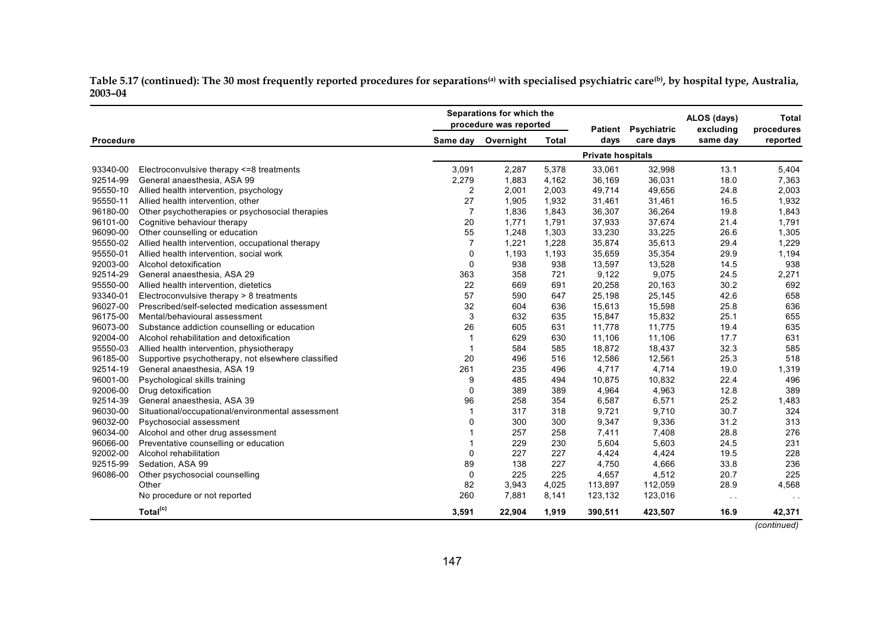Table 5.17 (continued): The 30 most frequently reported procedures for separations<sup>(a)</sup> with specialised psychiatric care<sup>(b)</sup>, by hospital type, Australia, **2003–04**

|           |                                                    |                | Separations for which the<br>procedure was reported |              |                          |           | <b>Patient</b> | Psychiatric | ALOS (days)<br>excluding | <b>Total</b><br>procedures |
|-----------|----------------------------------------------------|----------------|-----------------------------------------------------|--------------|--------------------------|-----------|----------------|-------------|--------------------------|----------------------------|
| Procedure |                                                    | Same day       | Overnight                                           | <b>Total</b> | days                     | care days | same day       | reported    |                          |                            |
|           |                                                    |                |                                                     |              | <b>Private hospitals</b> |           |                |             |                          |                            |
| 93340-00  | Electroconvulsive therapy <= 8 treatments          | 3,091          | 2,287                                               | 5,378        | 33,061                   | 32,998    | 13.1           | 5,404       |                          |                            |
| 92514-99  | General anaesthesia, ASA 99                        | 2,279          | 1,883                                               | 4,162        | 36,169                   | 36,031    | 18.0           | 7,363       |                          |                            |
| 95550-10  | Allied health intervention, psychology             | $\overline{c}$ | 2,001                                               | 2,003        | 49,714                   | 49,656    | 24.8           | 2,003       |                          |                            |
| 95550-11  | Allied health intervention, other                  | 27             | 1,905                                               | 1,932        | 31,461                   | 31,461    | 16.5           | 1,932       |                          |                            |
| 96180-00  | Other psychotherapies or psychosocial therapies    | $\overline{7}$ | 1,836                                               | 1,843        | 36,307                   | 36,264    | 19.8           | 1,843       |                          |                            |
| 96101-00  | Cognitive behaviour therapy                        | 20             | 1,771                                               | 1,791        | 37,933                   | 37,674    | 21.4           | 1,791       |                          |                            |
| 96090-00  | Other counselling or education                     | 55             | 1,248                                               | 1,303        | 33,230                   | 33,225    | 26.6           | 1,305       |                          |                            |
| 95550-02  | Allied health intervention, occupational therapy   | $\overline{7}$ | 1,221                                               | 1,228        | 35,874                   | 35,613    | 29.4           | 1,229       |                          |                            |
| 95550-01  | Allied health intervention, social work            | 0              | 1,193                                               | 1,193        | 35,659                   | 35,354    | 29.9           | 1,194       |                          |                            |
| 92003-00  | Alcohol detoxification                             | $\Omega$       | 938                                                 | 938          | 13,597                   | 13,528    | 14.5           | 938         |                          |                            |
| 92514-29  | General anaesthesia, ASA 29                        | 363            | 358                                                 | 721          | 9,122                    | 9,075     | 24.5           | 2,271       |                          |                            |
| 95550-00  | Allied health intervention, dietetics              | 22             | 669                                                 | 691          | 20,258                   | 20,163    | 30.2           | 692         |                          |                            |
| 93340-01  | Electroconvulsive therapy > 8 treatments           | 57             | 590                                                 | 647          | 25,198                   | 25,145    | 42.6           | 658         |                          |                            |
| 96027-00  | Prescribed/self-selected medication assessment     | 32             | 604                                                 | 636          | 15,613                   | 15,598    | 25.8           | 636         |                          |                            |
| 96175-00  | Mental/behavioural assessment                      | 3              | 632                                                 | 635          | 15,847                   | 15,832    | 25.1           | 655         |                          |                            |
| 96073-00  | Substance addiction counselling or education       | 26             | 605                                                 | 631          | 11,778                   | 11,775    | 19.4           | 635         |                          |                            |
| 92004-00  | Alcohol rehabilitation and detoxification          | 1              | 629                                                 | 630          | 11,106                   | 11,106    | 17.7           | 631         |                          |                            |
| 95550-03  | Allied health intervention, physiotherapy          | 1              | 584                                                 | 585          | 18,872                   | 18,437    | 32.3           | 585         |                          |                            |
| 96185-00  | Supportive psychotherapy, not elsewhere classified | 20             | 496                                                 | 516          | 12,586                   | 12,561    | 25.3           | 518         |                          |                            |
| 92514-19  | General anaesthesia, ASA 19                        | 261            | 235                                                 | 496          | 4,717                    | 4,714     | 19.0           | 1,319       |                          |                            |
| 96001-00  | Psychological skills training                      | 9              | 485                                                 | 494          | 10,875                   | 10,832    | 22.4           | 496         |                          |                            |
| 92006-00  | Drug detoxification                                | 0              | 389                                                 | 389          | 4,964                    | 4,963     | 12.8           | 389         |                          |                            |
| 92514-39  | General anaesthesia, ASA 39                        | 96             | 258                                                 | 354          | 6,587                    | 6,571     | 25.2           | 1,483       |                          |                            |
| 96030-00  | Situational/occupational/environmental assessment  | 1              | 317                                                 | 318          | 9,721                    | 9,710     | 30.7           | 324         |                          |                            |
| 96032-00  | Psychosocial assessment                            | 0              | 300                                                 | 300          | 9,347                    | 9,336     | 31.2           | 313         |                          |                            |
| 96034-00  | Alcohol and other drug assessment                  | 1              | 257                                                 | 258          | 7,411                    | 7,408     | 28.8           | 276         |                          |                            |
| 96066-00  | Preventative counselling or education              |                | 229                                                 | 230          | 5,604                    | 5,603     | 24.5           | 231         |                          |                            |
| 92002-00  | Alcohol rehabilitation                             | $\Omega$       | 227                                                 | 227          | 4,424                    | 4,424     | 19.5           | 228         |                          |                            |
| 92515-99  | Sedation, ASA 99                                   | 89             | 138                                                 | 227          | 4,750                    | 4,666     | 33.8           | 236         |                          |                            |
| 96086-00  | Other psychosocial counselling                     | 0              | 225                                                 | 225          | 4,657                    | 4,512     | 20.7           | 225         |                          |                            |
|           | Other                                              | 82             | 3,943                                               | 4,025        | 113,897                  | 112,059   | 28.9           | 4,568       |                          |                            |
|           | No procedure or not reported                       | 260            | 7,881                                               | 8,141        | 123,132                  | 123,016   | $\sim$ $\sim$  |             |                          |                            |
|           | Total <sup>(c)</sup>                               | 3,591          | 22,904                                              | 1,919        | 390,511                  | 423,507   | 16.9           | 42,371      |                          |                            |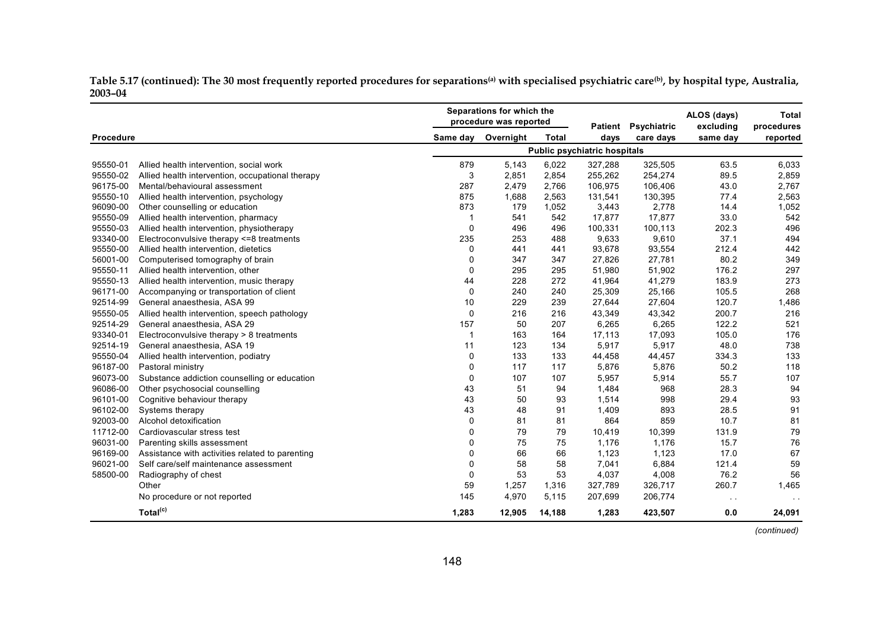Table 5.17 (continued): The 30 most frequently reported procedures for separations<sup>(a)</sup> with specialised psychiatric care<sup>(b)</sup>, by hospital type, Australia, **2003–04**

|           |                                                  |              | Separations for which the<br>procedure was reported |              | Patient                      | Psychiatric | ALOS (days)<br>excluding | Total<br>procedures |
|-----------|--------------------------------------------------|--------------|-----------------------------------------------------|--------------|------------------------------|-------------|--------------------------|---------------------|
| Procedure |                                                  | Same day     | Overnight                                           | <b>Total</b> | days                         | care days   | same day                 | reported            |
|           |                                                  |              |                                                     |              | Public psychiatric hospitals |             |                          |                     |
| 95550-01  | Allied health intervention, social work          | 879          | 5,143                                               | 6,022        | 327,288                      | 325,505     | 63.5                     | 6,033               |
| 95550-02  | Allied health intervention, occupational therapy | 3            | 2,851                                               | 2,854        | 255,262                      | 254,274     | 89.5                     | 2,859               |
| 96175-00  | Mental/behavioural assessment                    | 287          | 2,479                                               | 2,766        | 106,975                      | 106,406     | 43.0                     | 2,767               |
| 95550-10  | Allied health intervention, psychology           | 875          | 1,688                                               | 2,563        | 131,541                      | 130,395     | 77.4                     | 2,563               |
| 96090-00  | Other counselling or education                   | 873          | 179                                                 | 1,052        | 3,443                        | 2,778       | 14.4                     | 1,052               |
| 95550-09  | Allied health intervention, pharmacy             | $\mathbf{1}$ | 541                                                 | 542          | 17,877                       | 17,877      | 33.0                     | 542                 |
| 95550-03  | Allied health intervention, physiotherapy        | 0            | 496                                                 | 496          | 100,331                      | 100,113     | 202.3                    | 496                 |
| 93340-00  | Electroconvulsive therapy <= 8 treatments        | 235          | 253                                                 | 488          | 9,633                        | 9,610       | 37.1                     | 494                 |
| 95550-00  | Allied health intervention, dietetics            | 0            | 441                                                 | 441          | 93,678                       | 93,554      | 212.4                    | 442                 |
| 56001-00  | Computerised tomography of brain                 | 0            | 347                                                 | 347          | 27,826                       | 27,781      | 80.2                     | 349                 |
| 95550-11  | Allied health intervention, other                | 0            | 295                                                 | 295          | 51,980                       | 51,902      | 176.2                    | 297                 |
| 95550-13  | Allied health intervention, music therapy        | 44           | 228                                                 | 272          | 41,964                       | 41,279      | 183.9                    | 273                 |
| 96171-00  | Accompanying or transportation of client         | 0            | 240                                                 | 240          | 25,309                       | 25,166      | 105.5                    | 268                 |
| 92514-99  | General anaesthesia, ASA 99                      | 10           | 229                                                 | 239          | 27,644                       | 27,604      | 120.7                    | 1,486               |
| 95550-05  | Allied health intervention, speech pathology     | $\mathbf 0$  | 216                                                 | 216          | 43,349                       | 43,342      | 200.7                    | 216                 |
| 92514-29  | General anaesthesia. ASA 29                      | 157          | 50                                                  | 207          | 6,265                        | 6,265       | 122.2                    | 521                 |
| 93340-01  | Electroconvulsive therapy > 8 treatments         | 1            | 163                                                 | 164          | 17,113                       | 17,093      | 105.0                    | 176                 |
| 92514-19  | General anaesthesia, ASA 19                      | 11           | 123                                                 | 134          | 5,917                        | 5,917       | 48.0                     | 738                 |
| 95550-04  | Allied health intervention, podiatry             | 0            | 133                                                 | 133          | 44,458                       | 44,457      | 334.3                    | 133                 |
| 96187-00  | Pastoral ministry                                | $\mathbf 0$  | 117                                                 | 117          | 5,876                        | 5,876       | 50.2                     | 118                 |
| 96073-00  | Substance addiction counselling or education     | 0            | 107                                                 | 107          | 5,957                        | 5,914       | 55.7                     | 107                 |
| 96086-00  | Other psychosocial counselling                   | 43           | 51                                                  | 94           | 1,484                        | 968         | 28.3                     | 94                  |
| 96101-00  | Cognitive behaviour therapy                      | 43           | 50                                                  | 93           | 1,514                        | 998         | 29.4                     | 93                  |
| 96102-00  | Systems therapy                                  | 43           | 48                                                  | 91           | 1,409                        | 893         | 28.5                     | 91                  |
| 92003-00  | Alcohol detoxification                           | 0            | 81                                                  | 81           | 864                          | 859         | 10.7                     | 81                  |
| 11712-00  | Cardiovascular stress test                       | 0            | 79                                                  | 79           | 10,419                       | 10,399      | 131.9                    | 79                  |
| 96031-00  | Parenting skills assessment                      | 0            | 75                                                  | 75           | 1,176                        | 1,176       | 15.7                     | 76                  |
| 96169-00  | Assistance with activities related to parenting  | $\pmb{0}$    | 66                                                  | 66           | 1,123                        | 1,123       | 17.0                     | 67                  |
| 96021-00  | Self care/self maintenance assessment            | 0            | 58                                                  | 58           | 7,041                        | 6,884       | 121.4                    | 59                  |
| 58500-00  | Radiography of chest                             | 0            | 53                                                  | 53           | 4,037                        | 4,008       | 76.2                     | 56                  |
|           | Other                                            | 59           | 1,257                                               | 1,316        | 327,789                      | 326,717     | 260.7                    | 1,465               |
|           | No procedure or not reported                     | 145          | 4,970                                               | 5,115        | 207,699                      | 206,774     | $\sim$ $\sim$            |                     |
|           | Total <sup>(c)</sup>                             | 1,283        | 12,905                                              | 14,188       | 1,283                        | 423,507     | 0.0                      | 24,091              |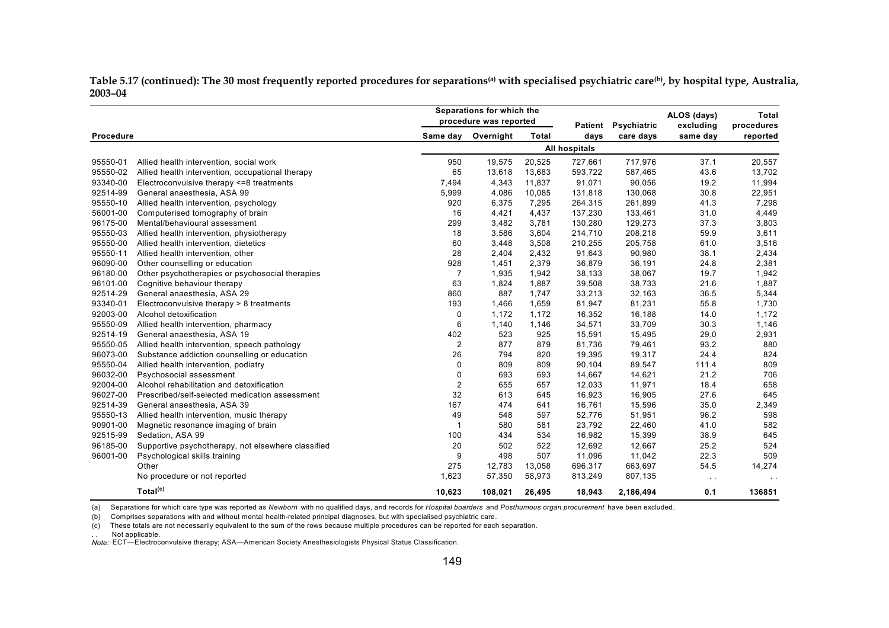Table 5.17 (continued): The 30 most frequently reported procedures for separations<sup>(a)</sup> with specialised psychiatric care<sup>(b)</sup>, by hospital type, Australia, **2003–04** 

|           |                                                    |                         | Separations for which the<br>procedure was reported |              | Patient              | Psychiatric | ALOS (days)<br>excluding | Total<br>procedures |
|-----------|----------------------------------------------------|-------------------------|-----------------------------------------------------|--------------|----------------------|-------------|--------------------------|---------------------|
| Procedure |                                                    | Same day                | Overnight                                           | <b>Total</b> | days                 | care days   | same day                 | reported            |
|           |                                                    |                         |                                                     |              | <b>All hospitals</b> |             |                          |                     |
| 95550-01  | Allied health intervention, social work            | 950                     | 19,575                                              | 20,525       | 727,661              | 717,976     | 37.1                     | 20,557              |
| 95550-02  | Allied health intervention, occupational therapy   | 65                      | 13,618                                              | 13,683       | 593,722              | 587,465     | 43.6                     | 13,702              |
| 93340-00  | Electroconvulsive therapy <= 8 treatments          | 7,494                   | 4,343                                               | 11,837       | 91,071               | 90,056      | 19.2                     | 11,994              |
| 92514-99  | General anaesthesia, ASA 99                        | 5,999                   | 4,086                                               | 10,085       | 131,818              | 130,068     | 30.8                     | 22,951              |
| 95550-10  | Allied health intervention, psychology             | 920                     | 6,375                                               | 7,295        | 264,315              | 261,899     | 41.3                     | 7,298               |
| 56001-00  | Computerised tomography of brain                   | 16                      | 4,421                                               | 4,437        | 137,230              | 133,461     | 31.0                     | 4,449               |
| 96175-00  | Mental/behavioural assessment                      | 299                     | 3,482                                               | 3,781        | 130,280              | 129,273     | 37.3                     | 3,803               |
| 95550-03  | Allied health intervention, physiotherapy          | 18                      | 3,586                                               | 3,604        | 214,710              | 208,218     | 59.9                     | 3,611               |
| 95550-00  | Allied health intervention, dietetics              | 60                      | 3,448                                               | 3,508        | 210,255              | 205,758     | 61.0                     | 3,516               |
| 95550-11  | Allied health intervention, other                  | 28                      | 2,404                                               | 2,432        | 91,643               | 90,980      | 38.1                     | 2,434               |
| 96090-00  | Other counselling or education                     | 928                     | 1,451                                               | 2,379        | 36,879               | 36,191      | 24.8                     | 2,381               |
| 96180-00  | Other psychotherapies or psychosocial therapies    | $\overline{7}$          | 1,935                                               | 1,942        | 38,133               | 38,067      | 19.7                     | 1,942               |
| 96101-00  | Cognitive behaviour therapy                        | 63                      | 1,824                                               | 1,887        | 39,508               | 38,733      | 21.6                     | 1,887               |
| 92514-29  | General anaesthesia, ASA 29                        | 860                     | 887                                                 | 1,747        | 33,213               | 32,163      | 36.5                     | 5,344               |
| 93340-01  | Electroconvulsive therapy > 8 treatments           | 193                     | 1,466                                               | 1,659        | 81,947               | 81,231      | 55.8                     | 1,730               |
| 92003-00  | Alcohol detoxification                             | 0                       | 1,172                                               | 1,172        | 16,352               | 16,188      | 14.0                     | 1,172               |
| 95550-09  | Allied health intervention, pharmacy               | 6                       | 1,140                                               | 1,146        | 34,571               | 33,709      | 30.3                     | 1,146               |
| 92514-19  | General anaesthesia, ASA 19                        | 402                     | 523                                                 | 925          | 15,591               | 15,495      | 29.0                     | 2,931               |
| 95550-05  | Allied health intervention, speech pathology       | $\overline{2}$          | 877                                                 | 879          | 81,736               | 79,461      | 93.2                     | 880                 |
| 96073-00  | Substance addiction counselling or education       | 26                      | 794                                                 | 820          | 19,395               | 19,317      | 24.4                     | 824                 |
| 95550-04  | Allied health intervention, podiatry               | 0                       | 809                                                 | 809          | 90,104               | 89,547      | 111.4                    | 809                 |
| 96032-00  | Psychosocial assessment                            | 0                       | 693                                                 | 693          | 14,667               | 14,621      | 21.2                     | 706                 |
| 92004-00  | Alcohol rehabilitation and detoxification          | $\overline{\mathbf{c}}$ | 655                                                 | 657          | 12,033               | 11,971      | 18.4                     | 658                 |
| 96027-00  | Prescribed/self-selected medication assessment     | 32                      | 613                                                 | 645          | 16,923               | 16,905      | 27.6                     | 645                 |
| 92514-39  | General anaesthesia, ASA 39                        | 167                     | 474                                                 | 641          | 16,761               | 15,596      | 35.0                     | 2,349               |
| 95550-13  | Allied health intervention, music therapy          | 49                      | 548                                                 | 597          | 52,776               | 51,951      | 96.2                     | 598                 |
| 90901-00  | Magnetic resonance imaging of brain                |                         | 580                                                 | 581          | 23,792               | 22,460      | 41.0                     | 582                 |
| 92515-99  | Sedation, ASA 99                                   | 100                     | 434                                                 | 534          | 16,982               | 15,399      | 38.9                     | 645                 |
| 96185-00  | Supportive psychotherapy, not elsewhere classified | 20                      | 502                                                 | 522          | 12,692               | 12,667      | 25.2                     | 524                 |
| 96001-00  | Psychological skills training                      | 9                       | 498                                                 | 507          | 11,096               | 11,042      | 22.3                     | 509                 |
|           | Other                                              | 275                     | 12,783                                              | 13,058       | 696,317              | 663,697     | 54.5                     | 14,274              |
|           | No procedure or not reported                       | 1,623                   | 57,350                                              | 58,973       | 813,249              | 807,135     | $\sim$ $\sim$            |                     |
|           | Total <sup>(c)</sup>                               | 10,623                  | 108.021                                             | 26.495       | 18,943               | 2,186,494   | 0.1                      | 136851              |

(a) Separations for which care type was reported as *Newborn* with no qualified days, and records for *Hospital boarders* and *Posthumous organ procurement* have been excluded.

(b) Comprises separations with and without mental health-related principal diagnoses, but with specialised psychiatric care.

(c) These totals are not necessarily equivalent to the sum of the rows because multiple procedures can be reported for each separation.

Not applicable.

*Note:* ECT—Electroconvulsive therapy; ASA—American Society Anesthesiologists Physical Status Classification.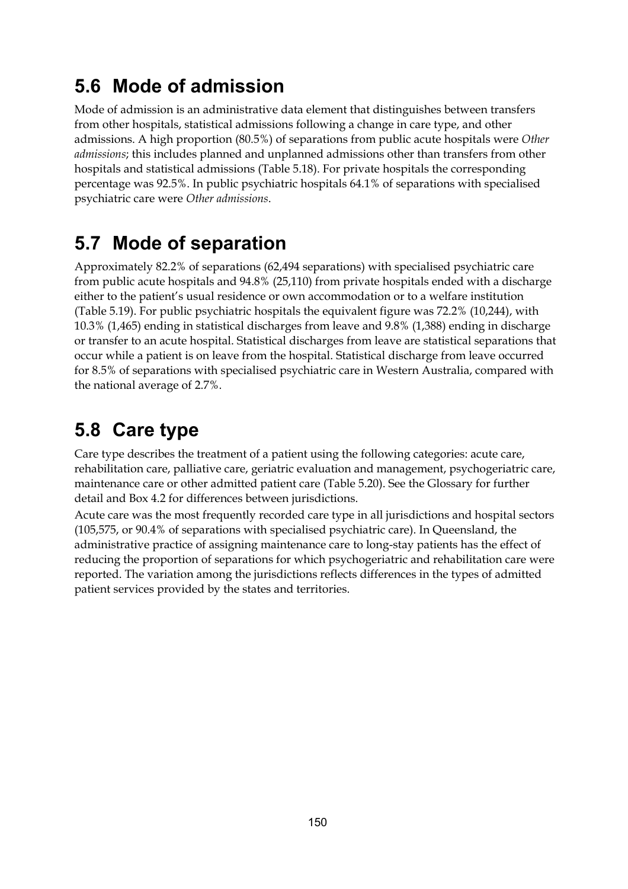## **5.6 Mode of admission**

Mode of admission is an administrative data element that distinguishes between transfers from other hospitals, statistical admissions following a change in care type, and other admissions. A high proportion (80.5%) of separations from public acute hospitals were *Other admissions*; this includes planned and unplanned admissions other than transfers from other hospitals and statistical admissions (Table 5.18). For private hospitals the corresponding percentage was 92.5%. In public psychiatric hospitals 64.1% of separations with specialised psychiatric care were *Other admissions*.

## **5.7 Mode of separation**

Approximately 82.2% of separations (62,494 separations) with specialised psychiatric care from public acute hospitals and 94.8% (25,110) from private hospitals ended with a discharge either to the patient's usual residence or own accommodation or to a welfare institution (Table 5.19). For public psychiatric hospitals the equivalent figure was 72.2% (10,244), with 10.3% (1,465) ending in statistical discharges from leave and 9.8% (1,388) ending in discharge or transfer to an acute hospital. Statistical discharges from leave are statistical separations that occur while a patient is on leave from the hospital. Statistical discharge from leave occurred for 8.5% of separations with specialised psychiatric care in Western Australia, compared with the national average of 2.7%.

## **5.8 Care type**

Care type describes the treatment of a patient using the following categories: acute care, rehabilitation care, palliative care, geriatric evaluation and management, psychogeriatric care, maintenance care or other admitted patient care (Table 5.20). See the Glossary for further detail and Box 4.2 for differences between jurisdictions.

Acute care was the most frequently recorded care type in all jurisdictions and hospital sectors (105,575, or 90.4% of separations with specialised psychiatric care). In Queensland, the administrative practice of assigning maintenance care to long-stay patients has the effect of reducing the proportion of separations for which psychogeriatric and rehabilitation care were reported. The variation among the jurisdictions reflects differences in the types of admitted patient services provided by the states and territories.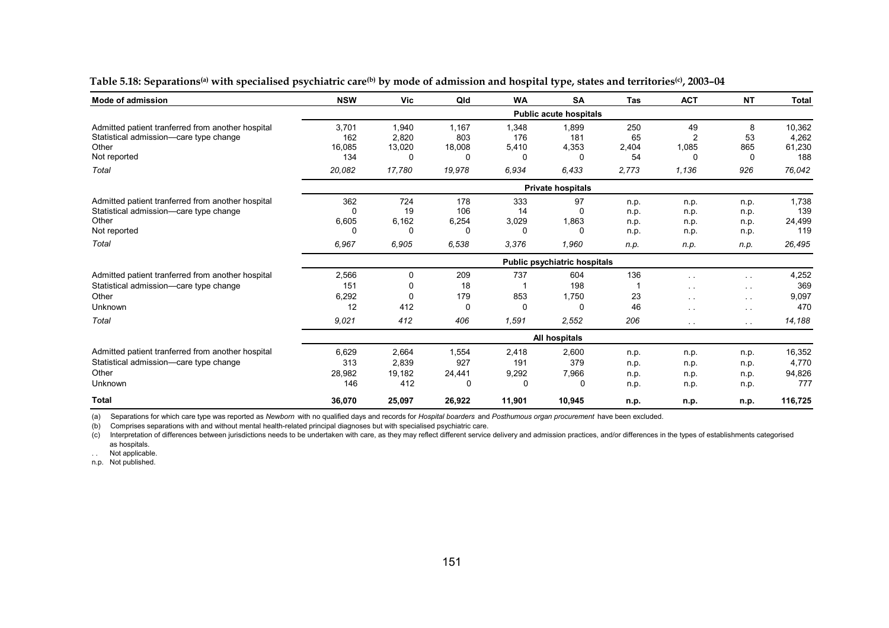| <b>Mode of admission</b>                                                                                                      | <b>NSW</b>                           | <b>Vic</b>                              | Qld                                   | <b>WA</b>                        | <b>SA</b>                                    | <b>Tas</b>                           | <b>ACT</b>                                                       | <b>NT</b>                                                                  | Total                                   |  |  |  |
|-------------------------------------------------------------------------------------------------------------------------------|--------------------------------------|-----------------------------------------|---------------------------------------|----------------------------------|----------------------------------------------|--------------------------------------|------------------------------------------------------------------|----------------------------------------------------------------------------|-----------------------------------------|--|--|--|
|                                                                                                                               |                                      |                                         |                                       |                                  | <b>Public acute hospitals</b>                |                                      |                                                                  |                                                                            |                                         |  |  |  |
| Admitted patient tranferred from another hospital<br>Statistical admission-care type change<br>Other<br>Not reported          | 3,701<br>162<br>16,085<br>134        | 1,940<br>2,820<br>13,020<br>0           | 1.167<br>803<br>18,008<br>0           | 1,348<br>176<br>5,410<br>0       | 1,899<br>181<br>4,353<br>$\Omega$            | 250<br>65<br>2,404<br>54             | 49<br>2<br>1,085<br>0                                            | 8<br>53<br>865<br>0                                                        | 10,362<br>4,262<br>61,230<br>188        |  |  |  |
| Total                                                                                                                         | 20,082                               | 17,780                                  | 19,978                                | 6.934                            | 6,433                                        | 2,773                                | 1,136                                                            | 926                                                                        | 76,042                                  |  |  |  |
|                                                                                                                               |                                      |                                         |                                       |                                  | <b>Private hospitals</b>                     |                                      |                                                                  |                                                                            |                                         |  |  |  |
| Admitted patient tranferred from another hospital<br>Statistical admission-care type change<br>Other<br>Not reported<br>Total | 362<br>6,605<br>6,967                | 724<br>19<br>6,162<br>0<br>6,905        | 178<br>106<br>6,254<br>0<br>6,538     | 333<br>14<br>3,029<br>0<br>3,376 | 97<br>$\Omega$<br>1,863<br>$\Omega$<br>1,960 | n.p.<br>n.p.<br>n.p.<br>n.p.<br>n.p. | n.p.<br>n.p.<br>n.p.<br>n.p.<br>n.p.                             | n.p.<br>n.p.<br>n.p.<br>n.p.<br>n.p.                                       | 1,738<br>139<br>24,499<br>119<br>26,495 |  |  |  |
|                                                                                                                               | <b>Public psychiatric hospitals</b>  |                                         |                                       |                                  |                                              |                                      |                                                                  |                                                                            |                                         |  |  |  |
| Admitted patient tranferred from another hospital<br>Statistical admission-care type change<br>Other<br>Unknown<br>Total      | 2,566<br>151<br>6,292<br>12<br>9.021 | 0<br>$\Omega$<br>$\Omega$<br>412<br>412 | 209<br>18<br>179<br>$\Omega$<br>406   | 737<br>853<br>0<br>1.591         | 604<br>198<br>1,750<br>0<br>2,552            | 136<br>23<br>46<br>206               | $\sim$ $\sim$<br>$\sim$ $\sim$<br>$\sim$ $\sim$<br>$\sim$ $\sim$ | $\sim$<br>$\sim$ $\sim$<br>$\sim$ $\sim$<br>$\sim$ $\sim$<br>$\sim$ $\sim$ | 4,252<br>369<br>9,097<br>470<br>14,188  |  |  |  |
|                                                                                                                               | All hospitals                        |                                         |                                       |                                  |                                              |                                      |                                                                  |                                                                            |                                         |  |  |  |
| Admitted patient tranferred from another hospital<br>Statistical admission-care type change<br>Other<br>Unknown               | 6,629<br>313<br>28,982<br>146        | 2,664<br>2,839<br>19,182<br>412         | 1,554<br>927<br>24,441<br>$\mathbf 0$ | 2,418<br>191<br>9,292<br>0       | 2,600<br>379<br>7,966<br>0                   | n.p.<br>n.p.<br>n.p.<br>n.p.         | n.p.<br>n.p.<br>n.p.<br>n.p.                                     | n.p.<br>n.p.<br>n.p.<br>n.p.                                               | 16,352<br>4,770<br>94,826<br>777        |  |  |  |
| <b>Total</b>                                                                                                                  | 36,070                               | 25,097                                  | 26,922                                | 11,901                           | 10,945                                       | n.p.                                 | n.p.                                                             | n.p.                                                                       | 116,725                                 |  |  |  |

Table 5.18: Separations<sup>(a)</sup> with specialised psychiatric care<sup>(b)</sup> by mode of admission and hospital type, states and territories<sup>(c)</sup>, 2003-04

(a) Separations for which care type was reported as *Newborn* with no qualified days and records for *Hospital boarders* and *Posthumous organ procurement* have been excluded.

(b) Comprises separations with and without mental health-related principal diagnoses but with specialised psychiatric care.

(c) Interpretation of differences between jurisdictions needs to be undertaken with care, as they may reflect different service delivery and admission practices, and/or differences in the types of establishments categorise as hospitals.

.. Not applicable.

n.p. Not published.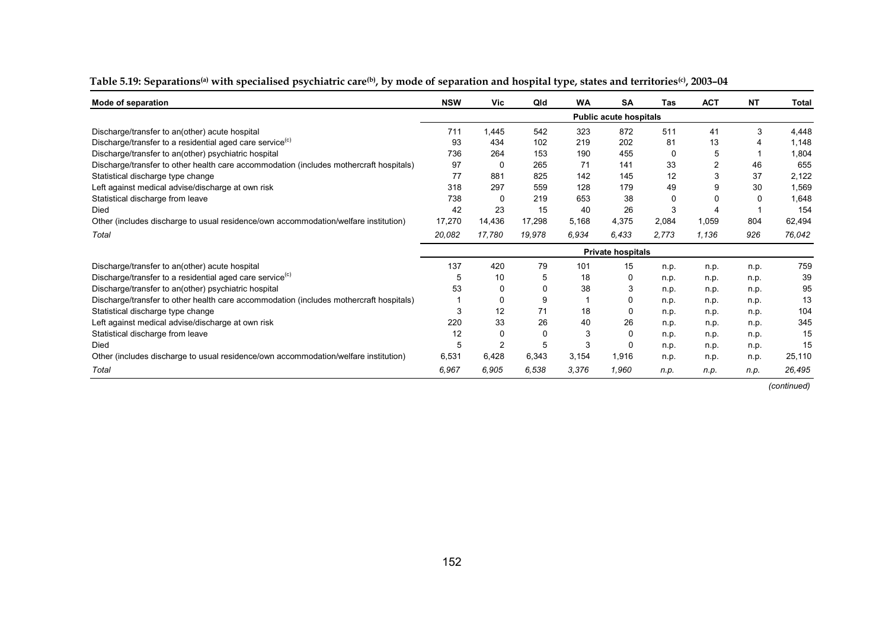| Mode of separation                                                                     | <b>NSW</b>               | Vic      | Qld    | <b>WA</b> | SA                            | Tas   | <b>ACT</b>     | <b>NT</b> | Total  |
|----------------------------------------------------------------------------------------|--------------------------|----------|--------|-----------|-------------------------------|-------|----------------|-----------|--------|
|                                                                                        |                          |          |        |           | <b>Public acute hospitals</b> |       |                |           |        |
| Discharge/transfer to an(other) acute hospital                                         | 711                      | 1,445    | 542    | 323       | 872                           | 511   | 41             | 3         | 4,448  |
| Discharge/transfer to a residential aged care service <sup>(c)</sup>                   | 93                       | 434      | 102    | 219       | 202                           | 81    | 13             |           | 1,148  |
| Discharge/transfer to an(other) psychiatric hospital                                   | 736                      | 264      | 153    | 190       | 455                           | 0     | 5              |           | 1,804  |
| Discharge/transfer to other health care accommodation (includes mothercraft hospitals) | 97                       | 0        | 265    | 71        | 141                           | 33    | $\overline{2}$ | 46        | 655    |
| Statistical discharge type change                                                      | 77                       | 881      | 825    | 142       | 145                           | 12    | 3              | 37        | 2,122  |
| Left against medical advise/discharge at own risk                                      | 318                      | 297      | 559    | 128       | 179                           | 49    | 9              | 30        | 1,569  |
| Statistical discharge from leave                                                       | 738                      | $\Omega$ | 219    | 653       | 38                            | 0     | 0              | $\Omega$  | 1,648  |
| Died                                                                                   | 42                       | 23       | 15     | 40        | 26                            | 3     |                |           | 154    |
| Other (includes discharge to usual residence/own accommodation/welfare institution)    | 17,270                   | 14,436   | 17,298 | 5,168     | 4,375                         | 2,084 | 1,059          | 804       | 62,494 |
| Total                                                                                  | 20,082                   | 17,780   | 19,978 | 6,934     | 6.433                         | 2,773 | 1,136          | 926       | 76,042 |
|                                                                                        | <b>Private hospitals</b> |          |        |           |                               |       |                |           |        |
| Discharge/transfer to an(other) acute hospital                                         | 137                      | 420      | 79     | 101       | 15                            | n.p.  | n.p.           | n.p.      | 759    |
| Discharge/transfer to a residential aged care service <sup>(c)</sup>                   |                          | 10       | 5      | 18        | O                             | n.p.  | n.p.           | n.p.      | 39     |
| Discharge/transfer to an(other) psychiatric hospital                                   | 53                       | 0        | o      | 38        |                               | n.p.  | n.p.           | n.p.      | 95     |
| Discharge/transfer to other health care accommodation (includes mothercraft hospitals) |                          | 0        | 9      |           |                               | n.p.  | n.p.           | n.p.      | 13     |
| Statistical discharge type change                                                      | 3                        | 12       | 71     | 18        |                               | n.p.  | n.p.           | n.p.      | 104    |
| Left against medical advise/discharge at own risk                                      | 220                      | 33       | 26     | 40        | 26                            | n.p.  | n.p.           | n.p.      | 345    |
| Statistical discharge from leave                                                       | 12                       | 0        | 0      | 3         |                               | n.p.  | n.p.           | n.p.      | 15     |
| Died                                                                                   | 5                        | 2        | 5      | 3         |                               | n.p.  | n.p.           | n.p.      | 15     |
| Other (includes discharge to usual residence/own accommodation/welfare institution)    | 6,531                    | 6,428    | 6,343  | 3,154     | 1,916                         | n.p.  | n.p.           | n.p.      | 25,110 |
| Total                                                                                  | 6,967                    | 6,905    | 6,538  | 3,376     | 1.960                         | n.p.  | n.p.           | n.p.      | 26,495 |

#### Table 5.19: Separations<sup>(a)</sup> with specialised psychiatric care<sup>(b)</sup>, by mode of separation and hospital type, states and territories<sup>(c)</sup>, 2003-04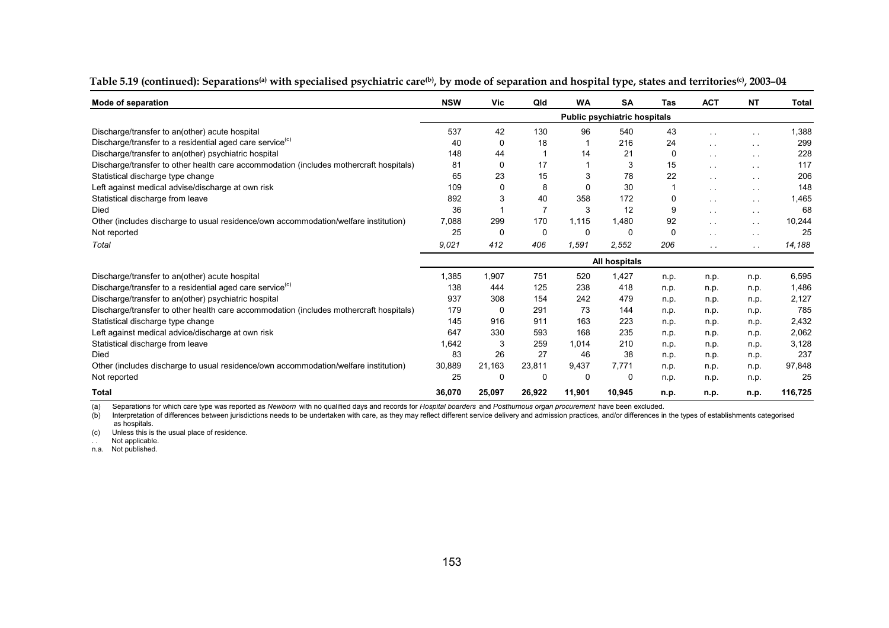| Mode of separation                                                                     | <b>NSW</b>    | Vic      | Qld          | <b>WA</b> | SA                                  | Tas  | <b>ACT</b>      | <b>NT</b>            | <b>Total</b> |
|----------------------------------------------------------------------------------------|---------------|----------|--------------|-----------|-------------------------------------|------|-----------------|----------------------|--------------|
|                                                                                        |               |          |              |           | <b>Public psychiatric hospitals</b> |      |                 |                      |              |
| Discharge/transfer to an(other) acute hospital                                         | 537           | 42       | 130          | 96        | 540                                 | 43   | $\sim$ $\sim$   |                      | 1,388        |
| Discharge/transfer to a residential aged care service <sup>(c)</sup>                   | 40            | 0        | 18           |           | 216                                 | 24   | $\sim 100$      | $\sim$ $\sim$        | 299          |
| Discharge/transfer to an(other) psychiatric hospital                                   | 148           | 44       |              | 14        | 21                                  | 0    | $\sim$ $\sim$   | $\sim$ $\sim$        | 228          |
| Discharge/transfer to other health care accommodation (includes mothercraft hospitals) | 81            | 0        | 17           |           | 3                                   | 15   | $\sim$ $\sim$   | $\ddotsc$            | 117          |
| Statistical discharge type change                                                      | 65            | 23       | 15           |           | 78                                  | 22   | $\sim$ $\sim$   | $\ddot{\phantom{0}}$ | 206          |
| Left against medical advise/discharge at own risk                                      | 109           | $\Omega$ | 8            | 0         | 30                                  |      | $\sim$ $\sim$   | $\sim$ 10 $\pm$      | 148          |
| Statistical discharge from leave                                                       | 892           | 3        | 40           | 358       | 172                                 | 0    | $\sim$ 10 $\pm$ | $\sim$ $\sim$        | 1,465        |
| Died                                                                                   | 36            |          |              | 3         | 12                                  | 9    | $\sim$ $\sim$   | $\sim$ $\sim$        | 68           |
| Other (includes discharge to usual residence/own accommodation/welfare institution)    | 7,088         | 299      | 170          | 1,115     | 1,480                               | 92   | $\sim$ $\sim$   | $\sim$ $\sim$        | 10,244       |
| Not reported                                                                           | 25            | 0        | $\mathbf{0}$ | 0         | $\Omega$                            | 0    | $\sim$ 10 $\pm$ | $\sim$ $\sim$        | 25           |
| Total                                                                                  | 9,021         | 412      | 406          | 1,591     | 2,552                               | 206  | $\sim$ $\sim$   | $\sim$ $\sim$        | 14,188       |
|                                                                                        | All hospitals |          |              |           |                                     |      |                 |                      |              |
| Discharge/transfer to an(other) acute hospital                                         | 1,385         | 1,907    | 751          | 520       | 1,427                               | n.p. | n.p.            | n.p.                 | 6,595        |
| Discharge/transfer to a residential aged care service <sup>(c)</sup>                   | 138           | 444      | 125          | 238       | 418                                 | n.p. | n.p.            | n.p.                 | 1,486        |
| Discharge/transfer to an(other) psychiatric hospital                                   | 937           | 308      | 154          | 242       | 479                                 | n.p. | n.p.            | n.p.                 | 2,127        |
| Discharge/transfer to other health care accommodation (includes mothercraft hospitals) | 179           | 0        | 291          | 73        | 144                                 | n.p. | n.p.            | n.p.                 | 785          |
| Statistical discharge type change                                                      | 145           | 916      | 911          | 163       | 223                                 | n.p. | n.p.            | n.p.                 | 2,432        |
| Left against medical advice/discharge at own risk                                      | 647           | 330      | 593          | 168       | 235                                 | n.p. | n.p.            | n.p.                 | 2,062        |
| Statistical discharge from leave                                                       | 1,642         | 3        | 259          | 1,014     | 210                                 | n.p. | n.p.            | n.p.                 | 3,128        |
| Died                                                                                   | 83            | 26       | 27           | 46        | 38                                  | n.p. | n.p.            | n.p.                 | 237          |
| Other (includes discharge to usual residence/own accommodation/welfare institution)    | 30,889        | 21.163   | 23,811       | 9,437     | 7.771                               | n.p. | n.p.            | n.p.                 | 97,848       |
| Not reported                                                                           | 25            | 0        | 0            | 0         | $\Omega$                            | n.p. | n.p.            | n.p.                 | 25           |
| <b>Total</b>                                                                           | 36,070        | 25,097   | 26.922       | 11,901    | 10,945                              | n.p. | n.p.            | n.p.                 | 116,725      |

#### Table 5.19 (continued): Separations<sup>(a)</sup> with specialised psychiatric care<sup>(b)</sup>, by mode of separation and hospital type, states and territories<sup>(c)</sup>, 2003-04

(a) Separations for which care type was reported as *Newborn* with no qualified days and records for *Hospital boarders* and *Posthumous organ procurement* have been excluded.

(b) Interpretation of differences between jurisdictions needs to be undertaken with care, as they may reflect different service delivery and admission practices, and/or differences in the types of establishments categorise as hospitals.

(c) Unless this is the usual place of residence.

.. Not applicable.

n.a. Not published.